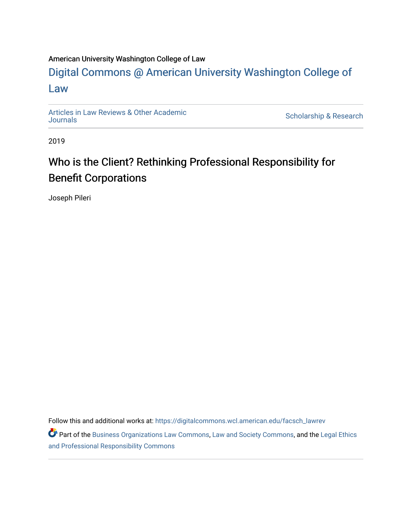# American University Washington College of Law

# [Digital Commons @ American University Washington College of](https://digitalcommons.wcl.american.edu/)  [Law](https://digitalcommons.wcl.american.edu/)

[Articles in Law Reviews & Other Academic](https://digitalcommons.wcl.american.edu/facsch_lawrev) 

Scholarship & Research

2019

# Who is the Client? Rethinking Professional Responsibility for Benefit Corporations

Joseph Pileri

Follow this and additional works at: [https://digitalcommons.wcl.american.edu/facsch\\_lawrev](https://digitalcommons.wcl.american.edu/facsch_lawrev?utm_source=digitalcommons.wcl.american.edu%2Ffacsch_lawrev%2F1141&utm_medium=PDF&utm_campaign=PDFCoverPages) 

**Part of the [Business Organizations Law Commons](http://network.bepress.com/hgg/discipline/900?utm_source=digitalcommons.wcl.american.edu%2Ffacsch_lawrev%2F1141&utm_medium=PDF&utm_campaign=PDFCoverPages), [Law and Society Commons,](http://network.bepress.com/hgg/discipline/853?utm_source=digitalcommons.wcl.american.edu%2Ffacsch_lawrev%2F1141&utm_medium=PDF&utm_campaign=PDFCoverPages) and the Legal Ethics** [and Professional Responsibility Commons](http://network.bepress.com/hgg/discipline/895?utm_source=digitalcommons.wcl.american.edu%2Ffacsch_lawrev%2F1141&utm_medium=PDF&utm_campaign=PDFCoverPages)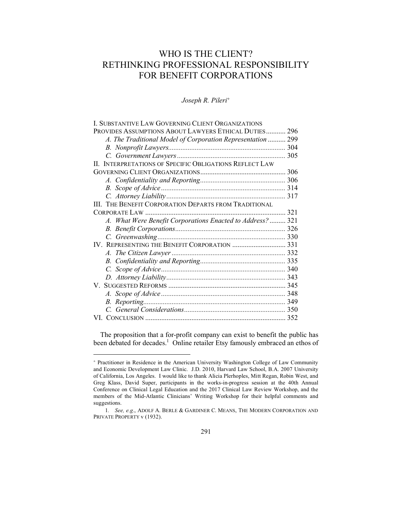# WHO IS THE CLIENT? RETHINKING PROFESSIONAL RESPONSIBILITY FOR BENEFIT CORPORATIONS

*Joseph R. Pileri*<sup>+</sup>

| I. SUBSTANTIVE LAW GOVERNING CLIENT ORGANIZATIONS                |     |
|------------------------------------------------------------------|-----|
| PROVIDES ASSUMPTIONS ABOUT LAWYERS ETHICAL DUTIES                | 296 |
| A. The Traditional Model of Corporation Representation  299      |     |
|                                                                  |     |
|                                                                  |     |
| <b>INTERPRETATIONS OF SPECIFIC OBLIGATIONS REFLECT LAW</b><br>Н. |     |
|                                                                  | 306 |
|                                                                  |     |
|                                                                  |     |
|                                                                  |     |
| III. THE BENEFIT CORPORATION DEPARTS FROM TRADITIONAL            |     |
| $\ldots$ 321<br>$CORPORTE LAW$                                   |     |
| A. What Were Benefit Corporations Enacted to Address?  321       |     |
|                                                                  |     |
|                                                                  |     |
| IV. REPRESENTING THE BENEFIT CORPORATION  331                    |     |
|                                                                  |     |
|                                                                  |     |
|                                                                  |     |
|                                                                  |     |
| V.                                                               |     |
|                                                                  |     |
|                                                                  |     |
|                                                                  |     |
|                                                                  |     |

The proposition that a for-profit company can exist to benefit the public has been debated for decades.<sup>1</sup> Online retailer Etsy famously embraced an ethos of

<sup>+</sup> Practitioner in Residence in the American University Washington College of Law Community and Economic Development Law Clinic. J.D. 2010, Harvard Law School, B.A. 2007 University of California, Los Angeles. I would like to thank Alicia Plerhoples, Mitt Regan, Robin West, and Greg Klass, David Super, participants in the works-in-progress session at the 40th Annual Conference on Clinical Legal Education and the 2017 Clinical Law Review Workshop, and the members of the Mid-Atlantic Clinicians' Writing Workshop for their helpful comments and suggestions.

<sup>1</sup>*. See, e.g.*, ADOLF A. BERLE & GARDINER C. MEANS, THE MODERN CORPORATION AND PRIVATE PROPERTY v (1932).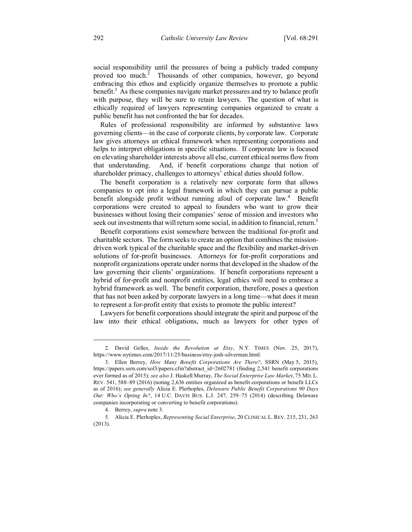social responsibility until the pressures of being a publicly traded company proved too much.<sup>2</sup> Thousands of other companies, however, go beyond embracing this ethos and explicitly organize themselves to promote a public benefit.<sup>3</sup> As these companies navigate market pressures and try to balance profit with purpose, they will be sure to retain lawyers. The question of what is ethically required of lawyers representing companies organized to create a public benefit has not confronted the bar for decades.

Rules of professional responsibility are informed by substantive laws governing clients—in the case of corporate clients, by corporate law. Corporate law gives attorneys an ethical framework when representing corporations and helps to interpret obligations in specific situations. If corporate law is focused on elevating shareholder interests above all else, current ethical norms flow from that understanding. And, if benefit corporations change that notion of shareholder primacy, challenges to attorneys' ethical duties should follow.

The benefit corporation is a relatively new corporate form that allows companies to opt into a legal framework in which they can pursue a public benefit alongside profit without running afoul of corporate law.<sup>4</sup> Benefit corporations were created to appeal to founders who want to grow their businesses without losing their companies' sense of mission and investors who seek out investments that will return some social, in addition to financial, return.<sup>5</sup>

Benefit corporations exist somewhere between the traditional for-profit and charitable sectors. The form seeks to create an option that combines the missiondriven work typical of the charitable space and the flexibility and market-driven solutions of for-profit businesses. Attorneys for for-profit corporations and nonprofit organizations operate under norms that developed in the shadow of the law governing their clients' organizations. If benefit corporations represent a hybrid of for-profit and nonprofit entities, legal ethics will need to embrace a hybrid framework as well. The benefit corporation, therefore, poses a question that has not been asked by corporate lawyers in a long time—what does it mean to represent a for-profit entity that exists to promote the public interest?

Lawyers for benefit corporations should integrate the spirit and purpose of the law into their ethical obligations, much as lawyers for other types of

<sup>2.</sup> David Gelles, *Inside the Revolution at Etsy*, N.Y. TIMES (Nov. 25, 2017), https://www.nytimes.com/2017/11/25/business/etsy-josh-silverman.html.

<sup>3.</sup> Ellen Berrey, *How Many Benefit Corporations Are There?*, SSRN (May 5, 2015), https://papers.ssrn.com/sol3/papers.cfm?abstract\_id=2602781 (finding 2,541 benefit corporations ever formed as of 2015); *see also* J. Haskell Murray, *The Social Enterprise Law Market*, 75 MD. L. REV. 541, 588–89 (2016) (noting 2,636 entities organized as benefit corporations or benefit LLCs as of 2016); *see generally* Alicia E. Plerhoples, *Delaware Public Benefit Corporations 90 Days Out: Who's Opting In?*, 14 U.C. DAVIS BUS. L.J. 247, 259–75 (2014) (describing Delaware companies incorporating or converting to benefit corporations).

<sup>4.</sup> Berrey, *supra* note 3.

<sup>5.</sup> Alicia E. Plerhoples, *Representing Social Enterprise*, 20 CLINICAL L. REV. 215, 231, 263 (2013).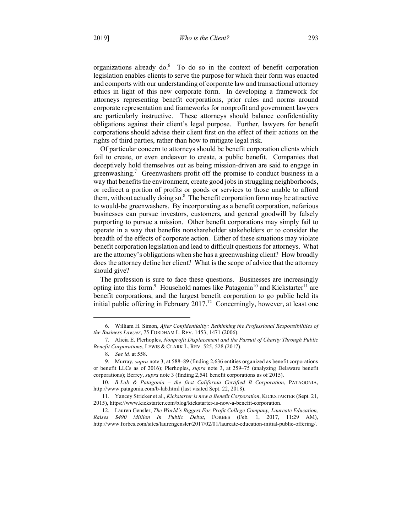organizations already do.<sup>6</sup> To do so in the context of benefit corporation legislation enables clients to serve the purpose for which their form was enacted and comports with our understanding of corporate law and transactional attorney ethics in light of this new corporate form. In developing a framework for attorneys representing benefit corporations, prior rules and norms around corporate representation and frameworks for nonprofit and government lawyers are particularly instructive. These attorneys should balance confidentiality obligations against their client's legal purpose. Further, lawyers for benefit corporations should advise their client first on the effect of their actions on the rights of third parties, rather than how to mitigate legal risk.

Of particular concern to attorneys should be benefit corporation clients which fail to create, or even endeavor to create, a public benefit. Companies that deceptively hold themselves out as being mission-driven are said to engage in greenwashing.<sup>7</sup> Greenwashers profit off the promise to conduct business in a way that benefits the environment, create good jobs in struggling neighborhoods, or redirect a portion of profits or goods or services to those unable to afford them, without actually doing so. $8$  The benefit corporation form may be attractive to would-be greenwashers. By incorporating as a benefit corporation, nefarious businesses can pursue investors, customers, and general goodwill by falsely purporting to pursue a mission. Other benefit corporations may simply fail to operate in a way that benefits nonshareholder stakeholders or to consider the breadth of the effects of corporate action. Either of these situations may violate benefit corporation legislation and lead to difficult questions for attorneys. What are the attorney's obligations when she has a greenwashing client? How broadly does the attorney define her client? What is the scope of advice that the attorney should give?

The profession is sure to face these questions. Businesses are increasingly opting into this form.<sup>9</sup> Household names like Patagonia<sup>10</sup> and Kickstarter<sup>11</sup> are benefit corporations, and the largest benefit corporation to go public held its initial public offering in February  $2017<sup>12</sup>$  Concerningly, however, at least one

<sup>6.</sup> William H. Simon, *After Confidentiality: Rethinking the Professional Responsibilities of the Business Lawyer*, 75 FORDHAM L. REV. 1453, 1471 (2006).

<sup>7.</sup> Alicia E. Plerhoples, *Nonprofit Displacement and the Pursuit of Charity Through Public Benefit Corporations*, LEWIS & CLARK L. REV. 525, 528 (2017).

<sup>8</sup>*. See id.* at 558.

<sup>9.</sup> Murray, *supra* note 3, at 588–89 (finding 2,636 entities organized as benefit corporations or benefit LLCs as of 2016); Plerhoples, *supra* note 3, at 259–75 (analyzing Delaware benefit corporations); Berrey, *supra* note 3 (finding 2,541 benefit corporations as of 2015).

<sup>10</sup>*. B-Lab & Patagonia – the first California Certified B Corporation*, PATAGONIA, http://www.patagonia.com/b-lab.html (last visited Sept. 22, 2018).

<sup>11.</sup> Yancey Stricker et al., *Kickstarter is now a Benefit Corporation*, KICKSTARTER (Sept. 21, 2015), https://www.kickstarter.com/blog/kickstarter-is-now-a-benefit-corporation.

<sup>12.</sup> Lauren Gensler, *The World's Biggest For-Profit College Company, Laureate Education, Raises \$490 Million In Public Debut*, FORBES (Feb. 1, 2017, 11:29 AM), http://www.forbes.com/sites/laurengensler/2017/02/01/laureate-education-initial-public-offering/.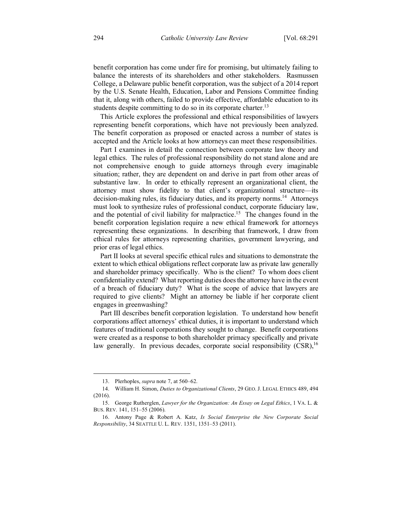benefit corporation has come under fire for promising, but ultimately failing to balance the interests of its shareholders and other stakeholders. Rasmussen College, a Delaware public benefit corporation, was the subject of a 2014 report by the U.S. Senate Health, Education, Labor and Pensions Committee finding that it, along with others, failed to provide effective, affordable education to its students despite committing to do so in its corporate charter.<sup>13</sup>

This Article explores the professional and ethical responsibilities of lawyers representing benefit corporations, which have not previously been analyzed. The benefit corporation as proposed or enacted across a number of states is accepted and the Article looks at how attorneys can meet these responsibilities.

Part I examines in detail the connection between corporate law theory and legal ethics. The rules of professional responsibility do not stand alone and are not comprehensive enough to guide attorneys through every imaginable situation; rather, they are dependent on and derive in part from other areas of substantive law. In order to ethically represent an organizational client, the attorney must show fidelity to that client's organizational structure—its decision-making rules, its fiduciary duties, and its property norms.14 Attorneys must look to synthesize rules of professional conduct, corporate fiduciary law, and the potential of civil liability for malpractice.<sup>15</sup> The changes found in the benefit corporation legislation require a new ethical framework for attorneys representing these organizations. In describing that framework, I draw from ethical rules for attorneys representing charities, government lawyering, and prior eras of legal ethics.

Part II looks at several specific ethical rules and situations to demonstrate the extent to which ethical obligations reflect corporate law as private law generally and shareholder primacy specifically. Who is the client? To whom does client confidentiality extend? What reporting duties does the attorney have in the event of a breach of fiduciary duty? What is the scope of advice that lawyers are required to give clients? Might an attorney be liable if her corporate client engages in greenwashing?

Part III describes benefit corporation legislation. To understand how benefit corporations affect attorneys' ethical duties, it is important to understand which features of traditional corporations they sought to change. Benefit corporations were created as a response to both shareholder primacy specifically and private law generally. In previous decades, corporate social responsibility  $(CSR)$ ,  $^{16}$ 

<sup>13.</sup> Plerhoples, *supra* note 7, at 560–62.

<sup>14.</sup> William H. Simon, *Duties to Organizational Clients*, 29 GEO. J. LEGAL ETHICS 489, 494 (2016).

<sup>15.</sup> George Rutherglen, *Lawyer for the Organization: An Essay on Legal Ethics*, 1 VA. L. & BUS. REV. 141, 151–55 (2006).

<sup>16.</sup> Antony Page & Robert A. Katz, *Is Social Enterprise the New Corporate Social Responsibility*, 34 SEATTLE U. L. REV. 1351, 1351–53 (2011).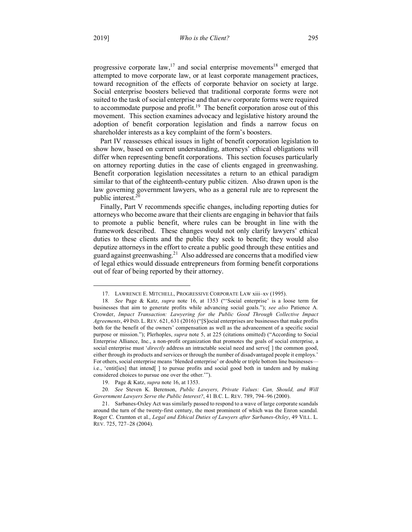progressive corporate law,<sup>17</sup> and social enterprise movements<sup>18</sup> emerged that attempted to move corporate law, or at least corporate management practices, toward recognition of the effects of corporate behavior on society at large. Social enterprise boosters believed that traditional corporate forms were not suited to the task of social enterprise and that *new* corporate forms were required to accommodate purpose and profit.<sup>19</sup> The benefit corporation arose out of this movement. This section examines advocacy and legislative history around the adoption of benefit corporation legislation and finds a narrow focus on shareholder interests as a key complaint of the form's boosters.

Part IV reassesses ethical issues in light of benefit corporation legislation to show how, based on current understanding, attorneys' ethical obligations will differ when representing benefit corporations. This section focuses particularly on attorney reporting duties in the case of clients engaged in greenwashing. Benefit corporation legislation necessitates a return to an ethical paradigm similar to that of the eighteenth-century public citizen. Also drawn upon is the law governing government lawyers, who as a general rule are to represent the public interest.<sup>20</sup>

Finally, Part V recommends specific changes, including reporting duties for attorneys who become aware that their clients are engaging in behavior that fails to promote a public benefit, where rules can be brought in line with the framework described. These changes would not only clarify lawyers' ethical duties to these clients and the public they seek to benefit; they would also deputize attorneys in the effort to create a public good through these entities and guard against greenwashing.<sup>21</sup> Also addressed are concerns that a modified view of legal ethics would dissuade entrepreneurs from forming benefit corporations out of fear of being reported by their attorney.

<sup>17.</sup> LAWRENCE E. MITCHELL, PROGRESSIVE CORPORATE LAW xiii–xv (1995).

<sup>18</sup>*. See* Page & Katz, *supra* note 16, at 1353 ("'Social enterprise' is a loose term for businesses that aim to generate profits while advancing social goals."); *see also* Patience A. Crowder, *Impact Transaction: Lawyering for the Public Good Through Collective Impact Agreements*, 49 IND. L. REV. 621, 631 (2016) ("[S]ocial enterprises are businesses that make profits both for the benefit of the owners' compensation as well as the advancement of a specific social purpose or mission."); Plerhoples, *supra* note 5, at 225 (citations omitted) ("According to Social Enterprise Alliance, Inc., a non-profit organization that promotes the goals of social enterprise, a social enterprise must '*directly* address an intractable social need and serve[] the common good, either through its products and services or through the number of disadvantaged people it employs.' For others, social enterprise means 'blended enterprise' or double or triple bottom line businesses i.e., 'entit[ies] that intend[ ] to pursue profits and social good both in tandem and by making considered choices to pursue one over the other.'").

<sup>19.</sup> Page & Katz, *supra* note 16, at 1353.

<sup>20</sup>*. See* Steven K. Berenson, *Public Lawyers, Private Values: Can, Should, and Will Government Lawyers Serve the Public Interest?*, 41 B.C. L. REV. 789, 794–96 (2000).

<sup>21.</sup> Sarbanes-Oxley Act was similarly passed to respond to a wave of large corporate scandals around the turn of the twenty-first century, the most prominent of which was the Enron scandal. Roger C. Cramton et al., *Legal and Ethical Duties of Lawyers after Sarbanes-Oxley*, 49 VILL. L. REV. 725, 727–28 (2004).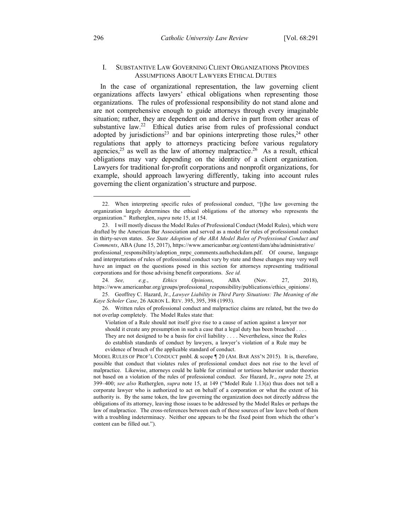# I. SUBSTANTIVE LAW GOVERNING CLIENT ORGANIZATIONS PROVIDES ASSUMPTIONS ABOUT LAWYERS ETHICAL DUTIES

In the case of organizational representation, the law governing client organizations affects lawyers' ethical obligations when representing those organizations. The rules of professional responsibility do not stand alone and are not comprehensive enough to guide attorneys through every imaginable situation; rather, they are dependent on and derive in part from other areas of substantive law.<sup>22</sup> Ethical duties arise from rules of professional conduct adopted by jurisdictions<sup>23</sup> and bar opinions interpreting those rules,<sup>24</sup> other regulations that apply to attorneys practicing before various regulatory agencies, $25$  as well as the law of attorney malpractice.<sup>26</sup> As a result, ethical obligations may vary depending on the identity of a client organization. Lawyers for traditional for-profit corporations and nonprofit organizations, for example, should approach lawyering differently, taking into account rules governing the client organization's structure and purpose.

24*. See, e.g.*, *Ethics Opinions*, ABA (Nov. 27, 2018), https://www.americanbar.org/groups/professional\_responsibility/publications/ethics\_opinions/.

26. Written rules of professional conduct and malpractice claims are related, but the two do not overlap completely. The Model Rules state that:

Violation of a Rule should not itself give rise to a cause of action against a lawyer nor should it create any presumption in such a case that a legal duty has been breached . . . . They are not designed to be a basis for civil liability . . . . Nevertheless, since the Rules do establish standards of conduct by lawyers, a lawyer's violation of a Rule may be evidence of breach of the applicable standard of conduct.

 <sup>22.</sup> When interpreting specific rules of professional conduct, "[t]he law governing the organization largely determines the ethical obligations of the attorney who represents the organization." Rutherglen, *supra* note 15, at 154.

<sup>23.</sup> I will mostly discuss the Model Rules of Professional Conduct (Model Rules), which were drafted by the American Bar Association and served as a model for rules of professional conduct in thirty-seven states. *See State Adoption of the ABA Model Rules of Professional Conduct and Comments*, ABA (June 15, 2017), https://www.americanbar.org/content/dam/aba/administrative/ professional\_responsibility/adoption\_mrpc\_comments.authcheckdam.pdf. Of course, language and interpretations of rules of professional conduct vary by state and those changes may very well have an impact on the questions posed in this section for attorneys representing traditional corporations and for those advising benefit corporations. *See id.*

<sup>25.</sup> Geoffrey C. Hazard, Jr., *Lawyer Liability in Third Party Situations: The Meaning of the Kaye Scholer Case*, 26 AKRON L. REV. 395, 395, 398 (1993).

MODEL RULES OF PROF'L CONDUCT pmbl. & scope ¶ 20 (AM. BAR ASS'N 2015). It is, therefore, possible that conduct that violates rules of professional conduct does not rise to the level of malpractice. Likewise, attorneys could be liable for criminal or tortious behavior under theories not based on a violation of the rules of professional conduct. *See* Hazard, Jr., *supra* note 25, at 399–400; *see also* Rutherglen, *supra* note 15, at 149 ("Model Rule 1.13(a) thus does not tell a corporate lawyer who is authorized to act on behalf of a corporation or what the extent of his authority is. By the same token, the law governing the organization does not directly address the obligations of its attorney, leaving those issues to be addressed by the Model Rules or perhaps the law of malpractice. The cross-references between each of these sources of law leave both of them with a troubling indeterminacy. Neither one appears to be the fixed point from which the other's content can be filled out.").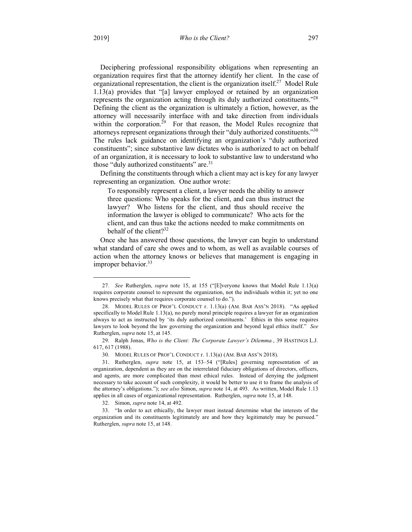Deciphering professional responsibility obligations when representing an organization requires first that the attorney identify her client. In the case of organizational representation, the client is the organization itself.<sup>27</sup> Model Rule 1.13(a) provides that "[a] lawyer employed or retained by an organization represents the organization acting through its duly authorized constituents."28 Defining the client as the organization is ultimately a fiction, however, as the attorney will necessarily interface with and take direction from individuals within the corporation.<sup> $29$ </sup> For that reason, the Model Rules recognize that attorneys represent organizations through their "duly authorized constituents."30 The rules lack guidance on identifying an organization's "duly authorized constituents"; since substantive law dictates who is authorized to act on behalf of an organization, it is necessary to look to substantive law to understand who those "duly authorized constituents" are.<sup>31</sup>

Defining the constituents through which a client may act is key for any lawyer representing an organization. One author wrote:

To responsibly represent a client, a lawyer needs the ability to answer three questions: Who speaks for the client, and can thus instruct the lawyer? Who listens for the client, and thus should receive the information the lawyer is obliged to communicate? Who acts for the client, and can thus take the actions needed to make commitments on behalf of the client? $32$ 

Once she has answered those questions, the lawyer can begin to understand what standard of care she owes and to whom, as well as available courses of action when the attorney knows or believes that management is engaging in improper behavior. $33$ 

 <sup>27</sup>*. See* Rutherglen, *supra* note 15, at 155 ("[E]veryone knows that Model Rule 1.13(a) requires corporate counsel to represent the organization, not the individuals within it; yet no one knows precisely what that requires corporate counsel to do.").

<sup>28.</sup> MODEL RULES OF PROF'L CONDUCT r. 1.13(a) (AM. BAR ASS'N 2018). "As applied specifically to Model Rule 1.13(a), no purely moral principle requires a lawyer for an organization always to act as instructed by 'its duly authorized constituents.' Ethics in this sense requires lawyers to look beyond the law governing the organization and beyond legal ethics itself." *See* Rutherglen, *supra* note 15, at 145.

<sup>29.</sup> Ralph Jonas, *Who is the Client: The Corporate Lawyer's Dilemma.*, 39 HASTINGS L.J. 617, 617 (1988).

<sup>30.</sup> MODEL RULES OF PROF'L CONDUCT r. 1.13(a) (AM. BAR ASS'N 2018).

<sup>31.</sup> Rutherglen, *supra* note 15, at 153–54 ("[Rules] governing representation of an organization, dependent as they are on the interrelated fiduciary obligations of directors, officers, and agents, are more complicated than most ethical rules. Instead of denying the judgment necessary to take account of such complexity, it would be better to use it to frame the analysis of the attorney's obligations."); *see also* Simon, *supra* note 14, at 493. As written, Model Rule 1.13 applies in all cases of organizational representation. Rutherglen, *supra* note 15, at 148.

<sup>32.</sup> Simon, *supra* note 14, at 492.

<sup>33.</sup> "In order to act ethically, the lawyer must instead determine what the interests of the organization and its constituents legitimately are and how they legitimately may be pursued." Rutherglen, *supra* note 15, at 148.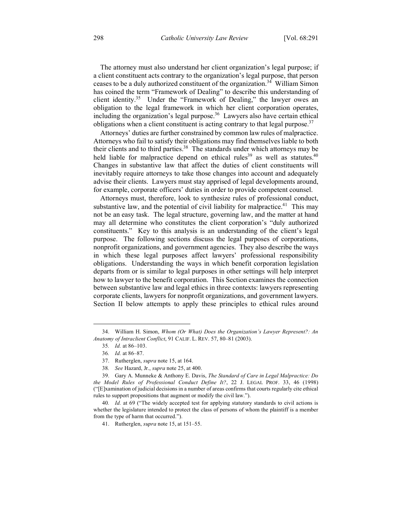The attorney must also understand her client organization's legal purpose; if a client constituent acts contrary to the organization's legal purpose, that person ceases to be a duly authorized constituent of the organization.<sup>34</sup> William Simon has coined the term "Framework of Dealing" to describe this understanding of client identity.<sup>35</sup> Under the "Framework of Dealing," the lawyer owes an obligation to the legal framework in which her client corporation operates, including the organization's legal purpose.<sup>36</sup> Lawyers also have certain ethical obligations when a client constituent is acting contrary to that legal purpose.<sup>37</sup>

Attorneys' duties are further constrained by common law rules of malpractice. Attorneys who fail to satisfy their obligations may find themselves liable to both their clients and to third parties.<sup>38</sup> The standards under which attorneys may be held liable for malpractice depend on ethical rules<sup>39</sup> as well as statutes.<sup>40</sup> Changes in substantive law that affect the duties of client constituents will inevitably require attorneys to take those changes into account and adequately advise their clients. Lawyers must stay apprised of legal developments around, for example, corporate officers' duties in order to provide competent counsel.

Attorneys must, therefore, look to synthesize rules of professional conduct, substantive law, and the potential of civil liability for malpractice.<sup>41</sup> This may not be an easy task. The legal structure, governing law, and the matter at hand may all determine who constitutes the client corporation's "duly authorized constituents." Key to this analysis is an understanding of the client's legal purpose. The following sections discuss the legal purposes of corporations, nonprofit organizations, and government agencies. They also describe the ways in which these legal purposes affect lawyers' professional responsibility obligations. Understanding the ways in which benefit corporation legislation departs from or is similar to legal purposes in other settings will help interpret how to lawyer to the benefit corporation. This Section examines the connection between substantive law and legal ethics in three contexts: lawyers representing corporate clients, lawyers for nonprofit organizations, and government lawyers. Section II below attempts to apply these principles to ethical rules around

 <sup>34.</sup> William H. Simon, *Whom (Or What) Does the Organization's Lawyer Represent?: An Anatomy of Intraclient Conflict*, 91 CALIF. L. REV. 57, 80–81 (2003).

<sup>35</sup>*. Id.* at 86–103.

<sup>36</sup>*. Id.* at 86–87.

<sup>37.</sup> Rutherglen, *supra* note 15, at 164.

<sup>38</sup>*. See* Hazard, Jr., *supra* note 25, at 400.

<sup>39.</sup> Gary A. Munneke & Anthony E. Davis, *The Standard of Care in Legal Malpractice: Do the Model Rules of Professional Conduct Define It?*, 22 J. LEGAL PROF. 33, 46 (1998) ("[E]xamination of judicial decisions in a number of areas confirms that courts regularly cite ethical rules to support propositions that augment or modify the civil law.").

<sup>40</sup>*. Id.* at 69 ("The widely accepted test for applying statutory standards to civil actions is whether the legislature intended to protect the class of persons of whom the plaintiff is a member from the type of harm that occurred.").

<sup>41.</sup> Rutherglen, *supra* note 15, at 151–55.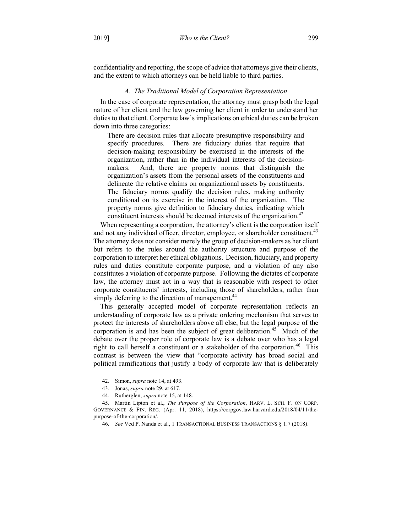confidentiality and reporting, the scope of advice that attorneys give their clients, and the extent to which attorneys can be held liable to third parties.

# *A. The Traditional Model of Corporation Representation*

In the case of corporate representation, the attorney must grasp both the legal nature of her client and the law governing her client in order to understand her duties to that client. Corporate law's implications on ethical duties can be broken down into three categories:

There are decision rules that allocate presumptive responsibility and specify procedures. There are fiduciary duties that require that decision-making responsibility be exercised in the interests of the organization, rather than in the individual interests of the decisionmakers. And, there are property norms that distinguish the organization's assets from the personal assets of the constituents and delineate the relative claims on organizational assets by constituents. The fiduciary norms qualify the decision rules, making authority conditional on its exercise in the interest of the organization. The property norms give definition to fiduciary duties, indicating which constituent interests should be deemed interests of the organization.<sup>42</sup>

When representing a corporation, the attorney's client is the corporation itself and not any individual officer, director, employee, or shareholder constituent.<sup>43</sup> The attorney does not consider merely the group of decision-makers as her client but refers to the rules around the authority structure and purpose of the corporation to interpret her ethical obligations. Decision, fiduciary, and property rules and duties constitute corporate purpose, and a violation of any also constitutes a violation of corporate purpose. Following the dictates of corporate law, the attorney must act in a way that is reasonable with respect to other corporate constituents' interests, including those of shareholders, rather than simply deferring to the direction of management.<sup>44</sup>

This generally accepted model of corporate representation reflects an understanding of corporate law as a private ordering mechanism that serves to protect the interests of shareholders above all else, but the legal purpose of the corporation is and has been the subject of great deliberation.<sup>45</sup> Much of the debate over the proper role of corporate law is a debate over who has a legal right to call herself a constituent or a stakeholder of the corporation.<sup>46</sup> This contrast is between the view that "corporate activity has broad social and political ramifications that justify a body of corporate law that is deliberately

 <sup>42.</sup> Simon, *supra* note 14, at 493.

<sup>43.</sup> Jonas, *supra* note 29, at 617.

<sup>44.</sup> Rutherglen, *supra* note 15, at 148.

<sup>45.</sup> Martin Lipton et al., *The Purpose of the Corporation*, HARV. L. SCH. F. ON CORP. GOVERNANCE & FIN. REG. (Apr. 11, 2018), https://corpgov.law.harvard.edu/2018/04/11/thepurpose-of-the-corporation/.

<sup>46</sup>*. See* Ved P. Nanda et al., 1 TRANSACTIONAL BUSINESS TRANSACTIONS § 1.7 (2018).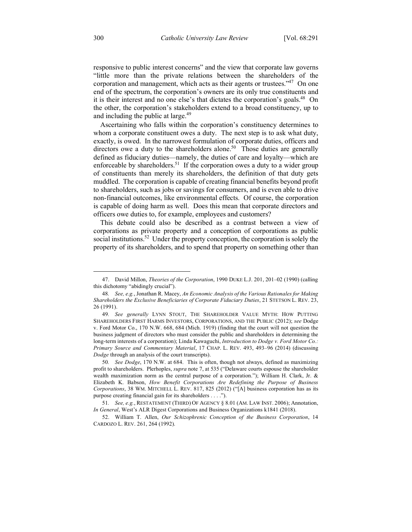responsive to public interest concerns" and the view that corporate law governs "little more than the private relations between the shareholders of the corporation and management, which acts as their agents or trustees."<sup>47</sup> On one end of the spectrum, the corporation's owners are its only true constituents and it is their interest and no one else's that dictates the corporation's goals.<sup>48</sup> On the other, the corporation's stakeholders extend to a broad constituency, up to and including the public at large.<sup>49</sup>

Ascertaining who falls within the corporation's constituency determines to whom a corporate constituent owes a duty. The next step is to ask what duty, exactly, is owed. In the narrowest formulation of corporate duties, officers and directors owe a duty to the shareholders alone.<sup>50</sup> Those duties are generally defined as fiduciary duties—namely, the duties of care and loyalty—which are enforceable by shareholders.<sup>51</sup> If the corporation owes a duty to a wider group of constituents than merely its shareholders, the definition of that duty gets muddled. The corporation is capable of creating financial benefits beyond profit to shareholders, such as jobs or savings for consumers, and is even able to drive non-financial outcomes, like environmental effects. Of course, the corporation is capable of doing harm as well. Does this mean that corporate directors and officers owe duties to, for example, employees and customers?

This debate could also be described as a contrast between a view of corporations as private property and a conception of corporations as public social institutions.<sup>52</sup> Under the property conception, the corporation is solely the property of its shareholders, and to spend that property on something other than

 <sup>47.</sup> David Millon, *Theories of the Corporation*, 1990 DUKE L.J. 201, 201–02 (1990) (calling this dichotomy "abidingly crucial").

<sup>48</sup>*. See, e.g.*, Jonathan R. Macey, *An Economic Analysis of the Various Rationales for Making Shareholders the Exclusive Beneficiaries of Corporate Fiduciary Duties*, 21 STETSON L. REV. 23, 26 (1991).

<sup>49</sup>*. See generally* LYNN STOUT, THE SHAREHOLDER VALUE MYTH: HOW PUTTING SHAREHOLDERS FIRST HARMS INVESTORS, CORPORATIONS, AND THE PUBLIC (2012); *see* Dodge v. Ford Motor Co., 170 N.W. 668, 684 (Mich. 1919) (finding that the court will not question the business judgment of directors who must consider the public and shareholders in determining the long-term interests of a corporation); Linda Kawaguchi, *Introduction to Dodge v. Ford Motor Co.: Primary Source and Commentary Material*, 17 CHAP. L. REV. 493, 493–96 (2014) (discussing *Dodge* through an analysis of the court transcripts).

<sup>50</sup>*. See Dodge*, 170 N.W. at 684. This is often, though not always, defined as maximizing profit to shareholders. Plerhoples, *supra* note 7, at 535 ("Delaware courts espouse the shareholder wealth maximization norm as the central purpose of a corporation."); William H. Clark, Jr. & Elizabeth K. Babson, *How Benefit Corporations Are Redefining the Purpose of Business Corporations*, 38 WM. MITCHELL L. REV. 817, 825 (2012) ("[A] business corporation has as its purpose creating financial gain for its shareholders . . . .").

<sup>51</sup>*. See, e.g.*, RESTATEMENT (THIRD) OF AGENCY § 8.01 (AM. LAW INST. 2006); Annotation, *In General*, West's ALR Digest Corporations and Business Organizations k1841 (2018).

<sup>52.</sup> William T. Allen, *Our Schizophrenic Conception of the Business Corporation*, 14 CARDOZO L. REV. 261, 264 (1992).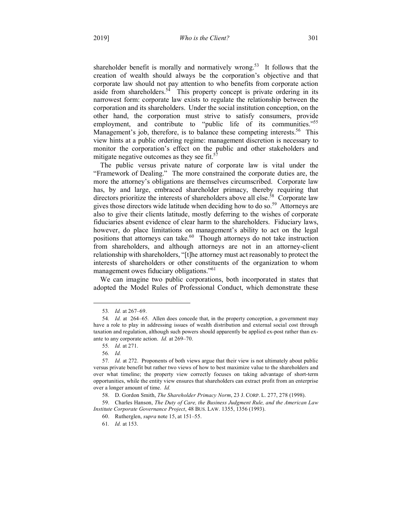shareholder benefit is morally and normatively wrong.<sup>53</sup> It follows that the creation of wealth should always be the corporation's objective and that corporate law should not pay attention to who benefits from corporate action aside from shareholders.<sup>54</sup> This property concept is private ordering in its narrowest form: corporate law exists to regulate the relationship between the corporation and its shareholders. Under the social institution conception, on the other hand, the corporation must strive to satisfy consumers, provide employment, and contribute to "public life of its communities."<sup>55</sup> Management's job, therefore, is to balance these competing interests.<sup>56</sup> This view hints at a public ordering regime: management discretion is necessary to monitor the corporation's effect on the public and other stakeholders and mitigate negative outcomes as they see fit. $57$ 

The public versus private nature of corporate law is vital under the "Framework of Dealing." The more constrained the corporate duties are, the more the attorney's obligations are themselves circumscribed. Corporate law has, by and large, embraced shareholder primacy, thereby requiring that directors prioritize the interests of shareholders above all else.<sup>58</sup> Corporate law gives those directors wide latitude when deciding how to do so.<sup>59</sup> Attorneys are also to give their clients latitude, mostly deferring to the wishes of corporate fiduciaries absent evidence of clear harm to the shareholders. Fiduciary laws, however, do place limitations on management's ability to act on the legal positions that attorneys can take.<sup>60</sup> Though attorneys do not take instruction from shareholders, and although attorneys are not in an attorney-client relationship with shareholders, "[t]he attorney must act reasonably to protect the interests of shareholders or other constituents of the organization to whom management owes fiduciary obligations."<sup>61</sup>

We can imagine two public corporations, both incorporated in states that adopted the Model Rules of Professional Conduct, which demonstrate these

58. D. Gordon Smith, *The Shareholder Primacy Norm*, 23 J. CORP. L. 277, 278 (1998).

 <sup>53</sup>*. Id.* at 267–69.

<sup>54</sup>*. Id.* at 264–65. Allen does concede that, in the property conception, a government may have a role to play in addressing issues of wealth distribution and external social cost through taxation and regulation, although such powers should apparently be applied ex-post rather than exante to any corporate action. *Id.* at 269–70.

<sup>55</sup>*. Id.* at 271.

<sup>56</sup>*. Id.*

<sup>57</sup>*. Id.* at 272. Proponents of both views argue that their view is not ultimately about public versus private benefit but rather two views of how to best maximize value to the shareholders and over what timeline; the property view correctly focuses on taking advantage of short-term opportunities, while the entity view ensures that shareholders can extract profit from an enterprise over a longer amount of time. *Id.*

<sup>59.</sup> Charles Hanson, *The Duty of Care, the Business Judgment Rule, and the American Law Institute Corporate Governance Project*, 48 BUS. LAW. 1355, 1356 (1993).

<sup>60.</sup> Rutherglen, *supra* note 15, at 151–55.

<sup>61</sup>*. Id.* at 153.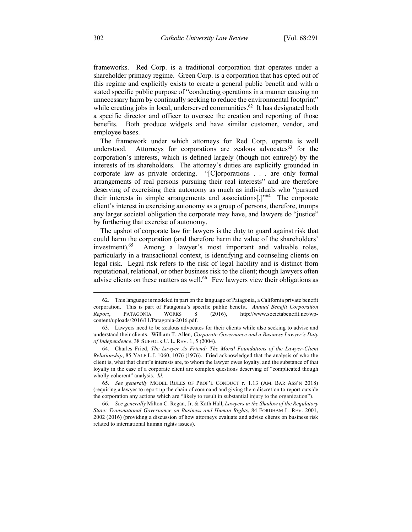frameworks. Red Corp. is a traditional corporation that operates under a shareholder primacy regime. Green Corp. is a corporation that has opted out of this regime and explicitly exists to create a general public benefit and with a stated specific public purpose of "conducting operations in a manner causing no unnecessary harm by continually seeking to reduce the environmental footprint" while creating jobs in local, underserved communities.<sup>62</sup> It has designated both a specific director and officer to oversee the creation and reporting of those benefits. Both produce widgets and have similar customer, vendor, and employee bases.

The framework under which attorneys for Red Corp. operate is well understood. Attorneys for corporations are zealous advocates <sup>63</sup> for the corporation's interests, which is defined largely (though not entirely) by the interests of its shareholders. The attorney's duties are explicitly grounded in corporate law as private ordering. "[C]orporations . . . are only formal arrangements of real persons pursuing their real interests" and are therefore deserving of exercising their autonomy as much as individuals who "pursued their interests in simple arrangements and associations.  $"$ <sup>64</sup> The corporate client's interest in exercising autonomy as a group of persons, therefore, trumps any larger societal obligation the corporate may have, and lawyers do "justice" by furthering that exercise of autonomy.

The upshot of corporate law for lawyers is the duty to guard against risk that could harm the corporation (and therefore harm the value of the shareholders' investment).<sup>65</sup> Among a lawyer's most important and valuable roles, particularly in a transactional context, is identifying and counseling clients on legal risk. Legal risk refers to the risk of legal liability and is distinct from reputational, relational, or other business risk to the client; though lawyers often advise clients on these matters as well.<sup>66</sup> Few lawyers view their obligations as

 <sup>62.</sup> This language is modeled in part on the language of Patagonia, a California private benefit corporation. This is part of Patagonia's specific public benefit. *Annual Benefit Corporation Report*, PATAGONIA WORKS 8 (2016), http://www.societabenefit.net/wpcontent/uploads/2016/11/Patagonia-2016.pdf.

<sup>63.</sup> Lawyers need to be zealous advocates for their clients while also seeking to advise and understand their clients. William T. Allen, *Corporate Governance and a Business Lawyer's Duty of Independence*, 38 SUFFOLK U. L. REV. 1, 5 (2004).

<sup>64.</sup> Charles Fried, *The Lawyer As Friend: The Moral Foundations of the Lawyer-Client Relationship*, 85 YALE L.J. 1060, 1076 (1976). Fried acknowledged that the analysis of who the client is, what that client's interests are, to whom the lawyer owes loyalty, and the substance of that loyalty in the case of a corporate client are complex questions deserving of "complicated though wholly coherent" analysis. *Id.*

<sup>65</sup>*. See generally* MODEL RULES OF PROF'L CONDUCT r. 1.13 (AM. BAR ASS'N 2018) (requiring a lawyer to report up the chain of command and giving them discretion to report outside the corporation any actions which are "likely to result in substantial injury to the organization").

<sup>66</sup>*. See generally* Milton C. Regan, Jr. & Kath Hall, *Lawyers in the Shadow of the Regulatory State: Transnational Governance on Business and Human Rights*, 84 FORDHAM L. REV. 2001, 2002 (2016) (providing a discussion of how attorneys evaluate and advise clients on business risk related to international human rights issues).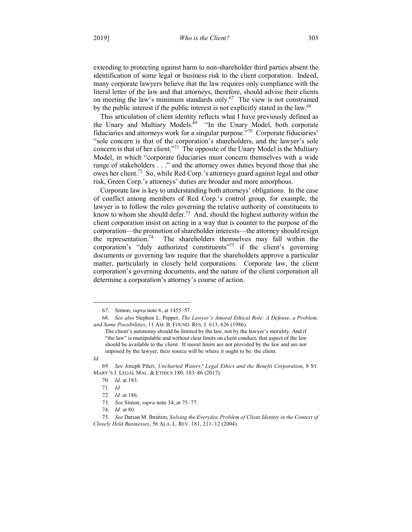extending to protecting against harm to non-shareholder third parties absent the identification of some legal or business risk to the client corporation. Indeed, many corporate lawyers believe that the law requires only compliance with the literal letter of the law and that attorneys, therefore, should advise their clients on meeting the law's minimum standards only. $67$  The view is not constrained by the public interest if the public interest is not explicitly stated in the law.<sup>68</sup>

This articulation of client identity reflects what I have previously defined as the Unary and Multiary Models.<sup>69</sup> "In the Unary Model, both corporate fiduciaries and attorneys work for a singular purpose."70 Corporate fiduciaries' "sole concern is that of the corporation's shareholders, and the lawyer's sole concern is that of her client."<sup>71</sup> The opposite of the Unary Model is the Multiary Model, in which "corporate fiduciaries must concern themselves with a wide range of stakeholders . . ." and the attorney owes duties beyond those that she owes her client.72 So, while Red Corp.'s attorneys guard against legal and other risk, Green Corp.'s attorneys' duties are broader and more amorphous.

Corporate law is key to understanding both attorneys' obligations. In the case of conflict among members of Red Corp.'s control group, for example, the lawyer is to follow the rules governing the relative authority of constituents to know to whom she should defer.<sup>73</sup> And, should the highest authority within the client corporation insist on acting in a way that is counter to the purpose of the corporation—the promotion of shareholder interests—the attorney should resign the representation.<sup>74</sup> The shareholders themselves may fall within the corporation's "duly authorized constituents"75 if the client's governing documents or governing law require that the shareholders approve a particular matter, particularly in closely held corporations. Corporate law, the client corporation's governing documents, and the nature of the client corporation all determine a corporation's attorney's course of action.

1

<sup>67.</sup> Simon, *supra* note 6, at 1455–57.

<sup>68</sup>*. See also* Stephen L. Pepper, *The Lawyer's Amoral Ethical Role: A Defense, a Problem, and Some Possibilities*, 11 AM. B. FOUND. RES. J. 613, 626 (1986).

The client's autonomy should be limited by the law, not by the lawyer's morality. And if "the law" is manipulable and without clear limits on client conduct, that aspect of the law should be available to the client. If moral limits are not provided by the law and are not imposed by the lawyer, their source will be where it ought to be: the client.

*Id.*

<sup>69</sup>*. See* Joseph Pileri, *Uncharted Waters? Legal Ethics and the Benefit Corporation*, 8 ST. MARY'S J. LEGAL MAL. & ETHICS 180, 183–86 (2017).

<sup>70</sup>*. Id.* at 183.

<sup>71</sup>*. Id.*

<sup>72</sup>*. Id.* at 186.

<sup>73</sup>*. See* Simon, *supra* note 34, at 75–77.

<sup>74</sup>*. Id.* at 80.

<sup>75</sup>*. See* Darian M. Ibrahim, *Solving the Everyday Problem of Client Identity in the Context of Closely Held Businesses*, 56 ALA. L. REV. 181, 211–12 (2004).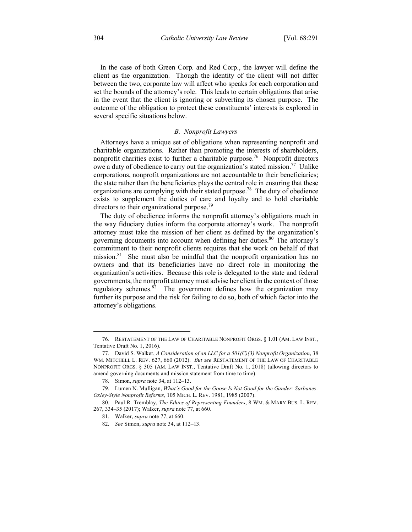In the case of both Green Corp. and Red Corp., the lawyer will define the client as the organization. Though the identity of the client will not differ between the two, corporate law will affect who speaks for each corporation and set the bounds of the attorney's role. This leads to certain obligations that arise in the event that the client is ignoring or subverting its chosen purpose. The outcome of the obligation to protect these constituents' interests is explored in several specific situations below.

#### *B. Nonprofit Lawyers*

Attorneys have a unique set of obligations when representing nonprofit and charitable organizations. Rather than promoting the interests of shareholders, nonprofit charities exist to further a charitable purpose.<sup>76</sup> Nonprofit directors owe a duty of obedience to carry out the organization's stated mission.<sup>77</sup> Unlike corporations, nonprofit organizations are not accountable to their beneficiaries; the state rather than the beneficiaries plays the central role in ensuring that these organizations are complying with their stated purpose.<sup>78</sup> The duty of obedience exists to supplement the duties of care and loyalty and to hold charitable directors to their organizational purpose.<sup>79</sup>

The duty of obedience informs the nonprofit attorney's obligations much in the way fiduciary duties inform the corporate attorney's work. The nonprofit attorney must take the mission of her client as defined by the organization's governing documents into account when defining her duties.<sup>80</sup> The attorney's commitment to their nonprofit clients requires that she work on behalf of that mission.<sup>81</sup> She must also be mindful that the nonprofit organization has no owners and that its beneficiaries have no direct role in monitoring the organization's activities. Because this role is delegated to the state and federal governments, the nonprofit attorney must advise her client in the context of those regulatory schemes. $82$  The government defines how the organization may further its purpose and the risk for failing to do so, both of which factor into the attorney's obligations.

 <sup>76.</sup> RESTATEMENT OF THE LAW OF CHARITABLE NONPROFIT ORGS. § 1.01 (AM. LAW INST., Tentative Draft No. 1, 2016).

<sup>77.</sup> David S. Walker, *A Consideration of an LLC for a 501(C)(3) Nonprofit Organization*, 38 WM. MITCHELL L. REV. 627, 660 (2012). *But see* RESTATEMENT OF THE LAW OF CHARITABLE NONPROFIT ORGS. § 305 (AM. LAW INST., Tentative Draft No. 1, 2018) (allowing directors to amend governing documents and mission statement from time to time).

<sup>78.</sup> Simon, *supra* note 34, at 112–13.

<sup>79.</sup> Lumen N. Mulligan, *What's Good for the Goose Is Not Good for the Gander: Sarbanes-Oxley-Style Nonprofit Reforms*, 105 MICH. L. REV. 1981, 1985 (2007).

<sup>80.</sup> Paul R. Tremblay, *The Ethics of Representing Founders*, 8 WM. & MARY BUS. L. REV. 267, 334–35 (2017); Walker, *supra* note 77, at 660.

<sup>81.</sup> Walker, *supra* note 77, at 660.

<sup>82</sup>*. See* Simon, *supra* note 34, at 112–13.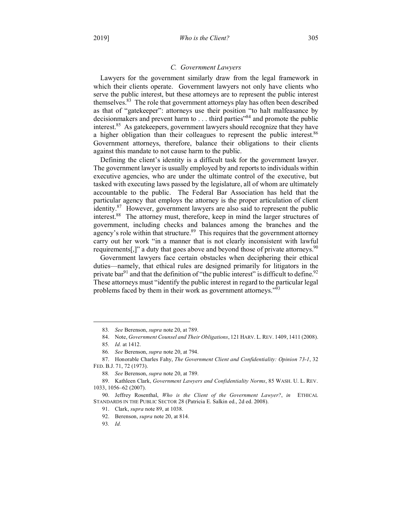# *C. Government Lawyers*

Lawyers for the government similarly draw from the legal framework in which their clients operate. Government lawyers not only have clients who serve the public interest, but these attorneys are to represent the public interest themselves.<sup>83</sup> The role that government attorneys play has often been described as that of "gatekeeper": attorneys use their position "to halt malfeasance by decisionmakers and prevent harm to . . . third parties<sup>384</sup> and promote the public interest.<sup>85</sup> As gatekeepers, government lawyers should recognize that they have a higher obligation than their colleagues to represent the public interest.<sup>86</sup> Government attorneys, therefore, balance their obligations to their clients against this mandate to not cause harm to the public.

Defining the client's identity is a difficult task for the government lawyer. The government lawyer is usually employed by and reports to individuals within executive agencies, who are under the ultimate control of the executive, but tasked with executing laws passed by the legislature, all of whom are ultimately accountable to the public. The Federal Bar Association has held that the particular agency that employs the attorney is the proper articulation of client identity.<sup>87</sup> However, government lawyers are also said to represent the public interest.88 The attorney must, therefore, keep in mind the larger structures of government, including checks and balances among the branches and the agency's role within that structure.<sup>89</sup> This requires that the government attorney carry out her work "in a manner that is not clearly inconsistent with lawful requirements[,]" a duty that goes above and beyond those of private attorneys.<sup>90</sup>

Government lawyers face certain obstacles when deciphering their ethical duties—namely, that ethical rules are designed primarily for litigators in the private bar<sup>91</sup> and that the definition of "the public interest" is difficult to define.<sup>92</sup> These attorneys must "identify the public interest in regard to the particular legal problems faced by them in their work as government attorneys."<sup>93</sup>

<u>.</u>

93*. Id.*

<sup>83</sup>*. See* Berenson, *supra* note 20, at 789.

<sup>84.</sup> Note, *Government Counsel and Their Obligations*, 121 HARV. L. REV. 1409, 1411 (2008).

<sup>85</sup>*. Id.* at 1412.

<sup>86</sup>*. See* Berenson, *supra* note 20, at 794.

<sup>87.</sup> Honorable Charles Fahy, *The Government Client and Confidentiality: Opinion 73-1*, 32 FED. B.J. 71, 72 (1973).

<sup>88</sup>*. See* Berenson, *supra* note 20, at 789.

<sup>89.</sup> Kathleen Clark, *Government Lawyers and Confidentiality Norms*, 85 WASH. U. L. REV. 1033, 1056–62 (2007).

<sup>90.</sup> Jeffrey Rosenthal, *Who is the Client of the Government Lawyer?*, *in* ETHICAL STANDARDS IN THE PUBLIC SECTOR 28 (Patricia E. Salkin ed., 2d ed. 2008).

<sup>91.</sup> Clark, *supra* note 89, at 1038.

<sup>92.</sup> Berenson, *supra* note 20, at 814.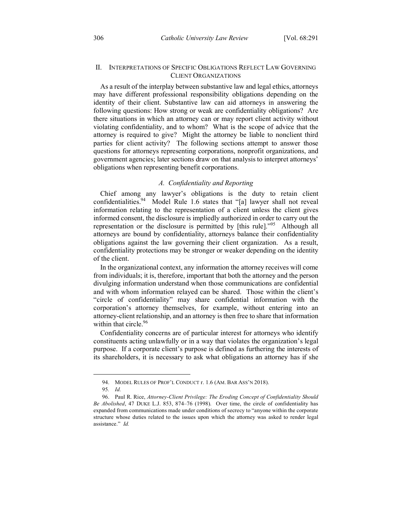# II. INTERPRETATIONS OF SPECIFIC OBLIGATIONS REFLECT LAW GOVERNING CLIENT ORGANIZATIONS

As a result of the interplay between substantive law and legal ethics, attorneys may have different professional responsibility obligations depending on the identity of their client. Substantive law can aid attorneys in answering the following questions: How strong or weak are confidentiality obligations? Are there situations in which an attorney can or may report client activity without violating confidentiality, and to whom? What is the scope of advice that the attorney is required to give? Might the attorney be liable to nonclient third parties for client activity? The following sections attempt to answer those questions for attorneys representing corporations, nonprofit organizations, and government agencies; later sections draw on that analysis to interpret attorneys' obligations when representing benefit corporations.

# *A. Confidentiality and Reporting*

Chief among any lawyer's obligations is the duty to retain client confidentialities.<sup>94</sup> Model Rule 1.6 states that "[a] lawyer shall not reveal information relating to the representation of a client unless the client gives informed consent, the disclosure is impliedly authorized in order to carry out the representation or the disclosure is permitted by [this rule]."95 Although all attorneys are bound by confidentiality, attorneys balance their confidentiality obligations against the law governing their client organization. As a result, confidentiality protections may be stronger or weaker depending on the identity of the client.

In the organizational context, any information the attorney receives will come from individuals; it is, therefore, important that both the attorney and the person divulging information understand when those communications are confidential and with whom information relayed can be shared. Those within the client's "circle of confidentiality" may share confidential information with the corporation's attorney themselves, for example, without entering into an attorney-client relationship, and an attorney is then free to share that information within that circle.<sup>96</sup>

Confidentiality concerns are of particular interest for attorneys who identify constituents acting unlawfully or in a way that violates the organization's legal purpose. If a corporate client's purpose is defined as furthering the interests of its shareholders, it is necessary to ask what obligations an attorney has if she

<u>.</u>

<sup>94.</sup> MODEL RULES OF PROF'L CONDUCT r. 1.6 (AM. BAR ASS'N 2018).

<sup>95</sup>*. Id.*

<sup>96.</sup> Paul R. Rice, *Attorney-Client Privilege: The Eroding Concept of Confidentiality Should Be Abolished*, 47 DUKE L.J. 853, 874–76 (1998). Over time, the circle of confidentiality has expanded from communications made under conditions of secrecy to "anyone within the corporate structure whose duties related to the issues upon which the attorney was asked to render legal assistance." *Id.*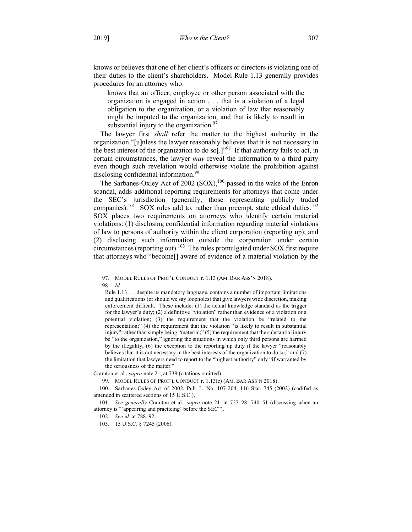knows or believes that one of her client's officers or directors is violating one of their duties to the client's shareholders. Model Rule 1.13 generally provides procedures for an attorney who:

knows that an officer, employee or other person associated with the organization is engaged in action . . . that is a violation of a legal obligation to the organization, or a violation of law that reasonably might be imputed to the organization, and that is likely to result in substantial injury to the organization. $97$ 

The lawyer first *shall* refer the matter to the highest authority in the organization "[u]nless the lawyer reasonably believes that it is not necessary in the best interest of the organization to do so[.]"98 If that authority fails to act, in certain circumstances, the lawyer *may* reveal the information to a third party even though such revelation would otherwise violate the prohibition against disclosing confidential information.<sup>99</sup>

The Sarbanes-Oxley Act of 2002 (SOX),<sup>100</sup> passed in the wake of the Enron scandal, adds additional reporting requirements for attorneys that come under the SEC's jurisdiction (generally, those representing publicly traded companies).<sup>101</sup> SOX rules add to, rather than preempt, state ethical duties.<sup>102</sup> SOX places two requirements on attorneys who identify certain material violations: (1) disclosing confidential information regarding material violations of law to persons of authority within the client corporation (reporting up); and (2) disclosing such information outside the corporation under certain  $circumstances$  (reporting out).<sup>103</sup> The rules promulgated under SOX first require that attorneys who "become[] aware of evidence of a material violation by the

 <sup>97.</sup> MODEL RULES OF PROF'L CONDUCT r. 1.13 (AM. BAR ASS'N 2018). 98*. Id.*

Rule 1.13 . . . despite its mandatory language, contains a number of important limitations and qualifications (or should we say loopholes) that give lawyers wide discretion, making enforcement difficult. These include: (1) the actual knowledge standard as the trigger for the lawyer's duty; (2) a definitive "violation" rather than evidence of a violation or a potential violation; (3) the requirement that the violation be "related to the representation;" (4) the requirement that the violation "is likely to result in substantial injury" rather than simply being "material;" (5) the requirement that the substantial injury be "to the organization," ignoring the situations in which only third persons are harmed by the illegality; (6) the exception to the reporting up duty if the lawyer "reasonably believes that it is not necessary in the best interests of the organization to do so;" and (7) the limitation that lawyers need to report to the "highest authority" only "if warranted by the seriousness of the matter."

Cramton et al., *supra* note 21, at 739 (citations omitted).

<sup>99.</sup> MODEL RULES OF PROF'L CONDUCT r. 1.13(c) (AM. BAR ASS'N 2018).

<sup>100.</sup> Sarbanes-Oxley Act of 2002, Pub. L. No. 107-204, 116 Stat. 745 (2002) (codifed as amended in scattered sections of 15 U.S.C.).

<sup>101</sup>*. See generally* Cramton et al., *supra* note 21, at 727–28, 740–51 (discussing when an attorney is "'appearing and practicing' before the SEC").

<sup>102</sup>*. See id.* at 788–92.

<sup>103.</sup> 15 U.S.C. § 7245 (2006).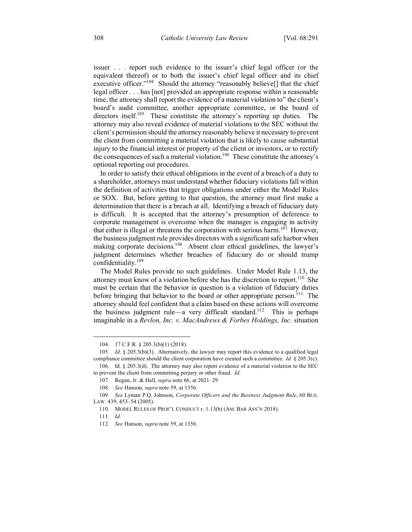issuer . . . report such evidence to the issuer's chief legal officer (or the equivalent thereof) or to both the issuer's chief legal officer and its chief executive officer."<sup>104</sup> Should the attorney "reasonably believe[] that the chief legal officer . . . has [not] provided an appropriate response within a reasonable time, the attorney shall report the evidence of a material violation to" the client's board's audit committee, another appropriate committee, or the board of directors itself.<sup>105</sup> These constitute the attorney's reporting up duties. The attorney may also reveal evidence of material violations to the SEC without the client's permission should the attorney reasonably believe it necessary to prevent the client from committing a material violation that is likely to cause substantial injury to the financial interest or property of the client or investors, or to rectify the consequences of such a material violation.<sup>106</sup> These constitute the attorney's optional reporting out procedures.

In order to satisfy their ethical obligations in the event of a breach of a duty to a shareholder, attorneys must understand whether fiduciary violations fall within the definition of activities that trigger obligations under either the Model Rules or SOX. But, before getting to that question, the attorney must first make a determination that there is a breach at all. Identifying a breach of fiduciary duty is difficult. It is accepted that the attorney's presumption of deference to corporate management is overcome when the manager is engaging in activity that either is illegal or threatens the corporation with serious harm.<sup>107</sup> However, the business judgment rule provides directors with a significant safe harbor when making corporate decisions.<sup>108</sup> Absent clear ethical guidelines, the lawyer's judgment determines whether breaches of fiduciary do or should trump confidentiality.109

The Model Rules provide no such guidelines. Under Model Rule 1.13, the attorney must know of a violation before she has the discretion to report.<sup>110</sup> She must be certain that the behavior in question is a violation of fiduciary duties before bringing that behavior to the board or other appropriate person.<sup>111</sup> The attorney should feel confident that a claim based on these actions will overcome the business judgment rule—a very difficult standard.<sup>112</sup> This is perhaps imaginable in a *Revlon, Inc. v. MacAndrews & Forbes Holdings, Inc.* situation

106. Id. § 205.3(d). The attorney may also report evidence of a material violation to the SEC to prevent the client from committing perjury or other fraud. *Id.*

 <sup>104.</sup> 17 C.F.R. § 205.3(b)(1) (2018).

<sup>105</sup>*. Id.* § 205.3(b)(3). Alternatively, the lawyer may report this evidence to a qualified legal compliance committee should the client corporation have created such a committee. *Id.* § 205.3(c).

<sup>107.</sup> Regan, Jr. & Hall, *supra* note 66, at 2021–29.

<sup>108</sup>*. See* Hanson, *supra* note 59, at 1356.

<sup>109</sup>*. See* Lyman P.Q. Johnson, *Corporate Officers and the Business Judgment Rule*, 60 BUS. LAW. 439, 453–54 (2005).

<sup>110.</sup> MODEL RULES OF PROF'L CONDUCT r. 1.13(b) (AM. BAR ASS'N 2018).

<sup>111</sup>*. Id.*

<sup>112</sup>*. See* Hanson, *supra* note 59, at 1356.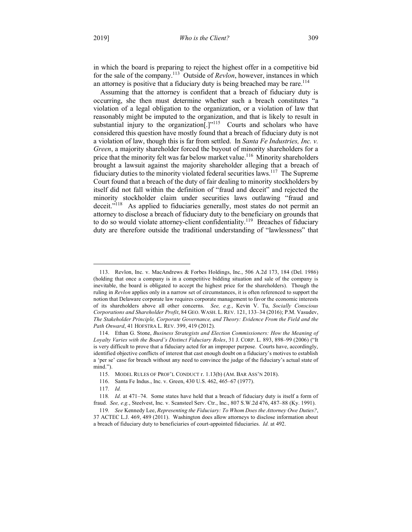in which the board is preparing to reject the highest offer in a competitive bid for the sale of the company.113 Outside of *Revlon*, however, instances in which an attorney is positive that a fiduciary duty is being breached may be rare.<sup>114</sup>

Assuming that the attorney is confident that a breach of fiduciary duty is occurring, she then must determine whether such a breach constitutes "a violation of a legal obligation to the organization, or a violation of law that reasonably might be imputed to the organization, and that is likely to result in substantial injury to the organization<sup>[1]<sup>115</sup> Courts and scholars who have</sup> considered this question have mostly found that a breach of fiduciary duty is not a violation of law, though this is far from settled. In *Santa Fe Industries, Inc. v. Green*, a majority shareholder forced the buyout of minority shareholders for a price that the minority felt was far below market value.<sup>116</sup> Minority shareholders brought a lawsuit against the majority shareholder alleging that a breach of fiduciary duties to the minority violated federal securities laws.117 The Supreme Court found that a breach of the duty of fair dealing to minority stockholders by itself did not fall within the definition of "fraud and deceit" and rejected the minority stockholder claim under securities laws outlawing "fraud and deceit."<sup>118</sup> As applied to fiduciaries generally, most states do not permit an attorney to disclose a breach of fiduciary duty to the beneficiary on grounds that to do so would violate attorney-client confidentiality.<sup>119</sup> Breaches of fiduciary duty are therefore outside the traditional understanding of "lawlessness" that

 <sup>113.</sup> Revlon, Inc. v. MacAndrews & Forbes Holdings, Inc., 506 A.2d 173, 184 (Del. 1986) (holding that once a company is in a competitive bidding situation and sale of the company is inevitable, the board is obligated to accept the highest price for the shareholders). Though the ruling in *Revlon* applies only in a narrow set of circumstances, it is often referenced to support the notion that Delaware corporate law requires corporate management to favor the economic interests of its shareholders above all other concerns. *See, e.g.*, Kevin V. Tu, *Socially Conscious Corporations and Shareholder Profit*, 84 GEO. WASH. L. REV. 121, 133–34 (2016); P.M. Vasudev, *The Stakeholder Principle, Corporate Governance, and Theory: Evidence From the Field and the Path Onward*, 41 HOFSTRA L. REV. 399, 419 (2012).

<sup>114.</sup> Ethan G. Stone, *Business Strategists and Election Commissioners: How the Meaning of Loyalty Varies with the Board's Distinct Fiduciary Roles*, 31 J. CORP. L. 893, 898–99 (2006) ("It is very difficult to prove that a fiduciary acted for an improper purpose. Courts have, accordingly, identified objective conflicts of interest that cast enough doubt on a fiduciary's motives to establish a 'per se' case for breach without any need to convince the judge of the fiduciary's actual state of mind.").

<sup>115.</sup> MODEL RULES OF PROF'L CONDUCT r. 1.13(b) (AM. BAR ASS'N 2018).

<sup>116.</sup> Santa Fe Indus., Inc. v. Green, 430 U.S. 462, 465–67 (1977).

<sup>117</sup>*. Id.*

<sup>118</sup>*. Id.* at 471–74. Some states have held that a breach of fiduciary duty is itself a form of fraud. *See, e.g.*, Steelvest, Inc. v. Scansteel Serv. Ctr., Inc., 807 S.W.2d 476, 487–88 (Ky. 1991).

<sup>119</sup>*. See* Kennedy Lee, *Representing the Fiduciary: To Whom Does the Attorney Owe Duties?*, 37 ACTEC L.J. 469, 489 (2011). Washington does allow attorneys to disclose information about a breach of fiduciary duty to beneficiaries of court-appointed fiduciaries. *Id.* at 492.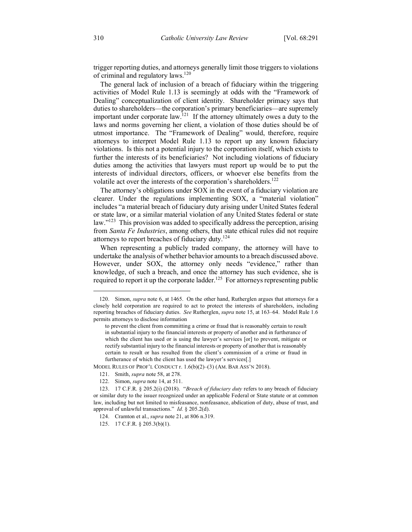trigger reporting duties, and attorneys generally limit those triggers to violations of criminal and regulatory laws.<sup>120</sup>

The general lack of inclusion of a breach of fiduciary within the triggering activities of Model Rule 1.13 is seemingly at odds with the "Framework of Dealing" conceptualization of client identity. Shareholder primacy says that duties to shareholders—the corporation's primary beneficiaries—are supremely important under corporate law.<sup>121</sup> If the attorney ultimately owes a duty to the laws and norms governing her client, a violation of those duties should be of utmost importance. The "Framework of Dealing" would, therefore, require attorneys to interpret Model Rule 1.13 to report up any known fiduciary violations. Is this not a potential injury to the corporation itself, which exists to further the interests of its beneficiaries? Not including violations of fiduciary duties among the activities that lawyers must report up would be to put the interests of individual directors, officers, or whoever else benefits from the volatile act over the interests of the corporation's shareholders.<sup>122</sup>

The attorney's obligations under SOX in the event of a fiduciary violation are clearer. Under the regulations implementing SOX, a "material violation" includes "a material breach of fiduciary duty arising under United States federal or state law, or a similar material violation of any United States federal or state law."<sup>123</sup> This provision was added to specifically address the perception, arising from *Santa Fe Industries*, among others, that state ethical rules did not require attorneys to report breaches of fiduciary duty.<sup>124</sup>

When representing a publicly traded company, the attorney will have to undertake the analysis of whether behavior amounts to a breach discussed above. However, under SOX, the attorney only needs "evidence," rather than knowledge, of such a breach, and once the attorney has such evidence, she is required to report it up the corporate ladder.<sup>125</sup> For attorneys representing public

MODEL RULES OF PROF'L CONDUCT r. 1.6(b)(2)–(3) (AM. BAR ASS'N 2018).

 <sup>120.</sup> Simon, *supra* note 6, at 1465. On the other hand, Rutherglen argues that attorneys for a closely held corporation are required to act to protect the interests of shareholders, including reporting breaches of fiduciary duties. *See* Rutherglen, *supra* note 15, at 163–64. Model Rule 1.6 permits attorneys to disclose information

to prevent the client from committing a crime or fraud that is reasonably certain to result in substantial injury to the financial interests or property of another and in furtherance of which the client has used or is using the lawyer's services [or] to prevent, mitigate or rectify substantial injury to the financial interests or property of another that is reasonably certain to result or has resulted from the client's commission of a crime or fraud in furtherance of which the client has used the lawyer's services[.]

<sup>121.</sup> Smith, *supra* note 58, at 278.

<sup>122.</sup> Simon, *supra* note 14, at 511.

<sup>123.</sup> 17 C.F.R. § 205.2(i) (2018). "*Breach of fiduciary duty* refers to any breach of fiduciary or similar duty to the issuer recognized under an applicable Federal or State statute or at common law, including but not limited to misfeasance, nonfeasance, abdication of duty, abuse of trust, and approval of unlawful transactions." *Id.* § 205.2(d).

<sup>124.</sup> Cramton et al., *supra* note 21, at 806 n.319.

<sup>125.</sup> 17 C.F.R. § 205.3(b)(1).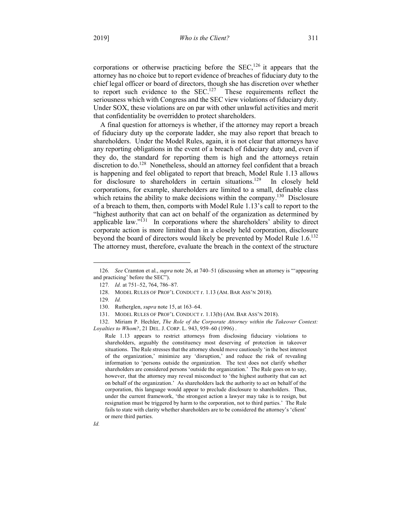corporations or otherwise practicing before the  $SEC.126$  it appears that the attorney has no choice but to report evidence of breaches of fiduciary duty to the chief legal officer or board of directors, though she has discretion over whether to report such evidence to the  $SEC.127$  These requirements reflect the seriousness which with Congress and the SEC view violations of fiduciary duty. Under SOX, these violations are on par with other unlawful activities and merit that confidentiality be overridden to protect shareholders.

A final question for attorneys is whether, if the attorney may report a breach of fiduciary duty up the corporate ladder, she may also report that breach to shareholders. Under the Model Rules, again, it is not clear that attorneys have any reporting obligations in the event of a breach of fiduciary duty and, even if they do, the standard for reporting them is high and the attorneys retain discretion to do.<sup>128</sup> Nonetheless, should an attorney feel confident that a breach is happening and feel obligated to report that breach, Model Rule 1.13 allows for disclosure to shareholders in certain situations.<sup>129</sup> In closely held corporations, for example, shareholders are limited to a small, definable class which retains the ability to make decisions within the company.<sup>130</sup> Disclosure of a breach to them, then, comports with Model Rule 1.13's call to report to the "highest authority that can act on behalf of the organization as determined by applicable law." $131$  In corporations where the shareholders' ability to direct corporate action is more limited than in a closely held corporation, disclosure beyond the board of directors would likely be prevented by Model Rule 1.6.<sup>132</sup> The attorney must, therefore, evaluate the breach in the context of the structure

*Id.*

 <sup>126</sup>*. See* Cramton et al., *supra* note 26, at 740–51 (discussing when an attorney is "'appearing and practicing' before the SEC").

<sup>127</sup>*. Id.* at 751–52, 764, 786–87.

<sup>128.</sup> MODEL RULES OF PROF'L CONDUCT r. 1.13 (AM. BAR ASS'N 2018).

<sup>129</sup>*. Id.*

<sup>130.</sup> Rutherglen, *supra* note 15, at 163–64.

<sup>131.</sup> MODEL RULES OF PROF'L CONDUCT r. 1.13(b) (AM. BAR ASS'N 2018).

<sup>132.</sup> Miriam P. Hechler, *The Role of the Corporate Attorney within the Takeover Context: Loyalties to Whom?*, 21 DEL. J. CORP. L. 943, 959–60 (1996) .

Rule 1.13 appears to restrict attorneys from disclosing fiduciary violations to shareholders, arguably the constituency most deserving of protection in takeover situations. The Rule stresses that the attorney should move cautiously 'in the best interest of the organization,' minimize any 'disruption,' and reduce the risk of revealing information to 'persons outside the organization. The text does not clarify whether shareholders are considered persons 'outside the organization.' The Rule goes on to say, however, that the attorney may reveal misconduct to 'the highest authority that can act on behalf of the organization.' As shareholders lack the authority to act on behalf of the corporation, this language would appear to preclude disclosure to shareholders. Thus, under the current framework, 'the strongest action a lawyer may take is to resign, but resignation must be triggered by harm to the corporation, not to third parties.' The Rule fails to state with clarity whether shareholders are to be considered the attorney's 'client' or mere third parties.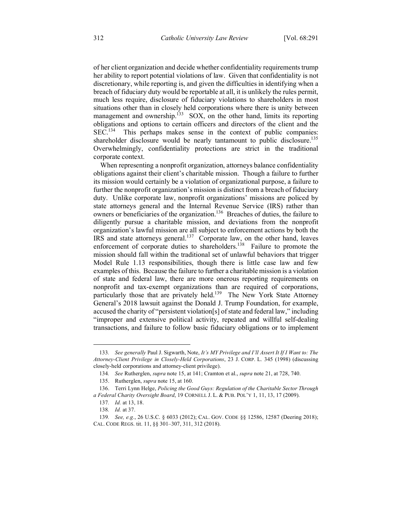of her client organization and decide whether confidentiality requirements trump her ability to report potential violations of law. Given that confidentiality is not discretionary, while reporting is, and given the difficulties in identifying when a breach of fiduciary duty would be reportable at all, it is unlikely the rules permit, much less require, disclosure of fiduciary violations to shareholders in most situations other than in closely held corporations where there is unity between management and ownership.<sup>133</sup> SOX, on the other hand, limits its reporting obligations and options to certain officers and directors of the client and the SEC.134 This perhaps makes sense in the context of public companies: shareholder disclosure would be nearly tantamount to public disclosure.<sup>135</sup> Overwhelmingly, confidentiality protections are strict in the traditional corporate context.

When representing a nonprofit organization, attorneys balance confidentiality obligations against their client's charitable mission. Though a failure to further its mission would certainly be a violation of organizational purpose, a failure to further the nonprofit organization's mission is distinct from a breach of fiduciary duty. Unlike corporate law, nonprofit organizations' missions are policed by state attorneys general and the Internal Revenue Service (IRS) rather than owners or beneficiaries of the organization.<sup>136</sup> Breaches of duties, the failure to diligently pursue a charitable mission, and deviations from the nonprofit organization's lawful mission are all subject to enforcement actions by both the IRS and state attorneys general.<sup>137</sup> Corporate law, on the other hand, leaves enforcement of corporate duties to shareholders.<sup>138</sup> Failure to promote the mission should fall within the traditional set of unlawful behaviors that trigger Model Rule 1.13 responsibilities, though there is little case law and few examples of this. Because the failure to further a charitable mission is a violation of state and federal law, there are more onerous reporting requirements on nonprofit and tax-exempt organizations than are required of corporations, particularly those that are privately held.<sup>139</sup> The New York State Attorney General's 2018 lawsuit against the Donald J. Trump Foundation, for example, accused the charity of "persistent violation[s] of state and federal law," including "improper and extensive political activity, repeated and willful self-dealing transactions, and failure to follow basic fiduciary obligations or to implement

 <sup>133</sup>*. See generally* Paul J. Sigwarth, Note, *It's MY Privilege and I'll Assert It If I Want to: The Attorney-Client Privilege in Closely-Held Corporations*, 23 J. CORP. L. 345 (1998) (discussing closely-held corporations and attorney-client privilege).

<sup>134</sup>*. See* Rutherglen, *supra* note 15, at 141; Cramton et al., *supra* note 21, at 728, 740.

<sup>135.</sup> Rutherglen, *supra* note 15, at 160.

<sup>136.</sup> Terri Lynn Helge, *Policing the Good Guys: Regulation of the Charitable Sector Through a Federal Charity Oversight Board*, 19 CORNELL J. L. & PUB. POL'Y 1, 11, 13, 17 (2009).

<sup>137</sup>*. Id.* at 13, 18.

<sup>138</sup>*. Id.* at 37.

<sup>139</sup>*. See, e.g.*, 26 U.S.C. § 6033 (2012); CAL. GOV. CODE §§ 12586, 12587 (Deering 2018); CAL. CODE REGS. tit. 11, §§ 301–307, 311, 312 (2018).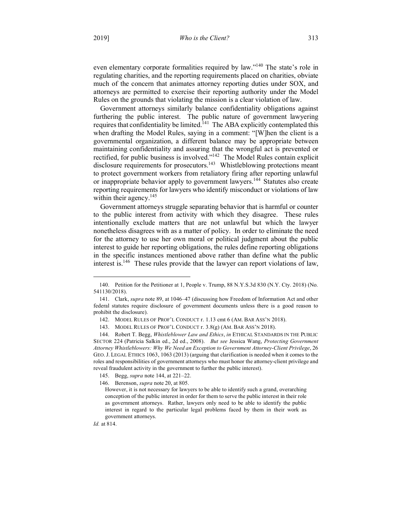even elementary corporate formalities required by law."140 The state's role in regulating charities, and the reporting requirements placed on charities, obviate much of the concern that animates attorney reporting duties under SOX, and attorneys are permitted to exercise their reporting authority under the Model Rules on the grounds that violating the mission is a clear violation of law.

Government attorneys similarly balance confidentiality obligations against furthering the public interest. The public nature of government lawyering requires that confidentiality be limited.<sup>141</sup> The ABA explicitly contemplated this when drafting the Model Rules, saying in a comment: "[W]hen the client is a governmental organization, a different balance may be appropriate between maintaining confidentiality and assuring that the wrongful act is prevented or rectified, for public business is involved."142 The Model Rules contain explicit disclosure requirements for prosecutors.<sup>143</sup> Whistleblowing protections meant to protect government workers from retaliatory firing after reporting unlawful or inappropriate behavior apply to government lawyers.<sup>144</sup> Statutes also create reporting requirements for lawyers who identify misconduct or violations of law within their agency.<sup>145</sup>

Government attorneys struggle separating behavior that is harmful or counter to the public interest from activity with which they disagree. These rules intentionally exclude matters that are not unlawful but which the lawyer nonetheless disagrees with as a matter of policy. In order to eliminate the need for the attorney to use her own moral or political judgment about the public interest to guide her reporting obligations, the rules define reporting obligations in the specific instances mentioned above rather than define what the public interest is.<sup>146</sup> These rules provide that the lawyer can report violations of law,

146. Berenson, *supra* note 20, at 805.

However, it is not necessary for lawyers to be able to identify such a grand, overarching conception of the public interest in order for them to serve the public interest in their role as government attorneys. Rather, lawyers only need to be able to identify the public interest in regard to the particular legal problems faced by them in their work as government attorneys.

*Id.* at 814.

 <sup>140.</sup> Petition for the Petitioner at 1, People v. Trump, 88 N.Y.S.3d 830 (N.Y. Cty. 2018) (No. 541130/2018).

<sup>141.</sup> Clark, *supra* note 89, at 1046–47 (discussing how Freedom of Information Act and other federal statutes require disclosure of government documents unless there is a good reason to prohibit the disclosure).

<sup>142.</sup> MODEL RULES OF PROF'L CONDUCT r. 1.13 cmt 6 (AM. BAR ASS'N 2018).

<sup>143.</sup> MODEL RULES OF PROF'L CONDUCT r. 3.8(g) (AM. BAR ASS'N 2018).

<sup>144.</sup> Robert T. Begg, *Whistleblower Law and Ethics*, *in* ETHICAL STANDARDS IN THE PUBLIC SECTOR 224 (Patricia Salkin ed., 2d ed., 2008). *But see* Jessica Wang, *Protecting Government Attorney Whistleblowers: Why We Need an Exception to Government Attorney-Client Privilege*, 26 GEO.J. LEGAL ETHICS 1063, 1063 (2013) (arguing that clarification is needed when it comes to the roles and responsibilities of government attorneys who must honor the attorney-client privilege and reveal fraudulent activity in the government to further the public interest).

<sup>145.</sup> Begg, *supra* note 144, at 221–22.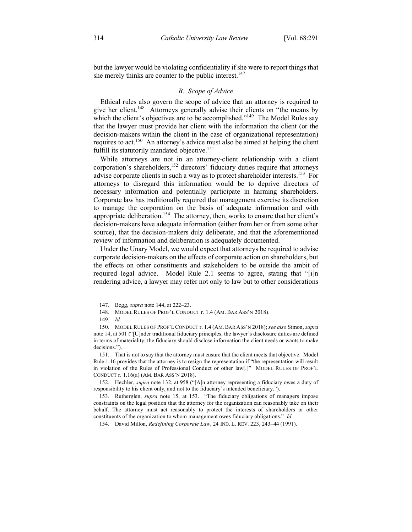but the lawyer would be violating confidentiality if she were to report things that she merely thinks are counter to the public interest.<sup>147</sup>

# *B. Scope of Advice*

Ethical rules also govern the scope of advice that an attorney is required to give her client.<sup>148</sup> Attorneys generally advise their clients on "the means by which the client's objectives are to be accomplished."<sup>149</sup> The Model Rules say that the lawyer must provide her client with the information the client (or the decision-makers within the client in the case of organizational representation) requires to act.<sup>150</sup> An attorney's advice must also be aimed at helping the client fulfill its statutorily mandated objective.<sup>151</sup>

While attorneys are not in an attorney-client relationship with a client corporation's shareholders,<sup>152</sup> directors' fiduciary duties require that attorneys advise corporate clients in such a way as to protect shareholder interests.<sup>153</sup> For attorneys to disregard this information would be to deprive directors of necessary information and potentially participate in harming shareholders. Corporate law has traditionally required that management exercise its discretion to manage the corporation on the basis of adequate information and with appropriate deliberation.<sup>154</sup> The attorney, then, works to ensure that her client's decision-makers have adequate information (either from her or from some other source), that the decision-makers duly deliberate, and that the aforementioned review of information and deliberation is adequately documented.

Under the Unary Model, we would expect that attorneys be required to advise corporate decision-makers on the effects of corporate action on shareholders, but the effects on other constituents and stakeholders to be outside the ambit of required legal advice. Model Rule 2.1 seems to agree, stating that "[i]n rendering advice, a lawyer may refer not only to law but to other considerations

 <sup>147.</sup> Begg, *supra* note 144, at 222–23.

<sup>148.</sup> MODEL RULES OF PROF'L CONDUCT r. 1.4 (AM. BAR ASS'N 2018).

<sup>149</sup>*. Id.*

<sup>150.</sup> MODEL RULES OF PROF'L CONDUCT r. 1.4 (AM. BAR ASS'N 2018); *see also* Simon, *supra* note 14, at 501 ("[U]nder traditional fiduciary principles, the lawyer's disclosure duties are defined in terms of materiality; the fiduciary should disclose information the client needs or wants to make decisions.").

<sup>151.</sup> That is not to say that the attorney must ensure that the client meets that objective. Model Rule 1.16 provides that the attorney is to resign the representation if "the representation will result in violation of the Rules of Professional Conduct or other law[.]" MODEL RULES OF PROF'L CONDUCT r. 1.16(a) (AM. BAR ASS'N 2018).

<sup>152.</sup> Hechler, *supra* note 132, at 958 ("[A]n attorney representing a fiduciary owes a duty of responsibility to his client only, and not to the fiduciary's intended beneficiary.").

<sup>153.</sup> Rutherglen, *supra* note 15, at 153. "The fiduciary obligations of managers impose constraints on the legal position that the attorney for the organization can reasonably take on their behalf. The attorney must act reasonably to protect the interests of shareholders or other constituents of the organization to whom management owes fiduciary obligations." *Id.*

<sup>154.</sup> David Millon, *Redefining Corporate Law*, 24 IND. L. REV. 223, 243–44 (1991).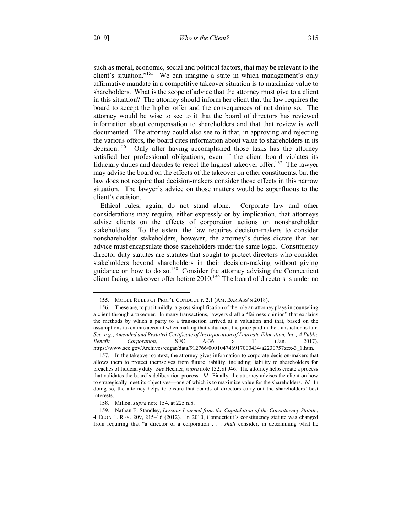such as moral, economic, social and political factors, that may be relevant to the client's situation."155 We can imagine a state in which management's only affirmative mandate in a competitive takeover situation is to maximize value to shareholders. What is the scope of advice that the attorney must give to a client in this situation? The attorney should inform her client that the law requires the board to accept the higher offer and the consequences of not doing so. The attorney would be wise to see to it that the board of directors has reviewed information about compensation to shareholders and that that review is well documented. The attorney could also see to it that, in approving and rejecting the various offers, the board cites information about value to shareholders in its decision.<sup>156</sup> Only after having accomplished those tasks has the attorney Only after having accomplished those tasks has the attorney satisfied her professional obligations, even if the client board violates its fiduciary duties and decides to reject the highest takeover offer.157 The lawyer may advise the board on the effects of the takeover on other constituents, but the law does not require that decision-makers consider those effects in this narrow situation. The lawyer's advice on those matters would be superfluous to the client's decision.

Ethical rules, again, do not stand alone. Corporate law and other considerations may require, either expressly or by implication, that attorneys advise clients on the effects of corporation actions on nonshareholder stakeholders. To the extent the law requires decision-makers to consider nonshareholder stakeholders, however, the attorney's duties dictate that her advice must encapsulate those stakeholders under the same logic. Constituency director duty statutes are statutes that sought to protect directors who consider stakeholders beyond shareholders in their decision-making without giving guidance on how to do so.158 Consider the attorney advising the Connecticut client facing a takeover offer before  $2010$ .<sup>159</sup> The board of directors is under no

 <sup>155.</sup> MODEL RULES OF PROF'L CONDUCT r. 2.1 (AM. BAR ASS'N 2018).

<sup>156.</sup> These are, to put it mildly, a gross simplification of the role an attorney plays in counseling a client through a takeover. In many transactions, lawyers draft a "fairness opinion" that explains the methods by which a party to a transaction arrived at a valuation and that, based on the assumptions taken into account when making that valuation, the price paid in the transaction is fair. *See, e.g.*, *Amended and Restated Certificate of Incorporation of Laureate Education, Inc., A Public Benefit Corporation*, SEC A-36 § 11 (Jan. 2017), https://www.sec.gov/Archives/edgar/data/912766/000104746917000434/a2230757zex-3\_1.htm.

<sup>157.</sup> In the takeover context, the attorney gives information to corporate decision-makers that allows them to protect themselves from future liability, including liability to shareholders for breaches of fiduciary duty. *See* Hechler, *supra* note 132, at 946. The attorney helps create a process that validates the board's deliberation process. *Id.* Finally, the attorney advises the client on how to strategically meet its objectives—one of which is to maximize value for the shareholders. *Id.* In doing so, the attorney helps to ensure that boards of directors carry out the shareholders' best interests.

<sup>158.</sup> Millon, *supra* note 154, at 225 n.8.

<sup>159.</sup> Nathan E. Standley, *Lessons Learned from the Capitulation of the Constituency Statute*, 4 ELON L. REV. 209, 215–16 (2012). In 2010, Connecticut's constituency statute was changed from requiring that "a director of a corporation . . . *shall* consider, in determining what he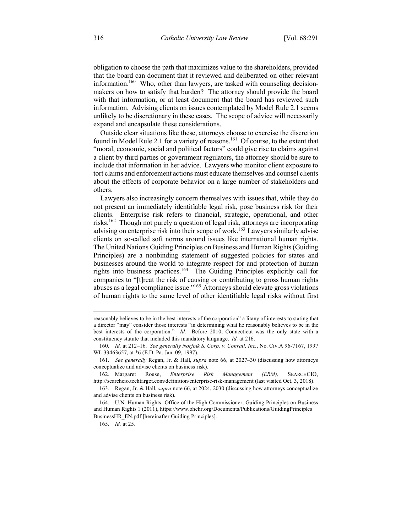obligation to choose the path that maximizes value to the shareholders, provided that the board can document that it reviewed and deliberated on other relevant information.<sup>160</sup> Who, other than lawyers, are tasked with counseling decisionmakers on how to satisfy that burden? The attorney should provide the board with that information, or at least document that the board has reviewed such information. Advising clients on issues contemplated by Model Rule 2.1 seems unlikely to be discretionary in these cases. The scope of advice will necessarily expand and encapsulate these considerations.

Outside clear situations like these, attorneys choose to exercise the discretion found in Model Rule 2.1 for a variety of reasons.<sup>161</sup> Of course, to the extent that "moral, economic, social and political factors" could give rise to claims against a client by third parties or government regulators, the attorney should be sure to include that information in her advice. Lawyers who monitor client exposure to tort claims and enforcement actions must educate themselves and counsel clients about the effects of corporate behavior on a large number of stakeholders and others.

Lawyers also increasingly concern themselves with issues that, while they do not present an immediately identifiable legal risk, pose business risk for their clients. Enterprise risk refers to financial, strategic, operational, and other risks.162 Though not purely a question of legal risk, attorneys are incorporating advising on enterprise risk into their scope of work.<sup>163</sup> Lawyers similarly advise clients on so-called soft norms around issues like international human rights. The United Nations Guiding Principles on Business and Human Rights (Guiding Principles) are a nonbinding statement of suggested policies for states and businesses around the world to integrate respect for and protection of human rights into business practices.164 The Guiding Principles explicitly call for companies to "[t]reat the risk of causing or contributing to gross human rights abuses as a legal compliance issue."165 Attorneys should elevate gross violations of human rights to the same level of other identifiable legal risks without first

reasonably believes to be in the best interests of the corporation" a litany of interests to stating that a director "may" consider those interests "in determining what he reasonably believes to be in the best interests of the corporation." *Id.* Before 2010, Connecticut was the only state with a constituency statute that included this mandatory language. *Id.* at 216.

<sup>160</sup>*. Id.* at 212–16. *See generally Norfolk S. Corp. v. Conrail, Inc.*, No. Civ.A 96-7167, 1997 WL 33463657, at \*6 (E.D. Pa. Jan. 09, 1997).

<sup>161</sup>*. See generally* Regan, Jr. & Hall, *supra* note 66, at 2027–30 (discussing how attorneys conceptualize and advise clients on business risk).

<sup>162.</sup> Margaret Rouse, *Enterprise Risk Management (ERM)*, SEARCHCIO, http://searchcio.techtarget.com/definition/enterprise-risk-management (last visited Oct. 3, 2018).

<sup>163.</sup> Regan, Jr. & Hall, *supra* note 66, at 2024, 2030 (discussing how attorneys conceptualize and advise clients on business risk).

<sup>164.</sup> U.N. Human Rights: Office of the High Commissioner, Guiding Principles on Business and Human Rights 1 (2011), https://www.ohchr.org/Documents/Publications/GuidingPrinciples BusinessHR\_EN.pdf [hereinafter Guiding Principles].

<sup>165</sup>*. Id.* at 25.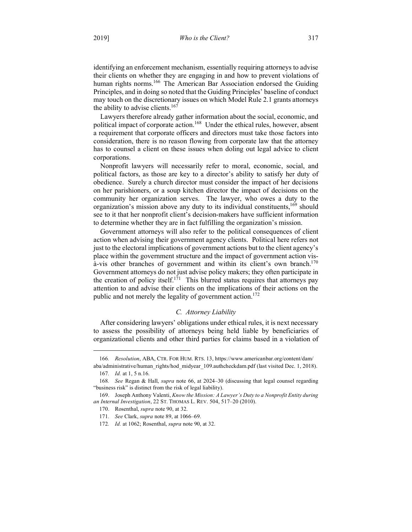identifying an enforcement mechanism, essentially requiring attorneys to advise their clients on whether they are engaging in and how to prevent violations of human rights norms.<sup>166</sup> The American Bar Association endorsed the Guiding Principles, and in doing so noted that the Guiding Principles' baseline of conduct may touch on the discretionary issues on which Model Rule 2.1 grants attorneys the ability to advise clients.<sup>167</sup>

Lawyers therefore already gather information about the social, economic, and political impact of corporate action.<sup>168</sup> Under the ethical rules, however, absent a requirement that corporate officers and directors must take those factors into consideration, there is no reason flowing from corporate law that the attorney has to counsel a client on these issues when doling out legal advice to client corporations.

Nonprofit lawyers will necessarily refer to moral, economic, social, and political factors, as those are key to a director's ability to satisfy her duty of obedience. Surely a church director must consider the impact of her decisions on her parishioners, or a soup kitchen director the impact of decisions on the community her organization serves. The lawyer, who owes a duty to the organization's mission above any duty to its individual constituents,<sup>169</sup> should see to it that her nonprofit client's decision-makers have sufficient information to determine whether they are in fact fulfilling the organization's mission.

Government attorneys will also refer to the political consequences of client action when advising their government agency clients. Political here refers not just to the electoral implications of government actions but to the client agency's place within the government structure and the impact of government action visà-vis other branches of government and within its client's own branch.<sup>170</sup> Government attorneys do not just advise policy makers; they often participate in the creation of policy itself.<sup>171</sup> This blurred status requires that attorneys pay attention to and advise their clients on the implications of their actions on the public and not merely the legality of government action.<sup>172</sup>

#### *C. Attorney Liability*

After considering lawyers' obligations under ethical rules, it is next necessary to assess the possibility of attorneys being held liable by beneficiaries of organizational clients and other third parties for claims based in a violation of

1

<sup>166</sup>*. Resolution*, ABA, CTR. FOR HUM. RTS. 13, https://www.americanbar.org/content/dam/ aba/administrative/human\_rights/hod\_midyear\_109.authcheckdam.pdf (last visited Dec. 1, 2018).

<sup>167</sup>*. Id.* at 1, 5 n.16.

<sup>168</sup>*. See* Regan & Hall, *supra* note 66, at 2024–30 (discussing that legal counsel regarding "business risk" is distinct from the risk of legal liability).

<sup>169.</sup> Joseph Anthony Valenti, *Know the Mission: A Lawyer's Duty to a Nonprofit Entity during an Internal Investigation*, 22 ST. THOMAS L. REV. 504, 517–20 (2010).

<sup>170.</sup> Rosenthal, *supra* note 90, at 32.

<sup>171</sup>*. See* Clark, *supra* note 89, at 1066–69.

<sup>172</sup>*. Id.* at 1062; Rosenthal, *supra* note 90, at 32.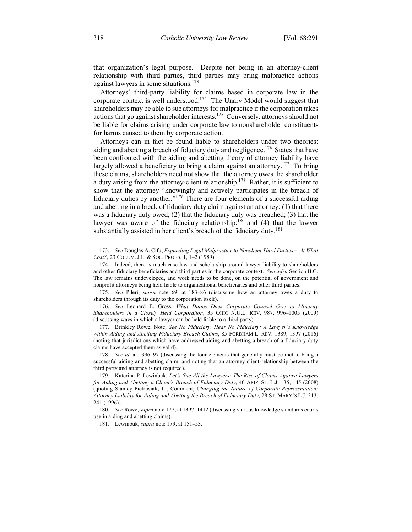that organization's legal purpose. Despite not being in an attorney-client relationship with third parties, third parties may bring malpractice actions against lawyers in some situations.<sup>173</sup>

Attorneys' third-party liability for claims based in corporate law in the corporate context is well understood.<sup>174</sup> The Unary Model would suggest that shareholders may be able to sue attorneys for malpractice if the corporation takes actions that go against shareholder interests.<sup>175</sup> Conversely, attorneys should not be liable for claims arising under corporate law to nonshareholder constituents for harms caused to them by corporate action.

Attorneys can in fact be found liable to shareholders under two theories: aiding and abetting a breach of fiduciary duty and negligence.<sup>176</sup> States that have been confronted with the aiding and abetting theory of attorney liability have largely allowed a beneficiary to bring a claim against an attorney.<sup>177</sup> To bring these claims, shareholders need not show that the attorney owes the shareholder a duty arising from the attorney-client relationship.<sup>178</sup> Rather, it is sufficient to show that the attorney "knowingly and actively participates in the breach of fiduciary duties by another."179 There are four elements of a successful aiding and abetting in a break of fiduciary duty claim against an attorney: (1) that there was a fiduciary duty owed; (2) that the fiduciary duty was breached; (3) that the lawyer was aware of the fiduciary relationship;<sup>180</sup> and (4) that the lawyer substantially assisted in her client's breach of the fiduciary duty.<sup>181</sup>

 <sup>173</sup>*. See* Douglas A. Cifu, *Expanding Legal Malpractice to Nonclient Third Parties – At What Cost?*, 23 COLUM. J.L. & SOC. PROBS. 1, 1–2 (1989).

<sup>174.</sup> Indeed, there is much case law and scholarship around lawyer liability to shareholders and other fiduciary beneficiaries and third parties in the corporate context. *See infra* Section II.C. The law remains undeveloped, and work needs to be done, on the potential of government and nonprofit attorneys being held liable to organizational beneficiaries and other third parties.

<sup>175</sup>*. See* Pileri, *supra* note 69, at 183–86 (discussing how an attorney owes a duty to shareholders through its duty to the corporation itself).

<sup>176</sup>*. See* Leonard E. Gross, *What Duties Does Corporate Counsel Owe to Minority Shareholders in a Closely Held Corporation*, 35 OHIO N.U.L. REV. 987, 996–1005 (2009) (discussing ways in which a lawyer can be held liable to a third party).

<sup>177.</sup> Brinkley Rowe, Note, *See No Fiduciary, Hear No Fiduciary: A Lawyer's Knowledge within Aiding and Abetting Fiduciary Breach Claims*, 85 FORDHAM L. REV. 1389, 1397 (2016) (noting that jurisdictions which have addressed aiding and abetting a breach of a fiduciary duty claims have accepted them as valid).

<sup>178</sup>*. See id.* at 1396–97 (discussing the four elements that generally must be met to bring a successful aiding and abetting claim, and noting that an attorney client-relationship between the third party and attorney is not required).

<sup>179.</sup> Katerina P. Lewinbuk, *Let's Sue All the Lawyers: The Rise of Claims Against Lawyers for Aiding and Abetting a Client's Breach of Fiduciary Duty*, 40 ARIZ. ST. L.J. 135, 145 (2008) (quoting Stanley Pietrusiak, Jr., Comment, *Changing the Nature of Corporate Representation: Attorney Liability for Aiding and Abetting the Breach of Fiduciary Duty*, 28 ST. MARY'S L.J. 213, 241 (1996)).

<sup>180</sup>*. See* Rowe, *supra* note 177, at 1397–1412 (discussing various knowledge standards courts use in aiding and abetting claims).

<sup>181.</sup> Lewinbuk, *supra* note 179, at 151–53.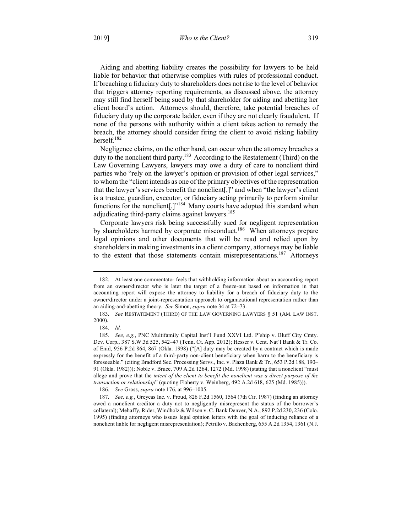2019] *Who is the Client?* 319

Aiding and abetting liability creates the possibility for lawyers to be held liable for behavior that otherwise complies with rules of professional conduct. If breaching a fiduciary duty to shareholders does not rise to the level of behavior that triggers attorney reporting requirements, as discussed above, the attorney may still find herself being sued by that shareholder for aiding and abetting her client board's action. Attorneys should, therefore, take potential breaches of fiduciary duty up the corporate ladder, even if they are not clearly fraudulent. If none of the persons with authority within a client takes action to remedy the breach, the attorney should consider firing the client to avoid risking liability herself.182

Negligence claims, on the other hand, can occur when the attorney breaches a duty to the nonclient third party.183 According to the Restatement (Third) on the Law Governing Lawyers, lawyers may owe a duty of care to nonclient third parties who "rely on the lawyer's opinion or provision of other legal services," to whom the "client intends as one of the primary objectives of the representation that the lawyer's services benefit the nonclient[,]" and when "the lawyer's client is a trustee, guardian, executor, or fiduciary acting primarily to perform similar functions for the nonclient<sup>[1]"184</sup> Many courts have adopted this standard when adjudicating third-party claims against lawyers.<sup>185</sup>

Corporate lawyers risk being successfully sued for negligent representation by shareholders harmed by corporate misconduct.<sup>186</sup> When attorneys prepare legal opinions and other documents that will be read and relied upon by shareholders in making investments in a client company, attorneys may be liable to the extent that those statements contain misrepresentations.<sup>187</sup> Attorneys

 <sup>182.</sup> At least one commentator feels that withholding information about an accounting report from an owner/director who is later the target of a freeze-out based on information in that accounting report will expose the attorney to liability for a breach of fiduciary duty to the owner/director under a joint-representation approach to organizational representation rather than an aiding-and-abetting theory. *See* Simon, *supra* note 34 at 72–73.

<sup>183</sup>*. See* RESTATEMENT (THIRD) OF THE LAW GOVERNING LAWYERS § 51 (AM. LAW INST. 2000).

<sup>184</sup>*. Id.*

<sup>185</sup>*. See, e.g.*, PNC Multifamily Capital Inst'l Fund XXVI Ltd. P'ship v. Bluff City Cmty. Dev. Corp., 387 S.W.3d 525, 542–47 (Tenn. Ct. App. 2012); Hesser v. Cent. Nat'l Bank & Tr. Co. of Enid, 956 P.2d 864, 867 (Okla. 1998) ("[A] duty may be created by a contract which is made expressly for the benefit of a third-party non-client beneficiary when harm to the beneficiary is foreseeable." (citing Bradford Sec. Processing Servs., Inc. v. Plaza Bank & Tr., 653 P.2d 188, 190– 91 (Okla. 1982))); Noble v. Bruce, 709 A.2d 1264, 1272 (Md. 1998) (stating that a nonclient "must allege and prove that the *intent of the client to benefit the nonclient was a direct purpose of the transaction or relationship*" (quoting Flaherty v. Weinberg, 492 A.2d 618, 625 (Md. 1985))).

<sup>186</sup>*. See* Gross, *supra* note 176, at 996–1005.

<sup>187</sup>*. See, e.g.*, Greycas Inc. v. Proud, 826 F.2d 1560, 1564 (7th Cir. 1987) (finding an attorney owed a nonclient creditor a duty not to negligently misrepresent the status of the borrower's collateral); Mehaffy, Rider, Windholz & Wilson v. C. Bank Denver, N.A., 892 P.2d 230, 236 (Colo. 1995) (finding attorneys who issues legal opinion letters with the goal of inducing reliance of a nonclient liable for negligent misrepresentation); Petrillo v. Bachenberg, 655 A.2d 1354, 1361 (N.J.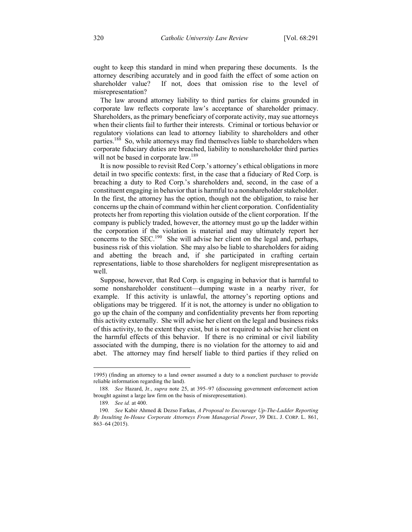ought to keep this standard in mind when preparing these documents. Is the attorney describing accurately and in good faith the effect of some action on shareholder value? If not, does that omission rise to the level of misrepresentation?

The law around attorney liability to third parties for claims grounded in corporate law reflects corporate law's acceptance of shareholder primacy. Shareholders, as the primary beneficiary of corporate activity, may sue attorneys when their clients fail to further their interests. Criminal or tortious behavior or regulatory violations can lead to attorney liability to shareholders and other parties.<sup>188</sup> So, while attorneys may find themselves liable to shareholders when corporate fiduciary duties are breached, liability to nonshareholder third parties will not be based in corporate law.<sup>189</sup>

It is now possible to revisit Red Corp.'s attorney's ethical obligations in more detail in two specific contexts: first, in the case that a fiduciary of Red Corp. is breaching a duty to Red Corp.'s shareholders and, second, in the case of a constituent engaging in behavior that is harmful to a nonshareholder stakeholder. In the first, the attorney has the option, though not the obligation, to raise her concerns up the chain of command within her client corporation. Confidentiality protects her from reporting this violation outside of the client corporation. If the company is publicly traded, however, the attorney must go up the ladder within the corporation if the violation is material and may ultimately report her concerns to the SEC.<sup>190</sup> She will advise her client on the legal and, perhaps, business risk of this violation. She may also be liable to shareholders for aiding and abetting the breach and, if she participated in crafting certain representations, liable to those shareholders for negligent misrepresentation as well.

Suppose, however, that Red Corp. is engaging in behavior that is harmful to some nonshareholder constituent—dumping waste in a nearby river, for example. If this activity is unlawful, the attorney's reporting options and obligations may be triggered. If it is not, the attorney is under no obligation to go up the chain of the company and confidentiality prevents her from reporting this activity externally. She will advise her client on the legal and business risks of this activity, to the extent they exist, but is not required to advise her client on the harmful effects of this behavior. If there is no criminal or civil liability associated with the dumping, there is no violation for the attorney to aid and abet. The attorney may find herself liable to third parties if they relied on

 <sup>1995) (</sup>finding an attorney to a land owner assumed a duty to a nonclient purchaser to provide reliable information regarding the land).

<sup>188</sup>*. See* Hazard, Jr., *supra* note 25, at 395–97 (discussing government enforcement action brought against a large law firm on the basis of misrepresentation).

<sup>189</sup>*. See id.* at 400.

<sup>190</sup>*. See* Kabir Ahmed & Dezso Farkas, *A Proposal to Encourage Up-The-Ladder Reporting By Insulting In-House Corporate Attorneys From Managerial Power*, 39 DEL. J. CORP. L. 861, 863–64 (2015).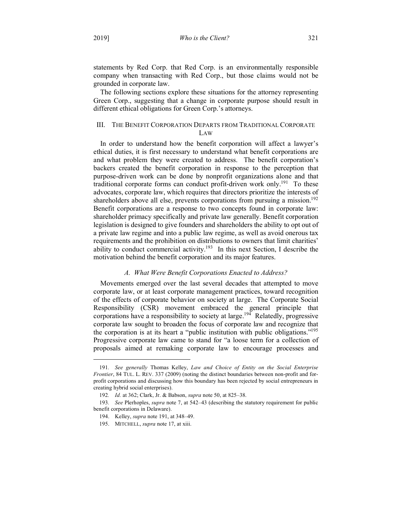statements by Red Corp. that Red Corp. is an environmentally responsible company when transacting with Red Corp., but those claims would not be grounded in corporate law.

The following sections explore these situations for the attorney representing Green Corp., suggesting that a change in corporate purpose should result in different ethical obligations for Green Corp.'s attorneys.

# III. THE BENEFIT CORPORATION DEPARTS FROM TRADITIONAL CORPORATE LAW

In order to understand how the benefit corporation will affect a lawyer's ethical duties, it is first necessary to understand what benefit corporations are and what problem they were created to address. The benefit corporation's backers created the benefit corporation in response to the perception that purpose-driven work can be done by nonprofit organizations alone and that traditional corporate forms can conduct profit-driven work only.<sup>191</sup> To these advocates, corporate law, which requires that directors prioritize the interests of shareholders above all else, prevents corporations from pursuing a mission.<sup>192</sup> Benefit corporations are a response to two concepts found in corporate law: shareholder primacy specifically and private law generally. Benefit corporation legislation is designed to give founders and shareholders the ability to opt out of a private law regime and into a public law regime, as well as avoid onerous tax requirements and the prohibition on distributions to owners that limit charities' ability to conduct commercial activity.<sup>193</sup> In this next Section, I describe the motivation behind the benefit corporation and its major features.

### *A. What Were Benefit Corporations Enacted to Address?*

Movements emerged over the last several decades that attempted to move corporate law, or at least corporate management practices, toward recognition of the effects of corporate behavior on society at large. The Corporate Social Responsibility (CSR) movement embraced the general principle that corporations have a responsibility to society at large.<sup>194</sup> Relatedly, progressive corporate law sought to broaden the focus of corporate law and recognize that the corporation is at its heart a "public institution with public obligations."195 Progressive corporate law came to stand for "a loose term for a collection of proposals aimed at remaking corporate law to encourage processes and

 <sup>191</sup>*. See generally* Thomas Kelley, *Law and Choice of Entity on the Social Enterprise Frontier*, 84 TUL. L. REV. 337 (2009) (noting the distinct boundaries between non-profit and forprofit corporations and discussing how this boundary has been rejected by social entrepreneurs in creating hybrid social enterprises).

<sup>192</sup>*. Id.* at 362; Clark, Jr. & Babson, *supra* note 50, at 825–38.

<sup>193</sup>*. See* Plerhoples, *supra* note 7, at 542–43 (describing the statutory requirement for public benefit corporations in Delaware).

<sup>194.</sup> Kelley, *supra* note 191, at 348–49.

<sup>195.</sup> MITCHELL, *supra* note 17, at xiii.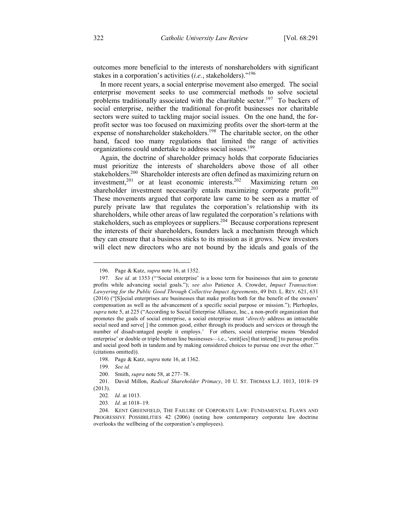outcomes more beneficial to the interests of nonshareholders with significant stakes in a corporation's activities (*i.e.*, stakeholders)."196

In more recent years, a social enterprise movement also emerged. The social enterprise movement seeks to use commercial methods to solve societal problems traditionally associated with the charitable sector.<sup>197</sup> To backers of social enterprise, neither the traditional for-profit businesses nor charitable sectors were suited to tackling major social issues. On the one hand, the forprofit sector was too focused on maximizing profits over the short-term at the expense of nonshareholder stakeholders.<sup>198</sup> The charitable sector, on the other hand, faced too many regulations that limited the range of activities organizations could undertake to address social issues.<sup>199</sup>

Again, the doctrine of shareholder primacy holds that corporate fiduciaries must prioritize the interests of shareholders above those of all other stakeholders.<sup>200</sup> Shareholder interests are often defined as maximizing return on investment,<sup>201</sup> or at least economic interests.<sup>202</sup> Maximizing return on shareholder investment necessarily entails maximizing corporate profit.<sup>203</sup> These movements argued that corporate law came to be seen as a matter of purely private law that regulates the corporation's relationship with its shareholders, while other areas of law regulated the corporation's relations with stakeholders, such as employees or suppliers.<sup>204</sup> Because corporations represent the interests of their shareholders, founders lack a mechanism through which they can ensure that a business sticks to its mission as it grows. New investors will elect new directors who are not bound by the ideals and goals of the

 <sup>196.</sup> Page & Katz, *supra* note 16, at 1352.

<sup>197</sup>*. See id.* at 1353 ("'Social enterprise' is a loose term for businesses that aim to generate profits while advancing social goals."); *see also* Patience A. Crowder, *Impact Transaction: Lawyering for the Public Good Through Collective Impact Agreements*, 49 IND. L. REV. 621, 631 (2016) ("[S]ocial enterprises are businesses that make profits both for the benefit of the owners' compensation as well as the advancement of a specific social purpose or mission."); Plerhoples, *supra* note 5, at 225 ("According to Social Enterprise Alliance, Inc., a non-profit organization that promotes the goals of social enterprise, a social enterprise must '*directly* address an intractable social need and serve[] the common good, either through its products and services or through the number of disadvantaged people it employs.' For others, social enterprise means 'blended enterprise' or double or triple bottom line businesses—i.e., 'entit[ies] that intend[ ] to pursue profits and social good both in tandem and by making considered choices to pursue one over the other.'" (citations omitted)).

<sup>198.</sup> Page & Katz, *supra* note 16, at 1362.

<sup>199</sup>*. See id.*

<sup>200.</sup> Smith, *supra* note 58, at 277–78.

<sup>201.</sup> David Millon, *Radical Shareholder Primacy*, 10 U. ST. THOMAS L.J. 1013, 1018–19 (2013).

<sup>202</sup>*. Id.* at 1013.

<sup>203</sup>*. Id.* at 1018–19.

<sup>204.</sup> KENT GREENFIELD, THE FAILURE OF CORPORATE LAW: FUNDAMENTAL FLAWS AND PROGRESSIVE POSSIBILITIES 42 (2006) (noting how contemporary corporate law doctrine overlooks the wellbeing of the corporation's employees).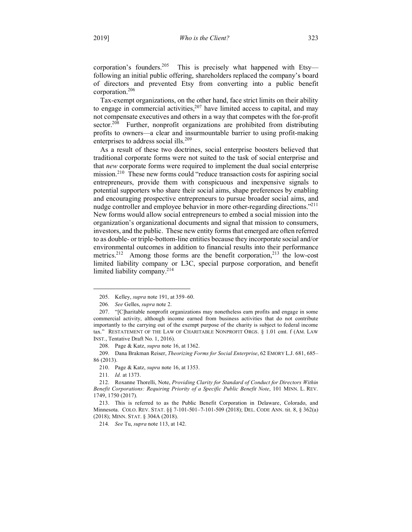corporation's founders.<sup>205</sup> This is precisely what happened with Etsy following an initial public offering, shareholders replaced the company's board of directors and prevented Etsy from converting into a public benefit corporation.206

Tax-exempt organizations, on the other hand, face strict limits on their ability to engage in commercial activities,  $207$  have limited access to capital, and may not compensate executives and others in a way that competes with the for-profit sector.<sup>208</sup> Further, nonprofit organizations are prohibited from distributing profits to owners—a clear and insurmountable barrier to using profit-making enterprises to address social ills.<sup>209</sup>

As a result of these two doctrines, social enterprise boosters believed that traditional corporate forms were not suited to the task of social enterprise and that *new* corporate forms were required to implement the dual social enterprise mission.<sup>210</sup> These new forms could "reduce transaction costs for aspiring social entrepreneurs, provide them with conspicuous and inexpensive signals to potential supporters who share their social aims, shape preferences by enabling and encouraging prospective entrepreneurs to pursue broader social aims, and nudge controller and employee behavior in more other-regarding directions."<sup>211</sup> New forms would allow social entrepreneurs to embed a social mission into the organization's organizational documents and signal that mission to consumers, investors, and the public. These new entity forms that emerged are often referred to as double- or triple-bottom-line entities because they incorporate social and/or environmental outcomes in addition to financial results into their performance metrics.<sup>212</sup> Among those forms are the benefit corporation,<sup>213</sup> the low-cost limited liability company or L3C, special purpose corporation, and benefit limited liability company.<sup>214</sup>

211*. Id.* at 1373.

 <sup>205.</sup> Kelley, *supra* note 191, at 359–60.

<sup>206</sup>*. See* Gelles, *supra* note 2.

<sup>207.</sup> "[C]haritable nonprofit organizations may nonetheless earn profits and engage in some commercial activity, although income earned from business activities that do not contribute importantly to the carrying out of the exempt purpose of the charity is subject to federal income tax." RESTATEMENT OF THE LAW OF CHARITABLE NONPROFIT ORGS. § 1.01 cmt. f (AM. LAW INST., Tentative Draft No. 1, 2016).

<sup>208.</sup> Page & Katz, *supra* note 16, at 1362.

<sup>209.</sup> Dana Brakman Reiser, *Theorizing Forms for Social Enterprise*, 62 EMORY L.J. 681, 685– 86 (2013).

<sup>210.</sup> Page & Katz, *supra* note 16, at 1353.

<sup>212.</sup> Roxanne Thorelli, Note, *Providing Clarity for Standard of Conduct for Directors Within Benefit Corporations: Requiring Priority of a Specific Public Benefit Note*, 101 MINN. L. REV. 1749, 1750 (2017).

<sup>213.</sup> This is referred to as the Public Benefit Corporation in Delaware, Colorado, and Minnesota. COLO. REV. STAT. §§ 7-101-501–7-101-509 (2018); DEL. CODE ANN. tit. 8, § 362(a) (2018); MINN. STAT. § 304A (2018).

<sup>214</sup>*. See* Tu, *supra* note 113, at 142.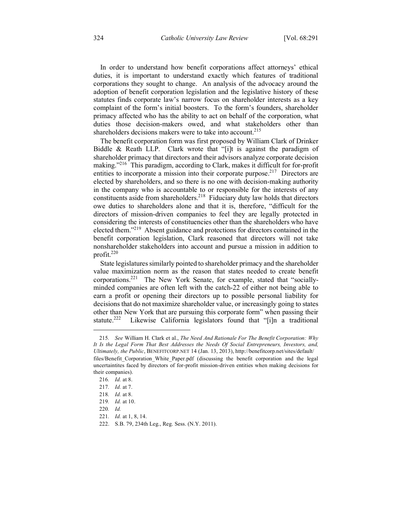In order to understand how benefit corporations affect attorneys' ethical duties, it is important to understand exactly which features of traditional corporations they sought to change. An analysis of the advocacy around the adoption of benefit corporation legislation and the legislative history of these statutes finds corporate law's narrow focus on shareholder interests as a key complaint of the form's initial boosters. To the form's founders, shareholder primacy affected who has the ability to act on behalf of the corporation, what duties those decision-makers owed, and what stakeholders other than shareholders decisions makers were to take into account.<sup>215</sup>

The benefit corporation form was first proposed by William Clark of Drinker Biddle & Reath LLP. Clark wrote that "[i]t is against the paradigm of shareholder primacy that directors and their advisors analyze corporate decision making."<sup>216</sup> This paradigm, according to Clark, makes it difficult for for-profit entities to incorporate a mission into their corporate purpose.<sup>217</sup> Directors are elected by shareholders, and so there is no one with decision-making authority in the company who is accountable to or responsible for the interests of any constituents aside from shareholders.<sup>218</sup> Fiduciary duty law holds that directors owe duties to shareholders alone and that it is, therefore, "difficult for the directors of mission-driven companies to feel they are legally protected in considering the interests of constituencies other than the shareholders who have elected them."<sup>219</sup> Absent guidance and protections for directors contained in the benefit corporation legislation, Clark reasoned that directors will not take nonshareholder stakeholders into account and pursue a mission in addition to profit.<sup>220</sup>

State legislatures similarly pointed to shareholder primacy and the shareholder value maximization norm as the reason that states needed to create benefit corporations.221 The New York Senate, for example, stated that "sociallyminded companies are often left with the catch-22 of either not being able to earn a profit or opening their directors up to possible personal liability for decisions that do not maximize shareholder value, or increasingly going to states other than New York that are pursuing this corporate form" when passing their statute.<sup>222</sup> Likewise California legislators found that "[i]n a traditional

<u>.</u>

<sup>215</sup>*. See* William H. Clark et al., *The Need And Rationale For The Benefit Corporation: Why It Is the Legal Form That Best Addresses the Needs Of Social Entrepreneurs, Investors, and, Ultimately, the Public*, BENEFITCORP.NET 14 (Jan. 13, 2013), http://benefitcorp.net/sites/default/ files/Benefit Corporation\_White\_Paper.pdf (discussing the benefit corporation and the legal uncertaintites faced by directors of for-profit mission-driven entities when making decisions for their companies).

<sup>216</sup>*. Id.* at 8.

<sup>217</sup>*. Id.* at 7.

<sup>218</sup>*. Id.* at 8.

<sup>219</sup>*. Id.* at 10.

<sup>220</sup>*. Id.*

<sup>221</sup>*. Id.* at 1, 8, 14.

<sup>222.</sup> S.B. 79, 234th Leg., Reg. Sess. (N.Y. 2011).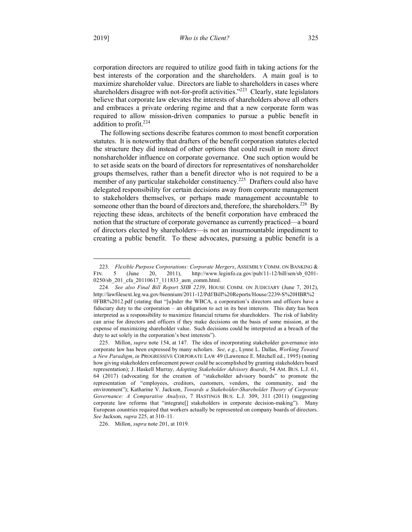corporation directors are required to utilize good faith in taking actions for the best interests of the corporation and the shareholders. A main goal is to maximize shareholder value. Directors are liable to shareholders in cases where shareholders disagree with not-for-profit activities."<sup>223</sup> Clearly, state legislators believe that corporate law elevates the interests of shareholders above all others and embraces a private ordering regime and that a new corporate form was required to allow mission-driven companies to pursue a public benefit in addition to profit.<sup>224</sup>

The following sections describe features common to most benefit corporation statutes. It is noteworthy that drafters of the benefit corporation statutes elected the structure they did instead of other options that could result in more direct nonshareholder influence on corporate governance. One such option would be to set aside seats on the board of directors for representatives of nonshareholder groups themselves, rather than a benefit director who is not required to be a member of any particular stakeholder constituency.<sup>225</sup> Drafters could also have delegated responsibility for certain decisions away from corporate management to stakeholders themselves, or perhaps made management accountable to someone other than the board of directors and, therefore, the shareholders.<sup>226</sup> By rejecting these ideas, architects of the benefit corporation have embraced the notion that the structure of corporate governance as currently practiced—a board of directors elected by shareholders—is not an insurmountable impediment to creating a public benefit. To these advocates, pursuing a public benefit is a

 <sup>223</sup>*. Flexible Purpose Corporations: Corporate Mergers*, ASSEMBLY COMM. ON BANKING & FIN. 5 (June 20, 2011), http://www.leginfo.ca.gov/pub/11-12/bill/sen/sb\_0201- 0250/sb\_201\_cfa\_20110617\_111833\_asm\_comm.html.

<sup>224</sup>*. See also Final Bill Report SHB 2239*, HOUSE COMM. ON JUDICIARY (June 7, 2012), http://lawfilesext.leg.wa.gov/biennium/2011-12/Pdf/Bill%20Reports/House/2239-S%20HBR%2 0FBR%2012.pdf (stating that "[u]nder the WBCA, a corporation's directors and officers have a fiduciary duty to the corporation – an obligation to act in its best interests. This duty has been interpreted as a responsibility to maximize financial returns for shareholders. The risk of liability can arise for directors and officers if they make decisions on the basis of some mission, at the expense of maximizing shareholder value. Such decisions could be interpreted as a breach of the duty to act solely in the corporation's best interests").

<sup>225.</sup> Millon, *supra* note 154, at 147. The idea of incorporating stakeholder governance into corporate law has been expressed by many scholars. *See, e.g.*, Lynne L. Dallas, *Working Toward a New Paradigm*, *in* PROGRESSIVE CORPORATE LAW 49 (Lawrence E. Mitchell ed., 1995) (noting how giving stakeholders enforcement power could be accomplished by granting stakeholders board representation); J. Haskell Murray, *Adopting Stakeholder Advisory Boards*, 54 AM. BUS. L.J. 61, 64 (2017) (advocating for the creation of "stakeholder advisory boards" to promote the representation of "employees, creditors, customers, vendors, the community, and the environment"); Katharine V. Jackson, *Towards a Stakeholder-Shareholder Theory of Corporate Governance: A Comparative Analysis*, 7 HASTINGS BUS. L.J. 309, 311 (2011) (suggesting corporate law reforms that "integrate[] stakeholders in corporate decision-making"). Many European countries required that workers actually be represented on company boards of directors. *See* Jackson, *supra* 225, at 310–11.

<sup>226.</sup> Millon, *supra* note 201, at 1019.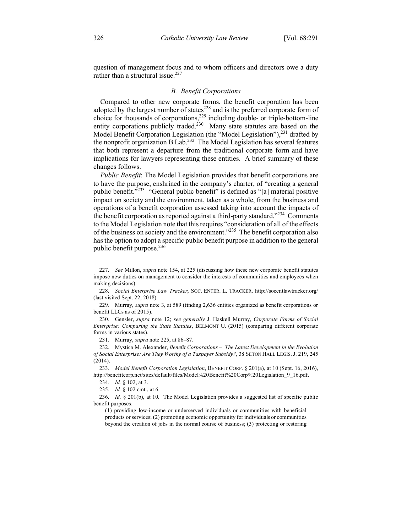question of management focus and to whom officers and directors owe a duty rather than a structural issue.<sup>227</sup>

#### *B. Benefit Corporations*

Compared to other new corporate forms, the benefit corporation has been adopted by the largest number of states $^{228}$  and is the preferred corporate form of choice for thousands of corporations, $229$  including double- or triple-bottom-line entity corporations publicly traded.<sup>230</sup> Many state statutes are based on the Model Benefit Corporation Legislation (the "Model Legislation"),<sup>231</sup> drafted by the nonprofit organization B Lab.<sup>232</sup> The Model Legislation has several features that both represent a departure from the traditional corporate form and have implications for lawyers representing these entities. A brief summary of these changes follows.

*Public Benefit*: The Model Legislation provides that benefit corporations are to have the purpose, enshrined in the company's charter, of "creating a general public benefit."233 "General public benefit" is defined as "[a] material positive impact on society and the environment, taken as a whole, from the business and operations of a benefit corporation assessed taking into account the impacts of the benefit corporation as reported against a third-party standard."234 Comments to the Model Legislation note that this requires "consideration of all of the effects of the business on society and the environment."<sup>235</sup> The benefit corporation also has the option to adopt a specific public benefit purpose in addition to the general public benefit purpose.<sup>236</sup>

 <sup>227</sup>*. See* Millon, *supra* note 154, at 225 (discussing how these new corporate benefit statutes impose new duties on management to consider the interests of communities and employees when making decisions).

<sup>228</sup>*. Social Enterprise Law Tracker*, SOC. ENTER. L. TRACKER, http://socentlawtracker.org/ (last visited Sept. 22, 2018).

<sup>229.</sup> Murray, *supra* note 3, at 589 (finding 2,636 entities organized as benefit corporations or benefit LLCs as of 2015).

<sup>230.</sup> Gensler, *supra* note 12; *see generally* J. Haskell Murray, *Corporate Forms of Social Enterprise: Comparing the State Statutes*, BELMONT U. (2015) (comparing different corporate forms in various states).

<sup>231.</sup> Murray, *supra* note 225, at 86–87.

<sup>232.</sup> Mystica M. Alexander, *Benefit Corporations – The Latest Development in the Evolution of Social Enterprise: Are They Worthy of a Taxpayer Subsidy?*, 38 SETON HALL LEGIS. J. 219, 245 (2014).

<sup>233</sup>*. Model Benefit Corporation Legislation*, BENEFIT CORP. § 201(a), at 10 (Sept. 16, 2016), http://benefitcorp.net/sites/default/files/Model%20Benefit%20Corp%20Legislation\_9\_16.pdf.

<sup>234</sup>*. Id.* § 102, at 3.

<sup>235</sup>*. Id.* § 102 cmt., at 6.

<sup>236</sup>*. Id.* § 201(b), at 10. The Model Legislation provides a suggested list of specific public benefit purposes:

<sup>(1)</sup> providing low-income or underserved individuals or communities with beneficial products or services; (2) promoting economic opportunity for individuals or communities beyond the creation of jobs in the normal course of business; (3) protecting or restoring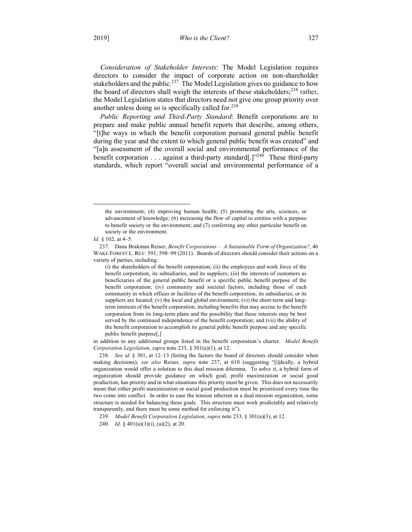*Consideration of Stakeholder Interests*: The Model Legislation requires directors to consider the impact of corporate action on non-shareholder stakeholders and the public.<sup>237</sup> The Model Legislation gives no guidance to how the board of directors shall weigh the interests of these stakeholders;<sup>238</sup> rather, the Model Legislation states that directors need not give one group priority over another unless doing so is specifically called for.<sup>239</sup>

*Public Reporting and Third-Party Standard*: Benefit corporations are to prepare and make public annual benefit reports that describe, among others, "[t]he ways in which the benefit corporation pursued general public benefit during the year and the extent to which general public benefit was created" and "[a]n assessment of the overall social and environmental performance of the benefit corporation  $\dots$  against a third-party standard[.]"<sup>240</sup> These third-party standards, which report "overall social and environmental performance of a

in addition to any additional groups listed in the benefit corporation's charter. *Model Benefit Corporation Legislation*, *supra* note 233, § 301(a)(1), at 12.

238*. See id.* § 301, at 12–13 (listing the factors the board of directors should consider when making decisions); *see also* Reiser, *supra* note 237, at 610 (suggesting "[i]deally, a hybrid organization would offer a solution to this dual mission dilemma. To solve it, a hybrid form of organization should provide guidance on which goal, profit maximization or social good production, has priority and in what situations this priority must be given. This does not necessarily mean that either profit maximization or social good production must be prioritized every time the two come into conflict. In order to ease the tension inherent in a dual mission organization, some structure is needed for balancing these goals. This structure must work predictably and relatively transparently, and there must be some method for enforcing it").

239*. Model Benefit Corporation Legislation*, *supra* note 233, § 301(a)(3), at 12.

the environment; (4) improving human health; (5) promoting the arts, sciences, or advancement of knowledge; (6) increasing the flow of capital to entities with a purpose to benefit society or the environment; and (7) conferring any other particular benefit on society or the environment.

*Id.* § 102, at 4–5.

<sup>237.</sup> Dana Brakman Reiser, *Benefit Corporations – A Sustainable Form of Organization?*, 46 WAKE FOREST L. REV. 591, 598–99 (2011). Boards of directors should consider their actions on a variety of parties, including:

<sup>(</sup>i) the shareholders of the benefit corporation; (ii) the employees and work force of the benefit corporation, its subsidiaries, and its suppliers; (iii) the interests of customers as beneficiaries of the general public benefit or a specific public benefit purpose of the benefit corporation; (iv) community and societal factors, including those of each community in which offices or facilities of the benefit corporation, its subsidiaries, or its suppliers are located; (v) the local and global environment; (vi) the short-term and longterm interests of the benefit corporation, including benefits that may accrue to the benefit corporation from its long-term plans and the possibility that these interests may be best served by the continued independence of the benefit corporation; and (vii) the ability of the benefit corporation to accomplish its general public benefit purpose and any specific public benefit purpose[,]

<sup>240</sup>*. Id.* § 401(a)(1)(i), (a)(2), at 20.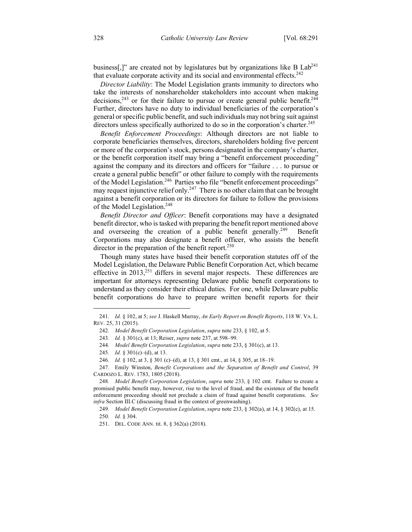business<sup>[1]</sup>" are created not by legislatures but by organizations like B  $Lab<sup>241</sup>$ that evaluate corporate activity and its social and environmental effects.<sup>242</sup>

*Director Liability*: The Model Legislation grants immunity to directors who take the interests of nonshareholder stakeholders into account when making decisions,<sup>243</sup> or for their failure to pursue or create general public benefit.<sup>244</sup> Further, directors have no duty to individual beneficiaries of the corporation's general or specific public benefit, and such individuals may not bring suit against directors unless specifically authorized to do so in the corporation's charter.<sup>245</sup>

*Benefit Enforcement Proceedings*: Although directors are not liable to corporate beneficiaries themselves, directors, shareholders holding five percent or more of the corporation's stock, persons designated in the company's charter, or the benefit corporation itself may bring a "benefit enforcement proceeding" against the company and its directors and officers for "failure . . . to pursue or create a general public benefit" or other failure to comply with the requirements of the Model Legislation.246 Parties who file "benefit enforcement proceedings" may request injunctive relief only.<sup>247</sup> There is no other claim that can be brought against a benefit corporation or its directors for failure to follow the provisions of the Model Legislation.<sup>248</sup>

*Benefit Director and Officer*: Benefit corporations may have a designated benefit director, who is tasked with preparing the benefit report mentioned above and overseeing the creation of a public benefit generally.<sup>249</sup> Benefit Corporations may also designate a benefit officer, who assists the benefit director in the preparation of the benefit report.<sup>250</sup>

Though many states have based their benefit corporation statutes off of the Model Legislation, the Delaware Public Benefit Corporation Act, which became effective in  $2013$ ,<sup>251</sup> differs in several major respects. These differences are important for attorneys representing Delaware public benefit corporations to understand as they consider their ethical duties. For one, while Delaware public benefit corporations do have to prepare written benefit reports for their

249*. Model Benefit Corporation Legislation*, *supra* note 233, § 302(a), at 14, § 302(c), at 15.

 <sup>241</sup>*. Id.* § 102, at 5; *see* J. Haskell Murray, *An Early Report on Benefit Reports*, 118 W. VA. L. REV. 25, 31 (2015).

<sup>242</sup>*. Model Benefit Corporation Legislation*, *supra* note 233, § 102, at 5.

<sup>243</sup>*. Id.* § 301(c), at 13; Reiser, *supra* note 237, at 598–99.

<sup>244</sup>*. Model Benefit Corporation Legislation*, *supra* note 233, § 301(c), at 13.

<sup>245</sup>*. Id.* § 301(c)–(d), at 13.

<sup>246</sup>*. Id.* § 102, at 3, § 301 (c)–(d), at 13, § 301 cmt., at 14, § 305, at 18–19.

<sup>247.</sup> Emily Winston, *Benefit Corporations and the Separation of Benefit and Control*, 39 CARDOZO L. REV. 1783, 1805 (2018).

<sup>248</sup>*. Model Benefit Corporation Legislation*, *supra* note 233, § 102 cmt. Failure to create a promised public benefit may, however, rise to the level of fraud, and the existence of the benefit enforcement proceeding should not preclude a claim of fraud against benefit corporations. *See infra* Section III.C (discussing fraud in the context of greenwashing).

<sup>250</sup>*. Id.* § 304.

<sup>251.</sup> DEL. CODE ANN. tit. 8, § 362(a) (2018).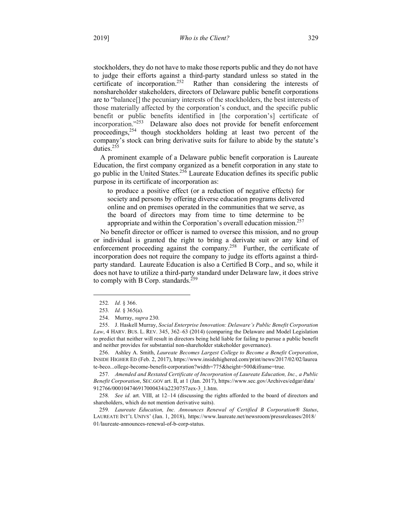stockholders, they do not have to make those reports public and they do not have to judge their efforts against a third-party standard unless so stated in the certificate of incorporation.252 Rather than considering the interests of nonshareholder stakeholders, directors of Delaware public benefit corporations are to "balance[] the pecuniary interests of the stockholders, the best interests of those materially affected by the corporation's conduct, and the specific public benefit or public benefits identified in [the corporation's] certificate of incorporation."253 Delaware also does not provide for benefit enforcement proceedings,<sup>254</sup> though stockholders holding at least two percent of the company's stock can bring derivative suits for failure to abide by the statute's duties.255

A prominent example of a Delaware public benefit corporation is Laureate Education, the first company organized as a benefit corporation in any state to go public in the United States.256 Laureate Education defines its specific public purpose in its certificate of incorporation as:

to produce a positive effect (or a reduction of negative effects) for society and persons by offering diverse education programs delivered online and on premises operated in the communities that we serve, as the board of directors may from time to time determine to be appropriate and within the Corporation's overall education mission.<sup>257</sup>

No benefit director or officer is named to oversee this mission, and no group or individual is granted the right to bring a derivate suit or any kind of enforcement proceeding against the company.<sup>258</sup> Further, the certificate of incorporation does not require the company to judge its efforts against a thirdparty standard. Laureate Education is also a Certified B Corp., and so, while it does not have to utilize a third-party standard under Delaware law, it does strive to comply with B Corp. standards.<sup>259</sup>

256. Ashley A. Smith, *Laureate Becomes Largest College to Become a Benefit Corporation*, INSIDE HIGHER ED (Feb. 2, 2017), https://www.insidehighered.com/print/news/2017/02/02/laurea te-beco...ollege-become-benefit-corporation?width=775&height=500&iframe=true.

257*. Amended and Restated Certificate of Incorporation of Laureate Education, Inc., a Public Benefit Corporation*, SEC.GOV art. II, at 1 (Jan. 2017), https://www.sec.gov/Archives/edgar/data/ 912766/000104746917000434/a2230757zex-3\_1.htm.

258*. See id.* art. VIII, at 12–14 (discussing the rights afforded to the board of directors and shareholders, which do not mention derivative suits).

259*. Laureate Education, Inc. Announces Renewal of Certified B Corporation® Status*, LAUREATE INT'L UNIVS' (Jan. 1, 2018), https://www.laureate.net/newsroom/pressreleases/2018/ 01/laureate-announces-renewal-of-b-corp-status.

 <sup>252</sup>*. Id.* § 366.

<sup>253</sup>*. Id.* § 365(a).

<sup>254.</sup> Murray, *supra* 230.

<sup>255.</sup> J. Haskell Murray, *Social Enterprise Innovation: Delaware's Public Benefit Corporation Law*, 4 HARV. BUS. L. REV. 345, 362–63 (2014) (comparing the Delaware and Model Legislation to predict that neither will result in directors being held liable for failing to pursue a public benefit and neither provides for substantial non-shareholder stakeholder governance).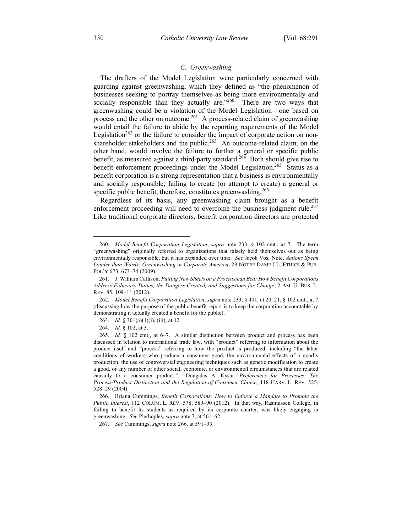# *C. Greenwashing*

The drafters of the Model Legislation were particularly concerned with guarding against greenwashing, which they defined as "the phenomenon of businesses seeking to portray themselves as being more environmentally and socially responsible than they actually are."<sup>260</sup> There are two ways that greenwashing could be a violation of the Model Legislation—one based on process and the other on outcome.<sup>261</sup> A process-related claim of greenwashing would entail the failure to abide by the reporting requirements of the Model Legislation<sup>262</sup> or the failure to consider the impact of corporate action on nonshareholder stakeholders and the public.<sup>263</sup> An outcome-related claim, on the other hand, would involve the failure to further a general or specific public benefit, as measured against a third-party standard.<sup>264</sup> Both should give rise to benefit enforcement proceedings under the Model Legislation.<sup>265</sup> Status as a benefit corporation is a strong representation that a business is environmentally and socially responsible; failing to create (or attempt to create) a general or specific public benefit, therefore, constitutes greenwashing.<sup>266</sup>

Regardless of its basis, any greenwashing claim brought as a benefit enforcement proceeding will need to overcome the business judgment rule.<sup>267</sup> Like traditional corporate directors, benefit corporation directors are protected

267*. See* Cummings, *supra* note 266, at 591–93.

 <sup>260</sup>*. Model Benefit Corporation Legislation*, *supra* note 233, § 102 cmt., at 7. The term "greenwashing" originally referred to organizations that falsely held themselves out as being environmentally responsible, but it has expanded over time. *See* Jacob Vos, Note, *Actions Speak Louder than Words: Greenwashing in Corporate America*, 23 NOTRE DAME J.L. ETHICS & PUB. POL'Y 673, 673–74 (2009).

<sup>261.</sup> J. William Callison, *Putting New Sheets on a Procrustean Bed: How Benefit Corporations Address Fiduciary Duties, the Dangers Created, and Suggestions for Change*, 2 AM. U. BUS. L. REV. 85, 109–11 (2012).

<sup>262</sup>*. Model Benefit Corporation Legislation*, *supra* note 233, § 401, at 20–21, § 102 cmt., at 7 (discussing how the purpose of the public benefit report is to keep the corporation accountable by demonstrating it actually created a benefit for the public).

<sup>263</sup>*. Id.* § 301(a)(1)(i), (iii), at 12.

<sup>264</sup>*. Id.* § 102, at 3.

<sup>265</sup>*. Id.* § 102 cmt., at 6–7. A similar distinction between product and process has been discussed in relation to international trade law, with "product" referring to information about the product itself and "process" referring to how the product is produced, including "the labor conditions of workers who produce a consumer good, the environmental effects of a good's production, the use of controversial engineering techniques such as genetic modification to create a good, or any number of other social, economic, or environmental circumstances that are related causally to a consumer product." Dougalas A. Kysar, *Preferences for Processes: The Process/Product Distinction and the Regulation of Consumer Choice*, 118 HARV. L. REV. 525, 528–29 (2004).

<sup>266.</sup> Briana Cummings, *Benefit Corporations: How to Enforce a Mandate to Promote the Public Interest*, 112 COLUM. L. REV. 578, 589–90 (2012). In that way, Rasmussen College, in failing to benefit its students as required by its corporate charter, was likely engaging in greenwashing. *See* Plerhoples, *supra* note 7, at 561–62.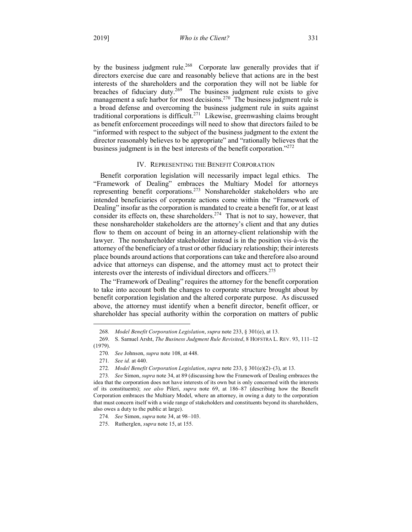by the business judgment rule.<sup>268</sup> Corporate law generally provides that if directors exercise due care and reasonably believe that actions are in the best interests of the shareholders and the corporation they will not be liable for breaches of fiduciary duty.<sup>269</sup> The business judgment rule exists to give management a safe harbor for most decisions.<sup>270</sup> The business judgment rule is a broad defense and overcoming the business judgment rule in suits against traditional corporations is difficult.271 Likewise, greenwashing claims brought as benefit enforcement proceedings will need to show that directors failed to be "informed with respect to the subject of the business judgment to the extent the director reasonably believes to be appropriate" and "rationally believes that the business judgment is in the best interests of the benefit corporation."272

#### IV. REPRESENTING THE BENEFIT CORPORATION

Benefit corporation legislation will necessarily impact legal ethics. The "Framework of Dealing" embraces the Multiary Model for attorneys representing benefit corporations.273 Nonshareholder stakeholders who are intended beneficiaries of corporate actions come within the "Framework of Dealing" insofar as the corporation is mandated to create a benefit for, or at least consider its effects on, these shareholders.<sup>274</sup> That is not to say, however, that these nonshareholder stakeholders are the attorney's client and that any duties flow to them on account of being in an attorney-client relationship with the lawyer. The nonshareholder stakeholder instead is in the position vis-à-vis the attorney of the beneficiary of a trust or other fiduciary relationship; their interests place bounds around actions that corporations can take and therefore also around advice that attorneys can dispense, and the attorney must act to protect their interests over the interests of individual directors and officers.275

The "Framework of Dealing" requires the attorney for the benefit corporation to take into account both the changes to corporate structure brought about by benefit corporation legislation and the altered corporate purpose. As discussed above, the attorney must identify when a benefit director, benefit officer, or shareholder has special authority within the corporation on matters of public

 <sup>268</sup>*. Model Benefit Corporation Legislation*, *supra* note 233, § 301(e), at 13.

<sup>269.</sup> S. Samuel Arsht, *The Business Judgment Rule Revisited*, 8 HOFSTRA L. REV. 93, 111–12

<sup>(1979).</sup>

<sup>270</sup>*. See* Johnson, *supra* note 108, at 448.

<sup>271</sup>*. See id.* at 440.

<sup>272</sup>*. Model Benefit Corporation Legislation*, *supra* note 233, § 301(e)(2)–(3), at 13.

<sup>273</sup>*. See* Simon, *supra* note 34, at 89 (discussing how the Framework of Dealing embraces the idea that the corporation does not have interests of its own but is only concerned with the interests of its constituents); *see also* Pileri, *supra* note 69, at 186–87 (describing how the Benefit Corporation embraces the Multiary Model, where an attorney, in owing a duty to the corporation that must concern itself with a wide range of stakeholders and constituents beyond its shareholders, also owes a duty to the public at large).

<sup>274</sup>*. See* Simon, *supra* note 34, at 98–103.

<sup>275.</sup> Rutherglen, *supra* note 15, at 155.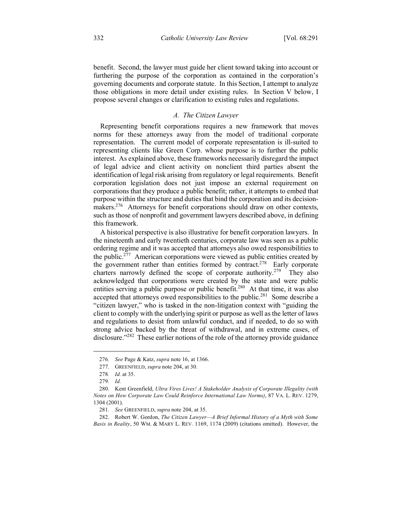benefit. Second, the lawyer must guide her client toward taking into account or furthering the purpose of the corporation as contained in the corporation's governing documents and corporate statute. In this Section, I attempt to analyze those obligations in more detail under existing rules. In Section V below, I propose several changes or clarification to existing rules and regulations.

# *A. The Citizen Lawyer*

Representing benefit corporations requires a new framework that moves norms for these attorneys away from the model of traditional corporate representation. The current model of corporate representation is ill-suited to representing clients like Green Corp. whose purpose is to further the public interest. As explained above, these frameworks necessarily disregard the impact of legal advice and client activity on nonclient third parties absent the identification of legal risk arising from regulatory or legal requirements. Benefit corporation legislation does not just impose an external requirement on corporations that they produce a public benefit; rather, it attempts to embed that purpose within the structure and duties that bind the corporation and its decisionmakers.<sup>276</sup> Attorneys for benefit corporations should draw on other contexts, such as those of nonprofit and government lawyers described above, in defining this framework.

A historical perspective is also illustrative for benefit corporation lawyers. In the nineteenth and early twentieth centuries, corporate law was seen as a public ordering regime and it was accepted that attorneys also owed responsibilities to the public.277 American corporations were viewed as public entities created by the government rather than entities formed by contract.<sup>278</sup> Early corporate charters narrowly defined the scope of corporate authority.<sup>279</sup> They also acknowledged that corporations were created by the state and were public entities serving a public purpose or public benefit.<sup>280</sup> At that time, it was also accepted that attorneys owed responsibilities to the public.<sup>281</sup> Some describe a "citizen lawyer," who is tasked in the non-litigation context with "guiding the client to comply with the underlying spirit or purpose as well as the letter of laws and regulations to desist from unlawful conduct, and if needed, to do so with strong advice backed by the threat of withdrawal, and in extreme cases, of disclosure."<sup>282</sup> These earlier notions of the role of the attorney provide guidance

 <sup>276</sup>*. See* Page & Katz, *supra* note 16, at 1366.

<sup>277.</sup> GREENFIELD, *supra* note 204, at 30.

<sup>278</sup>*. Id.* at 35.

<sup>279</sup>*. Id.*

<sup>280.</sup> Kent Greenfield, *Ultra Vires Lives! A Stakeholder Analysis of Corporate Illegality (with Notes on How Corporate Law Could Reinforce International Law Norms)*, 87 VA. L. REV. 1279, 1304 (2001).

<sup>281</sup>*. See* GREENFIELD, *supra* note 204, at 35.

<sup>282.</sup> Robert W. Gordon, *The Citizen Lawyer—A Brief Informal History of a Myth with Some Basis in Reality*, 50 WM. & MARY L. REV. 1169, 1174 (2009) (citations omitted). However, the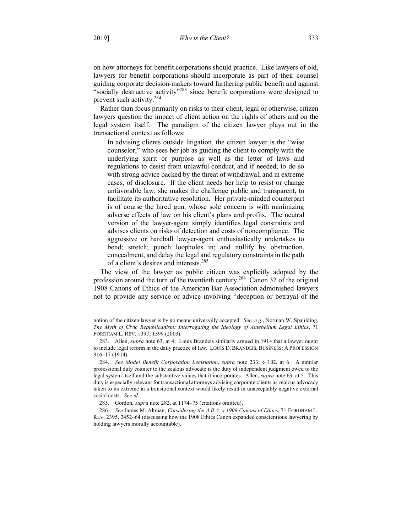on how attorneys for benefit corporations should practice. Like lawyers of old, lawyers for benefit corporations should incorporate as part of their counsel guiding corporate decision-makers toward furthering public benefit and against "socially destructive activity"<sup>283</sup> since benefit corporations were designed to prevent such activity.284

Rather than focus primarily on risks to their client, legal or otherwise, citizen lawyers question the impact of client action on the rights of others and on the legal system itself. The paradigm of the citizen lawyer plays out in the transactional context as follows:

In advising clients outside litigation, the citizen lawyer is the "wise counselor," who sees her job as guiding the client to comply with the underlying spirit or purpose as well as the letter of laws and regulations to desist from unlawful conduct, and if needed, to do so with strong advice backed by the threat of withdrawal, and in extreme cases, of disclosure. If the client needs her help to resist or change unfavorable law, she makes the challenge public and transparent, to facilitate its authoritative resolution. Her private-minded counterpart is of course the hired gun, whose sole concern is with minimizing adverse effects of law on his client's plans and profits. The neutral version of the lawyer-agent simply identifies legal constraints and advises clients on risks of detection and costs of noncompliance. The aggressive or hardball lawyer-agent enthusiastically undertakes to bend; stretch; punch loopholes in; and nullify by obstruction, concealment, and delay the legal and regulatory constraints in the path of a client's desires and interests.<sup>285</sup>

The view of the lawyer as public citizen was explicitly adopted by the profession around the turn of the twentieth century.<sup>286</sup> Canon 32 of the original 1908 Canons of Ethics of the American Bar Association admonished lawyers not to provide any service or advice involving "deception or betrayal of the

notion of the citizen lawyer is by no means universally accepted. *See, e.g.*, Norman W. Spaulding, *The Myth of Civic Republicanism: Interrogating the Ideology of Antebellum Legal Ethics*, 71 FORDHAM L. REV. 1397, 1399 (2003).

<sup>283.</sup> Allen, *supra* note 63, at 4. Louis Brandeis similarly argued in 1914 that a lawyer ought to include legal reform in the daily practice of law. LOUIS D. BRANDEIS, BUSINESS: A PROFESSION 316–17 (1914).

<sup>284</sup>*. See Model Benefit Corporation Legislation*, *supra* note 233, § 102, at 6. A similar professional duty counter to the zealous advocate is the duty of independent judgment owed to the legal system itself and the substantive values that it incorporates. Allen, *supra* note 63, at 5. This duty is especially relevant for transactional attorneys advising corporate clients as zealous advocacy taken to its extreme in a transitional context would likely result in unacceptably negative external social costs. *See id.*

<sup>285.</sup> Gordon, *supra* note 282, at 1174–75 (citations omitted).

<sup>286</sup>*. See* James M. Altman, *Considering the A.B.A.'s 1908 Canons of Ethics*, 71 FORDHAM L. REV. 2395, 2452–64 (discussing how the 1908 Ethics Canon expanded conscientious lawyering by holding lawyers morally accountable).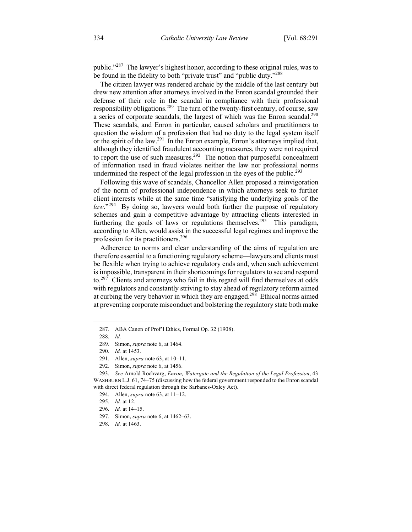public."287 The lawyer's highest honor, according to these original rules, was to be found in the fidelity to both "private trust" and "public duty."<sup>288</sup>

The citizen lawyer was rendered archaic by the middle of the last century but drew new attention after attorneys involved in the Enron scandal grounded their defense of their role in the scandal in compliance with their professional responsibility obligations.<sup>289</sup> The turn of the twenty-first century, of course, saw a series of corporate scandals, the largest of which was the Enron scandal.<sup>290</sup> These scandals, and Enron in particular, caused scholars and practitioners to question the wisdom of a profession that had no duty to the legal system itself or the spirit of the law.<sup>291</sup> In the Enron example, Enron's attorneys implied that, although they identified fraudulent accounting measures, they were not required to report the use of such measures.<sup>292</sup> The notion that purposeful concealment of information used in fraud violates neither the law nor professional norms undermined the respect of the legal profession in the eyes of the public.<sup>293</sup>

Following this wave of scandals, Chancellor Allen proposed a reinvigoration of the norm of professional independence in which attorneys seek to further client interests while at the same time "satisfying the underlying goals of the *law*."<sup>294</sup> By doing so, lawyers would both further the purpose of regulatory schemes and gain a competitive advantage by attracting clients interested in furthering the goals of laws or regulations themselves.<sup>295</sup> This paradigm, according to Allen, would assist in the successful legal regimes and improve the profession for its practitioners.<sup>296</sup>

Adherence to norms and clear understanding of the aims of regulation are therefore essential to a functioning regulatory scheme—lawyers and clients must be flexible when trying to achieve regulatory ends and, when such achievement is impossible, transparent in their shortcomings for regulators to see and respond to.<sup>297</sup> Clients and attorneys who fail in this regard will find themselves at odds with regulators and constantly striving to stay ahead of regulatory reform aimed at curbing the very behavior in which they are engaged.<sup>298</sup> Ethical norms aimed at preventing corporate misconduct and bolstering the regulatory state both make

294. Allen, *supra* note 63, at 11–12.

 <sup>287.</sup> ABA Canon of Prof'l Ethics, Formal Op. 32 (1908).

<sup>288</sup>*. Id.*

<sup>289.</sup> Simon, *supra* note 6, at 1464.

<sup>290</sup>*. Id.* at 1453.

<sup>291.</sup> Allen, *supra* note 63, at 10–11.

<sup>292.</sup> Simon, *supra* note 6, at 1456.

<sup>293</sup>*. See* Arnold Rochvarg, *Enron, Watergate and the Regulation of the Legal Profession*, 43 WASHBURN L.J. 61, 74–75 (discussing how the federal government responded to the Enron scandal with direct federal regulation through the Sarbanes-Oxley Act).

<sup>295</sup>*. Id.* at 12.

<sup>296</sup>*. Id.* at 14–15.

<sup>297.</sup> Simon, *supra* note 6, at 1462–63.

<sup>298</sup>*. Id.* at 1463.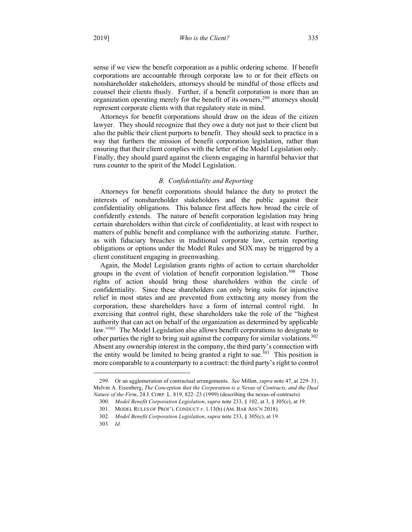sense if we view the benefit corporation as a public ordering scheme. If benefit corporations are accountable through corporate law to or for their effects on nonshareholder stakeholders, attorneys should be mindful of those effects and counsel their clients thusly. Further, if a benefit corporation is more than an organization operating merely for the benefit of its owners,<sup>299</sup> attorneys should represent corporate clients with that regulatory state in mind.

Attorneys for benefit corporations should draw on the ideas of the citizen lawyer. They should recognize that they owe a duty not just to their client but also the public their client purports to benefit. They should seek to practice in a way that furthers the mission of benefit corporation legislation, rather than ensuring that their client complies with the letter of the Model Legislation only. Finally, they should guard against the clients engaging in harmful behavior that runs counter to the spirit of the Model Legislation.

# *B. Confidentiality and Reporting*

Attorneys for benefit corporations should balance the duty to protect the interests of nonshareholder stakeholders and the public against their confidentiality obligations. This balance first affects how broad the circle of confidently extends. The nature of benefit corporation legislation may bring certain shareholders within that circle of confidentiality, at least with respect to matters of public benefit and compliance with the authorizing statute. Further, as with fiduciary breaches in traditional corporate law, certain reporting obligations or options under the Model Rules and SOX may be triggered by a client constituent engaging in greenwashing.

Again, the Model Legislation grants rights of action to certain shareholder groups in the event of violation of benefit corporation legislation.<sup>300</sup> Those rights of action should bring those shareholders within the circle of confidentiality. Since these shareholders can only bring suits for injunctive relief in most states and are prevented from extracting any money from the corporation, these shareholders have a form of internal control right. In exercising that control right, these shareholders take the role of the "highest authority that can act on behalf of the organization as determined by applicable law."<sup>301</sup> The Model Legislation also allows benefit corporations to designate to other parties the right to bring suit against the company for similar violations.<sup>302</sup> Absent any ownership interest in the company, the third party's connection with the entity would be limited to being granted a right to sue.<sup>303</sup> This position is more comparable to a counterparty to a contract: the third party's right to control

 <sup>299.</sup> Or an agglomeration of contractual arrangements. *See* Millon, *supra* note 47, at 229–31; Melvin A. Eisenberg, *The Conception that the Corporation is a Nexus of Contracts, and the Dual Nature of the Firm*, 24 J. CORP. L. 819, 822–23 (1999) (describing the nexus-of-contracts).

<sup>300</sup>*. Model Benefit Corporation Legislation*, *supra* note 233, § 102, at 3, § 305(c), at 19.

<sup>301.</sup> MODEL RULES OF PROF'L CONDUCT r. 1.13(b) (AM. BAR ASS'N 2018).

<sup>302</sup>*. Model Benefit Corporation Legislation*, *supra* note 233, § 305(c), at 19.

<sup>303</sup>*. Id.*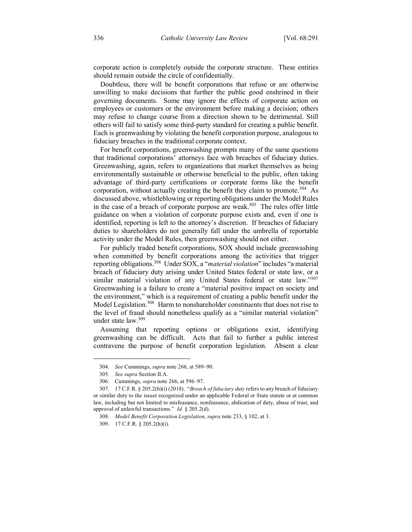corporate action is completely outside the corporate structure. These entities should remain outside the circle of confidentially.

Doubtless, there will be benefit corporations that refuse or are otherwise unwilling to make decisions that further the public good enshrined in their governing documents. Some may ignore the effects of corporate action on employees or customers or the environment before making a decision; others may refuse to change course from a direction shown to be detrimental. Still others will fail to satisfy some third-party standard for creating a public benefit. Each is greenwashing by violating the benefit corporation purpose, analogous to fiduciary breaches in the traditional corporate context.

For benefit corporations, greenwashing prompts many of the same questions that traditional corporations' attorneys face with breaches of fiduciary duties. Greenwashing, again, refers to organizations that market themselves as being environmentally sustainable or otherwise beneficial to the public, often taking advantage of third-party certifications or corporate forms like the benefit corporation, without actually creating the benefit they claim to promote.<sup>304</sup> As discussed above, whistleblowing or reporting obligations under the Model Rules in the case of a breach of corporate purpose are weak.<sup>305</sup> The rules offer little guidance on when a violation of corporate purpose exists and, even if one is identified, reporting is left to the attorney's discretion. If breaches of fiduciary duties to shareholders do not generally fall under the umbrella of reportable activity under the Model Rules, then greenwashing should not either.

For publicly traded benefit corporations, SOX should include greenwashing when committed by benefit corporations among the activities that trigger reporting obligations.306 Under SOX, a "*material violation*" includes "a material breach of fiduciary duty arising under United States federal or state law, or a similar material violation of any United States federal or state law."307 Greenwashing is a failure to create a "material positive impact on society and the environment," which is a requirement of creating a public benefit under the Model Legislation.<sup>308</sup> Harm to nonshareholder constituents that does not rise to the level of fraud should nonetheless qualify as a "similar material violation" under state law.309

Assuming that reporting options or obligations exist, identifying greenwashing can be difficult. Acts that fail to further a public interest contravene the purpose of benefit corporation legislation. Absent a clear

1

<sup>304</sup>*. See* Cummings, *supra* note 266, at 589–90.

<sup>305</sup>*. See supra* Section II.A.

<sup>306.</sup> Cummings, *supra* note 266, at 596–97.

<sup>307.</sup> 17 C.F.R. § 205.2(h)(i) (2018). "*Breach of fiduciary duty* refers to any breach of fiduciary or similar duty to the issuer recognized under an applicable Federal or State statute or at common law, including but not limited to misfeasance, nonfeasance, abdication of duty, abuse of trust, and approval of unlawful transactions." *Id.* § 205.2(d).

<sup>308</sup>*. Model Benefit Corporation Legislation*, *supra* note 233, § 102, at 3.

<sup>309.</sup> 17 C.F.R. § 205.2(h)(i).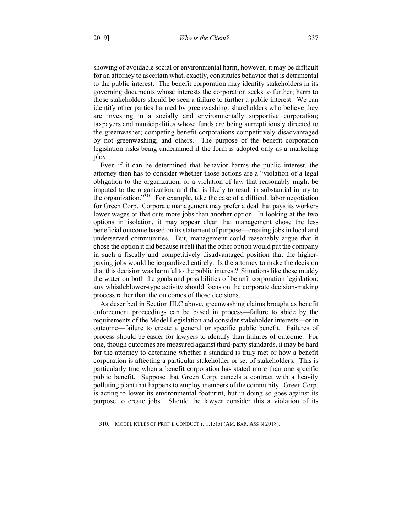showing of avoidable social or environmental harm, however, it may be difficult for an attorney to ascertain what, exactly, constitutes behavior that is detrimental to the public interest. The benefit corporation may identify stakeholders in its governing documents whose interests the corporation seeks to further; harm to those stakeholders should be seen a failure to further a public interest. We can identify other parties harmed by greenwashing: shareholders who believe they are investing in a socially and environmentally supportive corporation; taxpayers and municipalities whose funds are being surreptitiously directed to the greenwasher; competing benefit corporations competitively disadvantaged by not greenwashing; and others. The purpose of the benefit corporation legislation risks being undermined if the form is adopted only as a marketing ploy.

Even if it can be determined that behavior harms the public interest, the attorney then has to consider whether those actions are a "violation of a legal obligation to the organization, or a violation of law that reasonably might be imputed to the organization, and that is likely to result in substantial injury to the organization."310 For example, take the case of a difficult labor negotiation for Green Corp. Corporate management may prefer a deal that pays its workers lower wages or that cuts more jobs than another option. In looking at the two options in isolation, it may appear clear that management chose the less beneficial outcome based on its statement of purpose—creating jobs in local and underserved communities. But, management could reasonably argue that it chose the option it did because it felt that the other option would put the company in such a fiscally and competitively disadvantaged position that the higherpaying jobs would be jeopardized entirely. Is the attorney to make the decision that this decision was harmful to the public interest? Situations like these muddy the water on both the goals and possibilities of benefit corporation legislation; any whistleblower-type activity should focus on the corporate decision-making process rather than the outcomes of those decisions.

As described in Section III.C above, greenwashing claims brought as benefit enforcement proceedings can be based in process—failure to abide by the requirements of the Model Legislation and consider stakeholder interests—or in outcome—failure to create a general or specific public benefit. Failures of process should be easier for lawyers to identify than failures of outcome. For one, though outcomes are measured against third-party standards, it may be hard for the attorney to determine whether a standard is truly met or how a benefit corporation is affecting a particular stakeholder or set of stakeholders. This is particularly true when a benefit corporation has stated more than one specific public benefit. Suppose that Green Corp. cancels a contract with a heavily polluting plant that happens to employ members of the community. Green Corp. is acting to lower its environmental footprint, but in doing so goes against its purpose to create jobs. Should the lawyer consider this a violation of its

 <sup>310.</sup> MODEL RULES OF PROF'L CONDUCT r. 1.13(b) (AM. BAR. ASS'N 2018).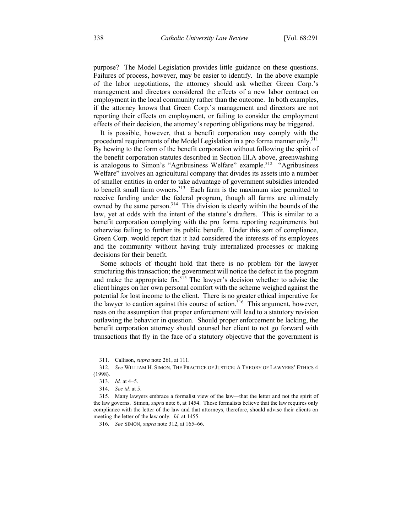purpose? The Model Legislation provides little guidance on these questions. Failures of process, however, may be easier to identify. In the above example of the labor negotiations, the attorney should ask whether Green Corp.'s management and directors considered the effects of a new labor contract on employment in the local community rather than the outcome. In both examples, if the attorney knows that Green Corp.'s management and directors are not reporting their effects on employment, or failing to consider the employment effects of their decision, the attorney's reporting obligations may be triggered.

It is possible, however, that a benefit corporation may comply with the procedural requirements of the Model Legislation in a pro forma manner only.<sup>311</sup> By hewing to the form of the benefit corporation without following the spirit of the benefit corporation statutes described in Section III.A above, greenwashing is analogous to Simon's "Agribusiness Welfare" example.<sup>312</sup> "Agribusiness" Welfare" involves an agricultural company that divides its assets into a number of smaller entities in order to take advantage of government subsidies intended to benefit small farm owners. $313$  Each farm is the maximum size permitted to receive funding under the federal program, though all farms are ultimately owned by the same person.<sup>314</sup> This division is clearly within the bounds of the law, yet at odds with the intent of the statute's drafters. This is similar to a benefit corporation complying with the pro forma reporting requirements but otherwise failing to further its public benefit. Under this sort of compliance, Green Corp. would report that it had considered the interests of its employees and the community without having truly internalized processes or making decisions for their benefit.

Some schools of thought hold that there is no problem for the lawyer structuring this transaction; the government will notice the defect in the program and make the appropriate fix. $3^{15}$  The lawyer's decision whether to advise the client hinges on her own personal comfort with the scheme weighed against the potential for lost income to the client. There is no greater ethical imperative for the lawyer to caution against this course of action.<sup>316</sup> This argument, however, rests on the assumption that proper enforcement will lead to a statutory revision outlawing the behavior in question. Should proper enforcement be lacking, the benefit corporation attorney should counsel her client to not go forward with transactions that fly in the face of a statutory objective that the government is

 <sup>311.</sup> Callison, *supra* note 261, at 111.

<sup>312</sup>*. See* WILLIAM H. SIMON, THE PRACTICE OF JUSTICE: A THEORY OF LAWYERS' ETHICS 4 (1998).

<sup>313</sup>*. Id.* at 4–5.

<sup>314</sup>*. See id.* at 5.

<sup>315.</sup> Many lawyers embrace a formalist view of the law—that the letter and not the spirit of the law governs. Simon, *supra* note 6, at 1454. Those formalists believe that the law requires only compliance with the letter of the law and that attorneys, therefore, should advise their clients on meeting the letter of the law only. *Id.* at 1455.

<sup>316</sup>*. See* SIMON, *supra* note 312, at 165–66.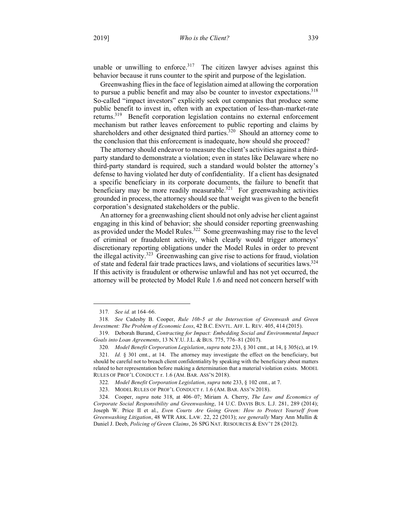unable or unwilling to enforce.<sup>317</sup> The citizen lawyer advises against this behavior because it runs counter to the spirit and purpose of the legislation.

Greenwashing flies in the face of legislation aimed at allowing the corporation to pursue a public benefit and may also be counter to investor expectations.<sup>318</sup> So-called "impact investors" explicitly seek out companies that produce some public benefit to invest in, often with an expectation of less-than-market-rate returns.<sup>319</sup> Benefit corporation legislation contains no external enforcement mechanism but rather leaves enforcement to public reporting and claims by shareholders and other designated third parties.<sup>320</sup> Should an attorney come to the conclusion that this enforcement is inadequate, how should she proceed?

The attorney should endeavor to measure the client's activities against a thirdparty standard to demonstrate a violation; even in states like Delaware where no third-party standard is required, such a standard would bolster the attorney's defense to having violated her duty of confidentiality. If a client has designated a specific beneficiary in its corporate documents, the failure to benefit that beneficiary may be more readily measurable.<sup>321</sup> For greenwashing activities grounded in process, the attorney should see that weight was given to the benefit corporation's designated stakeholders or the public.

An attorney for a greenwashing client should not only advise her client against engaging in this kind of behavior; she should consider reporting greenwashing as provided under the Model Rules.<sup>322</sup> Some greenwashing may rise to the level of criminal or fraudulent activity, which clearly would trigger attorneys' discretionary reporting obligations under the Model Rules in order to prevent the illegal activity.<sup>323</sup> Greenwashing can give rise to actions for fraud, violation of state and federal fair trade practices laws, and violations of securities laws.324 If this activity is fraudulent or otherwise unlawful and has not yet occurred, the attorney will be protected by Model Rule 1.6 and need not concern herself with

 <sup>317</sup>*. See id.* at 164–66.

<sup>318</sup>*. See* Cadesby B. Cooper, *Rule 10b-5 at the Intersection of Greenwash and Green Investment: The Problem of Economic Loss*, 42 B.C. ENVTL. AFF. L. REV. 405, 414 (2015).

<sup>319.</sup> Deborah Burand, *Contracting for Impact: Embedding Social and Environmental Impact Goals into Loan Agreements*, 13 N.Y.U. J.L. & BUS. 775, 776–81 (2017).

<sup>320</sup>*. Model Benefit Corporation Legislation*, *supra* note 233, § 301 cmt., at 14, § 305(c), at 19.

<sup>321</sup>*. Id.* § 301 cmt., at 14. The attorney may investigate the effect on the beneficiary, but should be careful not to breach client confidentiality by speaking with the beneficiary about matters related to her representation before making a determination that a material violation exists. MODEL RULES OF PROF'L CONDUCT r. 1.6 (AM. BAR. ASS'N 2018).

<sup>322</sup>*. Model Benefit Corporation Legislation*, *supra* note 233, § 102 cmt., at 7.

<sup>323.</sup> MODEL RULES OF PROF'L CONDUCT r. 1.6 (AM. BAR. ASS'N 2018).

<sup>324.</sup> Cooper, *supra* note 318, at 406–07; Miriam A. Cherry, *The Law and Economics of Corporate Social Responsibility and Greenwashing*, 14 U.C. DAVIS BUS. L.J. 281, 289 (2014); Joseph W. Price II et al., *Even Courts Are Going Green: How to Protect Yourself from Greenwashing Litigation*, 48 WTR ARK. LAW. 22, 22 (2013); *see generally* Mary Ann Mullin & Daniel J. Deeb, *Policing of Green Claims*, 26 SPG NAT. RESOURCES & ENV'T 28 (2012).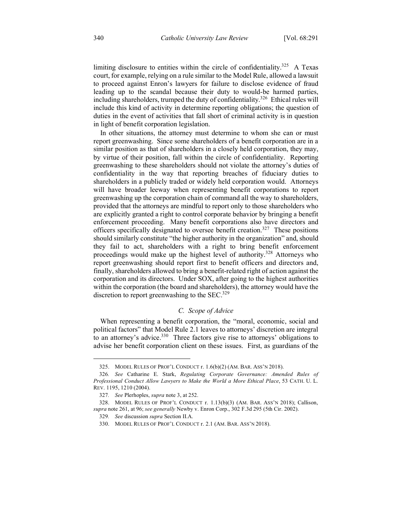limiting disclosure to entities within the circle of confidentiality.<sup>325</sup> A Texas court, for example, relying on a rule similar to the Model Rule, allowed a lawsuit to proceed against Enron's lawyers for failure to disclose evidence of fraud leading up to the scandal because their duty to would-be harmed parties, including shareholders, trumped the duty of confidentiality.<sup>326</sup> Ethical rules will include this kind of activity in determine reporting obligations; the question of duties in the event of activities that fall short of criminal activity is in question in light of benefit corporation legislation.

In other situations, the attorney must determine to whom she can or must report greenwashing. Since some shareholders of a benefit corporation are in a similar position as that of shareholders in a closely held corporation, they may, by virtue of their position, fall within the circle of confidentiality. Reporting greenwashing to these shareholders should not violate the attorney's duties of confidentiality in the way that reporting breaches of fiduciary duties to shareholders in a publicly traded or widely held corporation would. Attorneys will have broader leeway when representing benefit corporations to report greenwashing up the corporation chain of command all the way to shareholders, provided that the attorneys are mindful to report only to those shareholders who are explicitly granted a right to control corporate behavior by bringing a benefit enforcement proceeding. Many benefit corporations also have directors and officers specifically designated to oversee benefit creation.327 These positions should similarly constitute "the higher authority in the organization" and, should they fail to act, shareholders with a right to bring benefit enforcement proceedings would make up the highest level of authority.<sup>328</sup> Attorneys who report greenwashing should report first to benefit officers and directors and, finally, shareholders allowed to bring a benefit-related right of action against the corporation and its directors. Under SOX, after going to the highest authorities within the corporation (the board and shareholders), the attorney would have the discretion to report greenwashing to the  $SEC.<sup>329</sup>$ 

# *C. Scope of Advice*

When representing a benefit corporation, the "moral, economic, social and political factors" that Model Rule 2.1 leaves to attorneys' discretion are integral to an attorney's advice.<sup>330</sup> Three factors give rise to attorneys' obligations to advise her benefit corporation client on these issues. First, as guardians of the

1

<sup>325.</sup> MODEL RULES OF PROF'L CONDUCT r. 1.6(b)(2) (AM. BAR. ASS'N 2018).

<sup>326</sup>*. See* Catharine E. Stark, *Regulating Corporate Governance: Amended Rules of Professional Conduct Allow Lawyers to Make the World a More Ethical Place*, 53 CATH. U. L. REV. 1195, 1210 (2004).

<sup>327</sup>*. See* Plerhoples, *supra* note 3, at 252.

<sup>328.</sup> MODEL RULES OF PROF'L CONDUCT r. 1.13(b)(3) (AM. BAR. ASS'N 2018); Callison, *supra* note 261, at 96; *see generally* Newby v. Enron Corp., 302 F.3d 295 (5th Cir. 2002).

<sup>329</sup>*. See* discussion *supra* Section II.A.

<sup>330.</sup> MODEL RULES OF PROF'L CONDUCT r. 2.1 (AM. BAR. ASS'N 2018).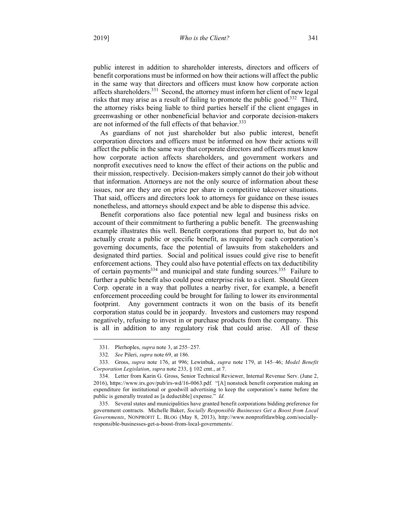public interest in addition to shareholder interests, directors and officers of benefit corporations must be informed on how their actions will affect the public in the same way that directors and officers must know how corporate action affects shareholders.<sup>331</sup> Second, the attorney must inform her client of new legal risks that may arise as a result of failing to promote the public good.<sup>332</sup> Third, the attorney risks being liable to third parties herself if the client engages in greenwashing or other nonbeneficial behavior and corporate decision-makers are not informed of the full effects of that behavior.<sup>333</sup>

As guardians of not just shareholder but also public interest, benefit corporation directors and officers must be informed on how their actions will affect the public in the same way that corporate directors and officers must know how corporate action affects shareholders, and government workers and nonprofit executives need to know the effect of their actions on the public and their mission, respectively. Decision-makers simply cannot do their job without that information. Attorneys are not the only source of information about these issues, nor are they are on price per share in competitive takeover situations. That said, officers and directors look to attorneys for guidance on these issues nonetheless, and attorneys should expect and be able to dispense this advice.

Benefit corporations also face potential new legal and business risks on account of their commitment to furthering a public benefit. The greenwashing example illustrates this well. Benefit corporations that purport to, but do not actually create a public or specific benefit, as required by each corporation's governing documents, face the potential of lawsuits from stakeholders and designated third parties. Social and political issues could give rise to benefit enforcement actions. They could also have potential effects on tax deductibility of certain payments $334$  and municipal and state funding sources. $335$  Failure to further a public benefit also could pose enterprise risk to a client. Should Green Corp. operate in a way that pollutes a nearby river, for example, a benefit enforcement proceeding could be brought for failing to lower its environmental footprint. Any government contracts it won on the basis of its benefit corporation status could be in jeopardy. Investors and customers may respond negatively, refusing to invest in or purchase products from the company. This is all in addition to any regulatory risk that could arise. All of these

 <sup>331.</sup> Plerhoples, *supra* note 3, at 255–257.

<sup>332</sup>*. See* Pileri, *supra* note 69, at 186.

<sup>333.</sup> Gross, *supra* note 176, at 996; Lewinbuk, *supra* note 179, at 145–46; *Model Benefit Corporation Legislation*, *supra* note 233, § 102 cmt., at 7.

<sup>334.</sup> Letter from Karin G. Gross, Senior Technical Reviewer, Internal Revenue Serv. (June 2, 2016), https://www.irs.gov/pub/irs-wd/16-0063.pdf*.* "[A] nonstock benefit corporation making an expenditure for institutional or goodwill advertising to keep the corporation's name before the public is generally treated as [a deductible] expense." *Id.*

<sup>335.</sup> Several states and municipalities have granted benefit corporations bidding preference for government contracts. Michelle Baker, *Socially Responsible Businesses Get a Boost from Local Governments*, NONPROFIT L. BLOG (May 8, 2013), http://www.nonprofitlawblog.com/sociallyresponsible-businesses-get-a-boost-from-local-governments/*.*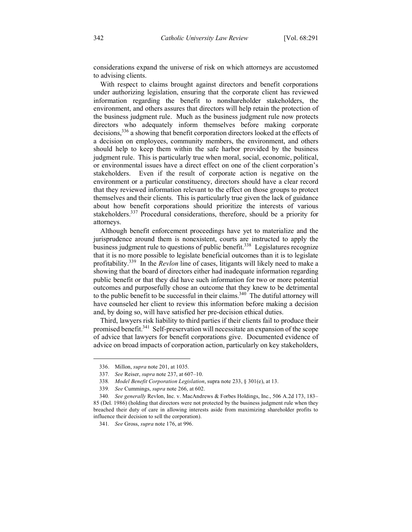considerations expand the universe of risk on which attorneys are accustomed to advising clients.

With respect to claims brought against directors and benefit corporations under authorizing legislation, ensuring that the corporate client has reviewed information regarding the benefit to nonshareholder stakeholders, the environment, and others assures that directors will help retain the protection of the business judgment rule. Much as the business judgment rule now protects directors who adequately inform themselves before making corporate decisions,336 a showing that benefit corporation directors looked at the effects of a decision on employees, community members, the environment, and others should help to keep them within the safe harbor provided by the business judgment rule. This is particularly true when moral, social, economic, political, or environmental issues have a direct effect on one of the client corporation's stakeholders. Even if the result of corporate action is negative on the environment or a particular constituency, directors should have a clear record that they reviewed information relevant to the effect on those groups to protect themselves and their clients. This is particularly true given the lack of guidance about how benefit corporations should prioritize the interests of various stakeholders.<sup>337</sup> Procedural considerations, therefore, should be a priority for attorneys.

Although benefit enforcement proceedings have yet to materialize and the jurisprudence around them is nonexistent, courts are instructed to apply the business judgment rule to questions of public benefit.<sup>338</sup> Legislatures recognize that it is no more possible to legislate beneficial outcomes than it is to legislate profitability.339 In the *Revlon* line of cases, litigants will likely need to make a showing that the board of directors either had inadequate information regarding public benefit or that they did have such information for two or more potential outcomes and purposefully chose an outcome that they knew to be detrimental to the public benefit to be successful in their claims. $340$  The dutiful attorney will have counseled her client to review this information before making a decision and, by doing so, will have satisfied her pre-decision ethical duties.

Third, lawyers risk liability to third parties if their clients fail to produce their promised benefit.<sup>341</sup> Self-preservation will necessitate an expansion of the scope of advice that lawyers for benefit corporations give. Documented evidence of advice on broad impacts of corporation action, particularly on key stakeholders,

1

<sup>336.</sup> Millon, *supra* note 201, at 1035.

<sup>337</sup>*. See* Reiser, *supra* note 237, at 607–10.

<sup>338</sup>*. Model Benefit Corporation Legislation*, supra note 233, § 301(e), at 13.

<sup>339</sup>*. See* Cummings, *supra* note 266, at 602.

<sup>340</sup>*. See generally* Revlon, Inc. v. MacAndrews & Forbes Holdings, Inc., 506 A.2d 173, 183– 85 (Del. 1986) (holding that directors were not protected by the business judgment rule when they breached their duty of care in allowing interests aside from maximizing shareholder profits to influence their decision to sell the corporation).

<sup>341</sup>*. See* Gross, *supra* note 176, at 996.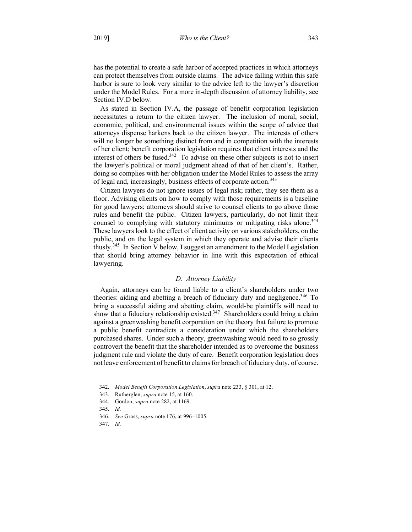has the potential to create a safe harbor of accepted practices in which attorneys can protect themselves from outside claims. The advice falling within this safe harbor is sure to look very similar to the advice left to the lawyer's discretion under the Model Rules. For a more in-depth discussion of attorney liability, see Section IV.D below.

As stated in Section IV.A, the passage of benefit corporation legislation necessitates a return to the citizen lawyer. The inclusion of moral, social, economic, political, and environmental issues within the scope of advice that attorneys dispense harkens back to the citizen lawyer. The interests of others will no longer be something distinct from and in competition with the interests of her client; benefit corporation legislation requires that client interests and the interest of others be fused. $342$  To advise on these other subjects is not to insert the lawyer's political or moral judgment ahead of that of her client's. Rather, doing so complies with her obligation under the Model Rules to assess the array of legal and, increasingly, business effects of corporate action.<sup>343</sup>

Citizen lawyers do not ignore issues of legal risk; rather, they see them as a floor. Advising clients on how to comply with those requirements is a baseline for good lawyers; attorneys should strive to counsel clients to go above those rules and benefit the public. Citizen lawyers, particularly, do not limit their counsel to complying with statutory minimums or mitigating risks alone.<sup>344</sup> These lawyers look to the effect of client activity on various stakeholders, on the public, and on the legal system in which they operate and advise their clients thusly.345 In Section V below, I suggest an amendment to the Model Legislation that should bring attorney behavior in line with this expectation of ethical lawyering.

# *D. Attorney Liability*

Again, attorneys can be found liable to a client's shareholders under two theories: aiding and abetting a breach of fiduciary duty and negligence.<sup>346</sup> To bring a successful aiding and abetting claim, would-be plaintiffs will need to show that a fiduciary relationship existed.<sup>347</sup> Shareholders could bring a claim against a greenwashing benefit corporation on the theory that failure to promote a public benefit contradicts a consideration under which the shareholders purchased shares. Under such a theory, greenwashing would need to so grossly controvert the benefit that the shareholder intended as to overcome the business judgment rule and violate the duty of care. Benefit corporation legislation does not leave enforcement of benefit to claims for breach of fiduciary duty, of course.

1

<sup>342</sup>*. Model Benefit Corporation Legislation*, *supra* note 233, § 301, at 12.

<sup>343.</sup> Rutherglen, *supra* note 15, at 160.

<sup>344.</sup> Gordon, *supra* note 282, at 1169.

<sup>345</sup>*. Id.*

<sup>346</sup>*. See* Gross, *supra* note 176, at 996–1005.

<sup>347</sup>*. Id.*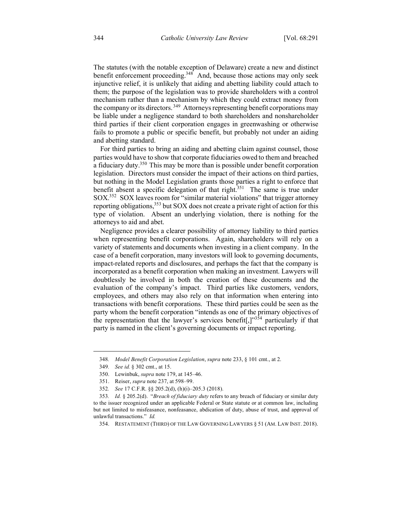The statutes (with the notable exception of Delaware) create a new and distinct benefit enforcement proceeding.<sup>348</sup> And, because those actions may only seek injunctive relief, it is unlikely that aiding and abetting liability could attach to them; the purpose of the legislation was to provide shareholders with a control mechanism rather than a mechanism by which they could extract money from the company or its directors.<sup>349</sup> Attorneys representing benefit corporations may be liable under a negligence standard to both shareholders and nonshareholder third parties if their client corporation engages in greenwashing or otherwise fails to promote a public or specific benefit, but probably not under an aiding and abetting standard.

For third parties to bring an aiding and abetting claim against counsel, those parties would have to show that corporate fiduciaries owed to them and breached a fiduciary duty.<sup>350</sup> This may be more than is possible under benefit corporation legislation. Directors must consider the impact of their actions on third parties, but nothing in the Model Legislation grants those parties a right to enforce that benefit absent a specific delegation of that right.<sup>351</sup> The same is true under SOX.352 SOX leaves room for "similar material violations" that trigger attorney reporting obligations,<sup>353</sup> but SOX does not create a private right of action for this type of violation. Absent an underlying violation, there is nothing for the attorneys to aid and abet.

Negligence provides a clearer possibility of attorney liability to third parties when representing benefit corporations. Again, shareholders will rely on a variety of statements and documents when investing in a client company. In the case of a benefit corporation, many investors will look to governing documents, impact-related reports and disclosures, and perhaps the fact that the company is incorporated as a benefit corporation when making an investment. Lawyers will doubtlessly be involved in both the creation of these documents and the evaluation of the company's impact. Third parties like customers, vendors, employees, and others may also rely on that information when entering into transactions with benefit corporations. These third parties could be seen as the party whom the benefit corporation "intends as one of the primary objectives of the representation that the lawyer's services benefit[, $]$ <sup>354</sup> particularly if that party is named in the client's governing documents or impact reporting.

 <sup>348</sup>*. Model Benefit Corporation Legislation*, *supra* note 233, § 101 cmt., at 2.

<sup>349</sup>*. See id.* § 302 cmt., at 15.

<sup>350.</sup> Lewinbuk, *supra* note 179, at 145–46.

<sup>351.</sup> Reiser, *supra* note 237, at 598–99.

<sup>352</sup>*. See* 17 C.F.R. §§ 205.2(d), (h)(i)–205.3 (2018).

<sup>353</sup>*. Id.* § 205.2(d). "*Breach of fiduciary duty* refers to any breach of fiduciary or similar duty to the issuer recognized under an applicable Federal or State statute or at common law, including but not limited to misfeasance, nonfeasance, abdication of duty, abuse of trust, and approval of unlawful transactions." *Id.*

<sup>354.</sup> RESTATEMENT (THIRD) OF THE LAW GOVERNING LAWYERS § 51 (AM. LAW INST. 2018).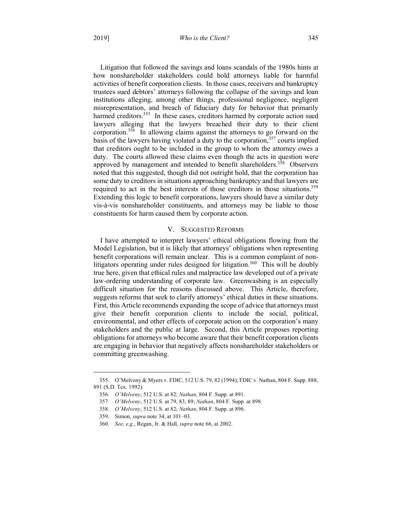Litigation that followed the savings and loans scandals of the 1980s hints at how nonshareholder stakeholders could hold attorneys liable for harmful activities of benefit corporation clients. In those cases, receivers and bankruptcy trustees sued debtors' attorneys following the collapse of the savings and loan institutions alleging, among other things, professional negligence, negligent misrepresentation, and breach of fiduciary duty for behavior that primarily harmed creditors.<sup>355</sup> In these cases, creditors harmed by corporate action sued lawyers alleging that the lawyers breached their duty to their client corporation.<sup>356</sup> In allowing claims against the attorneys to go forward on the basis of the lawyers having violated a duty to the corporation,<sup>357</sup> courts implied that creditors ought to be included in the group to whom the attorney owes a duty. The courts allowed these claims even though the acts in question were approved by management and intended to benefit shareholders.<sup>358</sup> Observers noted that this suggested, though did not outright hold, that the corporation has some duty to creditors in situations approaching bankruptcy and that lawyers are required to act in the best interests of those creditors in those situations.<sup>359</sup> Extending this logic to benefit corporations, lawyers should have a similar duty vis-à-vis nonshareholder constituents, and attorneys may be liable to those constituents for harm caused them by corporate action.

# V. SUGGESTED REFORMS

I have attempted to interpret lawyers' ethical obligations flowing from the Model Legislation, but it is likely that attorneys' obligations when representing benefit corporations will remain unclear. This is a common complaint of nonlitigators operating under rules designed for litigation.<sup>360</sup> This will be doubly true here, given that ethical rules and malpractice law developed out of a private law-ordering understanding of corporate law. Greenwashing is an especially difficult situation for the reasons discussed above. This Article, therefore, suggests reforms that seek to clarify attorneys' ethical duties in these situations. First, this Article recommends expanding the scope of advice that attorneys must give their benefit corporation clients to include the social, political, environmental, and other effects of corporate action on the corporation's many stakeholders and the public at large. Second, this Article proposes reporting obligations for attorneys who become aware that their benefit corporation clients are engaging in behavior that negatively affects nonshareholder stakeholders or committing greenwashing.

 <sup>355.</sup> O'Melveny & Myers v. FDIC, 512 U.S. 79, 82 (1994); FDIC v. Nathan, 804 F. Supp. 888, 891 (S.D. Tex. 1992).

<sup>356</sup>*. O'Melveny*, 512 U.S. at 82; *Nathan*, 804 F. Supp. at 891.

<sup>357</sup>*. O'Melveny*, 512 U.S. at 79, 83, 89; *Nathan*, 804 F. Supp. at 898.

<sup>358</sup>*. O'Melveny*, 512 U.S. at 82; *Nathan*, 804 F. Supp. at 896.

<sup>359.</sup> Simon, *supra* note 34, at 101–03.

<sup>360</sup>*. See, e.g.*, Regan, Jr. & Hall, *supra* note 66, at 2002.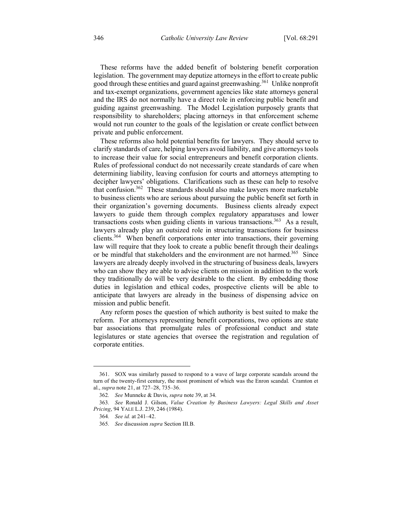These reforms have the added benefit of bolstering benefit corporation legislation. The government may deputize attorneys in the effort to create public good through these entities and guard against greenwashing.<sup>361</sup> Unlike nonprofit and tax-exempt organizations, government agencies like state attorneys general and the IRS do not normally have a direct role in enforcing public benefit and guiding against greenwashing. The Model Legislation purposely grants that responsibility to shareholders; placing attorneys in that enforcement scheme would not run counter to the goals of the legislation or create conflict between private and public enforcement.

These reforms also hold potential benefits for lawyers. They should serve to clarify standards of care, helping lawyers avoid liability, and give attorneys tools to increase their value for social entrepreneurs and benefit corporation clients. Rules of professional conduct do not necessarily create standards of care when determining liability, leaving confusion for courts and attorneys attempting to decipher lawyers' obligations. Clarifications such as these can help to resolve that confusion.<sup>362</sup> These standards should also make lawyers more marketable to business clients who are serious about pursuing the public benefit set forth in their organization's governing documents. Business clients already expect lawyers to guide them through complex regulatory apparatuses and lower transactions costs when guiding clients in various transactions.<sup>363</sup> As a result, lawyers already play an outsized role in structuring transactions for business clients.364 When benefit corporations enter into transactions, their governing law will require that they look to create a public benefit through their dealings or be mindful that stakeholders and the environment are not harmed.<sup>365</sup> Since lawyers are already deeply involved in the structuring of business deals, lawyers who can show they are able to advise clients on mission in addition to the work they traditionally do will be very desirable to the client. By embedding those duties in legislation and ethical codes, prospective clients will be able to anticipate that lawyers are already in the business of dispensing advice on mission and public benefit.

Any reform poses the question of which authority is best suited to make the reform. For attorneys representing benefit corporations, two options are state bar associations that promulgate rules of professional conduct and state legislatures or state agencies that oversee the registration and regulation of corporate entities.

<u>.</u>

<sup>361.</sup> SOX was similarly passed to respond to a wave of large corporate scandals around the turn of the twenty-first century, the most prominent of which was the Enron scandal. Cramton et al., *supra* note 21, at 727–28, 735–36.

<sup>362</sup>*. See* Munneke & Davis, *supra* note 39, at 34.

<sup>363</sup>*. See* Ronald J. Gilson, *Value Creation by Business Lawyers: Legal Skills and Asset Pricing*, 94 YALE L.J. 239, 246 (1984).

<sup>364</sup>*. See id.* at 241–42.

<sup>365</sup>*. See* discussion *supra* Section III.B.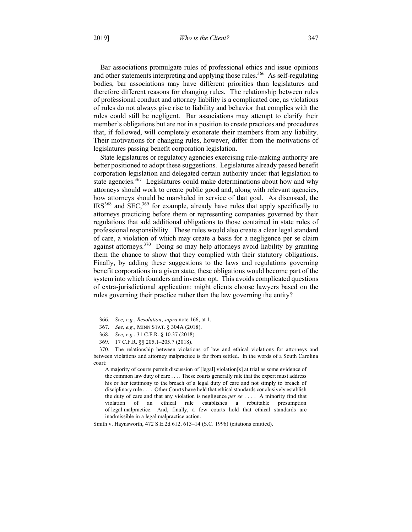Bar associations promulgate rules of professional ethics and issue opinions and other statements interpreting and applying those rules.<sup>366</sup> As self-regulating bodies, bar associations may have different priorities than legislatures and therefore different reasons for changing rules. The relationship between rules of professional conduct and attorney liability is a complicated one, as violations of rules do not always give rise to liability and behavior that complies with the rules could still be negligent. Bar associations may attempt to clarify their member's obligations but are not in a position to create practices and procedures that, if followed, will completely exonerate their members from any liability. Their motivations for changing rules, however, differ from the motivations of legislatures passing benefit corporation legislation.

State legislatures or regulatory agencies exercising rule-making authority are better positioned to adopt these suggestions. Legislatures already passed benefit corporation legislation and delegated certain authority under that legislation to state agencies.<sup>367</sup> Legislatures could make determinations about how and why attorneys should work to create public good and, along with relevant agencies, how attorneys should be marshaled in service of that goal. As discussed, the  $IRS<sup>368</sup>$  and SEC,<sup>369</sup> for example, already have rules that apply specifically to attorneys practicing before them or representing companies governed by their regulations that add additional obligations to those contained in state rules of professional responsibility. These rules would also create a clear legal standard of care, a violation of which may create a basis for a negligence per se claim against attorneys.370 Doing so may help attorneys avoid liability by granting them the chance to show that they complied with their statutory obligations. Finally, by adding these suggestions to the laws and regulations governing benefit corporations in a given state, these obligations would become part of the system into which founders and investor opt. This avoids complicated questions of extra-jurisdictional application: might clients choose lawyers based on the rules governing their practice rather than the law governing the entity?

Smith v. Haynsworth, 472 S.E.2d 612, 613–14 (S.C. 1996) (citations omitted).

 <sup>366</sup>*. See, e.g.*, *Resolution*, *supra* note 166, at 1.

<sup>367</sup>*. See, e.g.*, MINN STAT. § 304A (2018).

<sup>368</sup>*. See, e.g.*, 31 C.F.R. § 10.37 (2018).

<sup>369.</sup> 17 C.F.R. §§ 205.1–205.7 (2018).

<sup>370.</sup> The relationship between violations of law and ethical violations for attorneys and between violations and attorney malpractice is far from settled. In the words of a South Carolina court:

A majority of courts permit discussion of [legal] violation[s] at trial as some evidence of the common law duty of care . . . . These courts generally rule that the expert must address his or her testimony to the breach of a legal duty of care and not simply to breach of disciplinary rule . . . . Other Courts have held that ethical standards conclusively establish the duty of care and that any violation is negligence *per se* . . . . A minority find that violation of an ethical rule establishes a rebuttable presumption of legal malpractice. And, finally, a few courts hold that ethical standards are inadmissible in a legal malpractice action.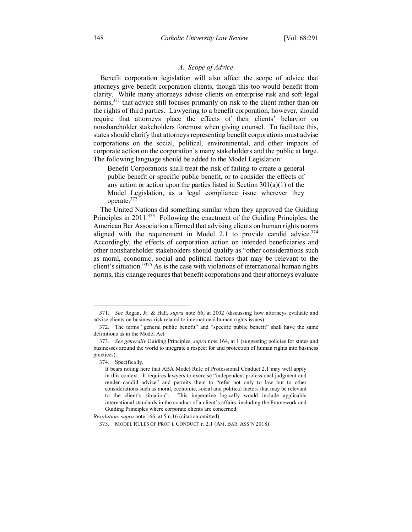# *A. Scope of Advice*

Benefit corporation legislation will also affect the scope of advice that attorneys give benefit corporation clients, though this too would benefit from clarity. While many attorneys advise clients on enterprise risk and soft legal norms,  $371$  that advice still focuses primarily on risk to the client rather than on the rights of third parties. Lawyering to a benefit corporation, however, should require that attorneys place the effects of their clients' behavior on nonshareholder stakeholders foremost when giving counsel. To facilitate this, states should clarify that attorneys representing benefit corporations must advise corporations on the social, political, environmental, and other impacts of corporate action on the corporation's many stakeholders and the public at large. The following language should be added to the Model Legislation:

Benefit Corporations shall treat the risk of failing to create a general public benefit or specific public benefit, or to consider the effects of any action or action upon the parties listed in Section  $301(a)(1)$  of the Model Legislation, as a legal compliance issue wherever they operate.372

The United Nations did something similar when they approved the Guiding Principles in 2011.<sup>373</sup> Following the enactment of the Guiding Principles, the American Bar Association affirmed that advising clients on human rights norms aligned with the requirement in Model 2.1 to provide candid advice. $374$ Accordingly, the effects of corporation action on intended beneficiaries and other nonshareholder stakeholders should qualify as "other considerations such as moral, economic, social and political factors that may be relevant to the client's situation." $375$  As is the case with violations of international human rights norms, this change requires that benefit corporations and their attorneys evaluate

 <sup>371</sup>*. See* Regan, Jr. & Hall, *supra* note 66, at 2002 (discussing how attorneys evaluate and advise clients on business risk related to international human rights issues).

<sup>372.</sup> The terms "general public benefit" and "specific public benefit" shall have the same definitions as in the Model Act.

<sup>373</sup>*. See generally* Guiding Principles, *supra* note 164, at 1 (suggesting policies for states and businesses around the world to integrate a respect for and protection of human rights into business practices).

<sup>374.</sup> Specifically,

It bears noting here that ABA Model Rule of Professional Conduct 2.1 may well apply in this context. It requires lawyers to exercise "independent professional judgment and render candid advice" and permits them to "refer not only to law but to other considerations such as moral, economic, social and political factors that may be relevant to the client's situation". This imperative logically would include applicable international standards in the conduct of a client's affairs, including the Framework and Guiding Principles where corporate clients are concerned.

*Resolution*, *supra* note 166, at 5 n.16 (citation omitted).

<sup>375.</sup> MODEL RULES OF PROF'L CONDUCT r. 2.1 (AM. BAR. ASS'N 2018).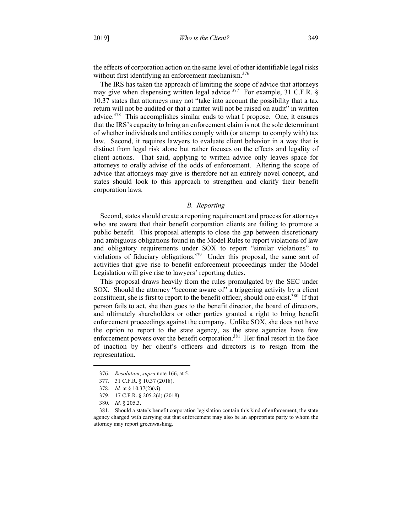the effects of corporation action on the same level of other identifiable legal risks without first identifying an enforcement mechanism.<sup>376</sup>

The IRS has taken the approach of limiting the scope of advice that attorneys may give when dispensing written legal advice.<sup>377</sup> For example, 31 C.F.R. § 10.37 states that attorneys may not "take into account the possibility that a tax return will not be audited or that a matter will not be raised on audit" in written advice.<sup>378</sup> This accomplishes similar ends to what I propose. One, it ensures that the IRS's capacity to bring an enforcement claim is not the sole determinant of whether individuals and entities comply with (or attempt to comply with) tax law. Second, it requires lawyers to evaluate client behavior in a way that is distinct from legal risk alone but rather focuses on the effects and legality of client actions. That said, applying to written advice only leaves space for attorneys to orally advise of the odds of enforcement. Altering the scope of advice that attorneys may give is therefore not an entirely novel concept, and states should look to this approach to strengthen and clarify their benefit corporation laws.

# *B. Reporting*

Second, states should create a reporting requirement and process for attorneys who are aware that their benefit corporation clients are failing to promote a public benefit. This proposal attempts to close the gap between discretionary and ambiguous obligations found in the Model Rules to report violations of law and obligatory requirements under SOX to report "similar violations" to violations of fiduciary obligations.<sup>379</sup> Under this proposal, the same sort of activities that give rise to benefit enforcement proceedings under the Model Legislation will give rise to lawyers' reporting duties.

This proposal draws heavily from the rules promulgated by the SEC under SOX. Should the attorney "become aware of" a triggering activity by a client constituent, she is first to report to the benefit officer, should one exist.<sup>380</sup> If that person fails to act, she then goes to the benefit director, the board of directors, and ultimately shareholders or other parties granted a right to bring benefit enforcement proceedings against the company. Unlike SOX, she does not have the option to report to the state agency, as the state agencies have few enforcement powers over the benefit corporation.<sup>381</sup> Her final resort in the face of inaction by her client's officers and directors is to resign from the representation.

 <sup>376</sup>*. Resolution*, *supra* note 166, at 5.

<sup>377.</sup> 31 C.F.R. § 10.37 (2018).

<sup>378</sup>*. Id.* at § 10.37(2)(vi).

<sup>379.</sup> 17 C.F.R. § 205.2(d) (2018).

<sup>380.</sup> *Id.* § 205.3.

<sup>381.</sup> Should a state's benefit corporation legislation contain this kind of enforcement, the state agency charged with carrying out that enforcement may also be an appropriate party to whom the attorney may report greenwashing.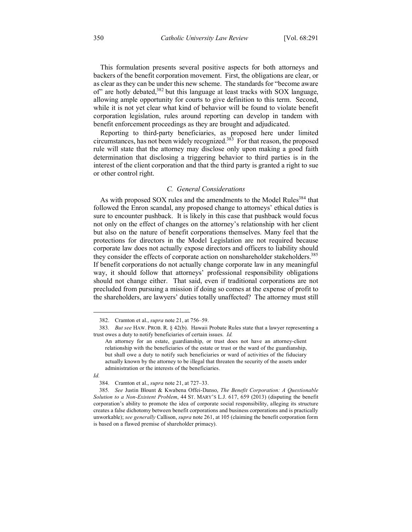This formulation presents several positive aspects for both attorneys and backers of the benefit corporation movement. First, the obligations are clear, or as clear as they can be under this new scheme. The standards for "become aware of" are hotly debated,<sup>382</sup> but this language at least tracks with SOX language, allowing ample opportunity for courts to give definition to this term. Second, while it is not yet clear what kind of behavior will be found to violate benefit corporation legislation, rules around reporting can develop in tandem with benefit enforcement proceedings as they are brought and adjudicated.

Reporting to third-party beneficiaries, as proposed here under limited circumstances, has not been widely recognized.<sup>383</sup> For that reason, the proposed rule will state that the attorney may disclose only upon making a good faith determination that disclosing a triggering behavior to third parties is in the interest of the client corporation and that the third party is granted a right to sue or other control right.

# *C. General Considerations*

As with proposed SOX rules and the amendments to the Model Rules<sup>384</sup> that followed the Enron scandal, any proposed change to attorneys' ethical duties is sure to encounter pushback. It is likely in this case that pushback would focus not only on the effect of changes on the attorney's relationship with her client but also on the nature of benefit corporations themselves. Many feel that the protections for directors in the Model Legislation are not required because corporate law does not actually expose directors and officers to liability should they consider the effects of corporate action on nonshareholder stakeholders.<sup>385</sup> If benefit corporations do not actually change corporate law in any meaningful way, it should follow that attorneys' professional responsibility obligations should not change either. That said, even if traditional corporations are not precluded from pursuing a mission if doing so comes at the expense of profit to the shareholders, are lawyers' duties totally unaffected? The attorney must still

 <sup>382.</sup> Cramton et al., *supra* note 21, at 756–59.

<sup>383</sup>*. But see* HAW. PROB. R. § 42(b). Hawaii Probate Rules state that a lawyer representing a trust owes a duty to notify beneficiaries of certain issues. *Id.*

An attorney for an estate, guardianship, or trust does not have an attorney-client relationship with the beneficiaries of the estate or trust or the ward of the guardianship, but shall owe a duty to notify such beneficiaries or ward of activities of the fiduciary actually known by the attorney to be illegal that threaten the security of the assets under administration or the interests of the beneficiaries.

*Id.*

<sup>384.</sup> Cramton et al., *supra* note 21, at 727–33.

<sup>385</sup>*. See* Justin Blount & Kwabena Offei-Danso, *The Benefit Corporation: A Questionable Solution to a Non-Existent Problem*, 44 ST. MARY'S L.J. 617, 659 (2013) (disputing the benefit corporation's ability to promote the idea of corporate social responsibility, alleging its structure creates a false dichotomy between benefit corporations and business corporations and is practically unworkable); *see generally* Callison, *supra* note 261, at 105 (claiming the benefit corporation form is based on a flawed premise of shareholder primacy).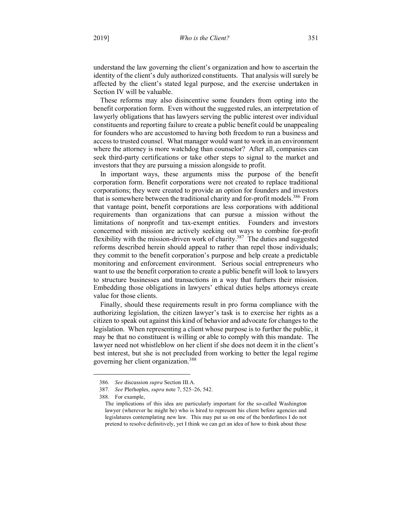understand the law governing the client's organization and how to ascertain the identity of the client's duly authorized constituents. That analysis will surely be affected by the client's stated legal purpose, and the exercise undertaken in Section IV will be valuable.

These reforms may also disincentive some founders from opting into the benefit corporation form. Even without the suggested rules, an interpretation of lawyerly obligations that has lawyers serving the public interest over individual constituents and reporting failure to create a public benefit could be unappealing for founders who are accustomed to having both freedom to run a business and access to trusted counsel. What manager would want to work in an environment where the attorney is more watchdog than counselor? After all, companies can seek third-party certifications or take other steps to signal to the market and investors that they are pursuing a mission alongside to profit.

In important ways, these arguments miss the purpose of the benefit corporation form. Benefit corporations were not created to replace traditional corporations; they were created to provide an option for founders and investors that is somewhere between the traditional charity and for-profit models.<sup>386</sup> From that vantage point, benefit corporations are less corporations with additional requirements than organizations that can pursue a mission without the limitations of nonprofit and tax-exempt entities. Founders and investors concerned with mission are actively seeking out ways to combine for-profit flexibility with the mission-driven work of charity.<sup>387</sup> The duties and suggested reforms described herein should appeal to rather than repel those individuals; they commit to the benefit corporation's purpose and help create a predictable monitoring and enforcement environment. Serious social entrepreneurs who want to use the benefit corporation to create a public benefit will look to lawyers to structure businesses and transactions in a way that furthers their mission. Embedding those obligations in lawyers' ethical duties helps attorneys create value for those clients.

Finally, should these requirements result in pro forma compliance with the authorizing legislation, the citizen lawyer's task is to exercise her rights as a citizen to speak out against this kind of behavior and advocate for changes to the legislation. When representing a client whose purpose is to further the public, it may be that no constituent is willing or able to comply with this mandate. The lawyer need not whistleblow on her client if she does not deem it in the client's best interest, but she is not precluded from working to better the legal regime governing her client organization.388

<u>.</u>

<sup>386</sup>*. See* discussion *supra* Section III.A.

<sup>387</sup>*. See* Plerhoples, *supra* note 7, 525–26, 542.

<sup>388.</sup> For example,

The implications of this idea are particularly important for the so-called Washington lawyer (wherever he might be) who is hired to represent his client before agencies and legislatures contemplating new law. This may put us on one of the borderlines I do not pretend to resolve definitively, yet I think we can get an idea of how to think about these